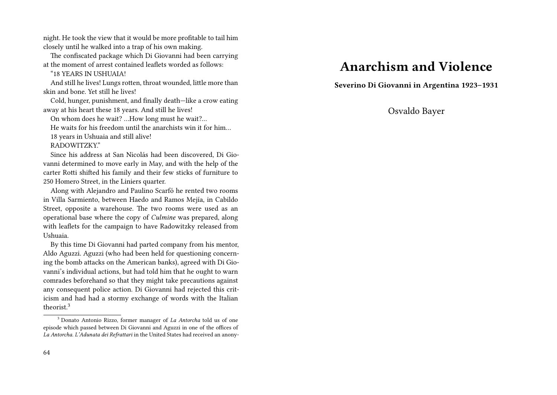night. He took the view that it would be more profitable to tail him closely until he walked into a trap of his own making.

The confiscated package which Di Giovanni had been carrying

at the moment of arrest contained leaflets worded as follows:

"18 YEARS IN USHUAIA!

And still he lives! Lungs rotten, throat wounded, little more than skin and bone. Yet still he lives!

Cold, hunger, punishment, and finally death—like a crow eating away at his heart these 18 years. And still he lives!

On whom does he wait? …How long must he wait?…

He waits for his freedom until the anarchists win it for him…

18 years in Ushuaia and still alive!

RADOWITZKY."

Since his address at San Nicolás had been discovered, Di Giovanni determined to move early in May, and with the help of the carter Rotti shifted his family and their few sticks of furniture to 250 Homero Street, in the Liniers quarter.

Along with Alejandro and Paulino Scarfó he rented two rooms in Villa Sarmiento, between Haedo and Ramos Mejía, in Cabildo Street, opposite a warehouse. The two rooms were used as an operational base where the copy of *Culmine* was prepared, along with leaflets for the campaign to have Radowitzky released from Ushuaia.

By this time Di Giovanni had parted company from his mentor, Aldo Aguzzi. Aguzzi (who had been held for questioning concerning the bomb attacks on the American banks), agreed with Di Giovanni's individual actions, but had told him that he ought to warn comrades beforehand so that they might take precautions against any consequent police action. Di Giovanni had rejected this criticism and had had a stormy exchange of words with the Italian theorist.<sup>3</sup>

## **Anarchism and Violence**

**Severino Di Giovanni in Argentina 1923–1931**

Osvaldo Bayer

<sup>3</sup> Donato Antonio Rizzo, former manager of *La Antorcha* told us of one episode which passed between Di Giovanni and Aguzzi in one of the offices of *La Antorcha*. *L'Adunata dei Refrattari* in the United States had received an anony-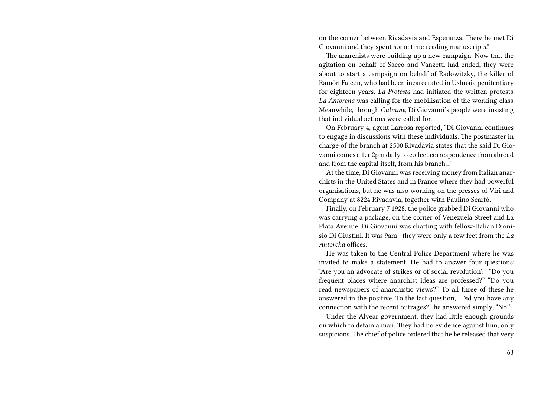on the corner between Rivadavia and Esperanza. There he met Di Giovanni and they spent some time reading manuscripts."

The anarchists were building up a new campaign. Now that the agitation on behalf of Sacco and Vanzetti had ended, they were about to start a campaign on behalf of Radowitzky, the killer of Ramón Falcón, who had been incarcerated in Ushuaia penitentiary for eighteen years. *La Protesta* had initiated the written protests. *La Antorcha* was calling for the mobilisation of the working class. Meanwhile, through *Culmine*, Di Giovanni's people were insisting that individual actions were called for.

On February 4, agent Larrosa reported, "Di Giovanni continues to engage in discussions with these individuals. The postmaster in charge of the branch at 2500 Rivadavia states that the said Di Giovanni comes after 2pm daily to collect correspondence from abroad and from the capital itself, from his branch…"

At the time, Di Giovanni was receiving money from Italian anarchists in the United States and in France where they had powerful organisations, but he was also working on the presses of Viri and Company at 8224 Rivadavia, together with Paulino Scarfó.

Finally, on February 7 1928, the police grabbed Di Giovanni who was carrying a package, on the corner of Venezuela Street and La Plata Avenue. Di Giovanni was chatting with fellow-Italian Dionisio Di Giustini. It was 9am—they were only a few feet from the *La Antorcha* offices.

He was taken to the Central Police Department where he was invited to make a statement. He had to answer four questions: "Are you an advocate of strikes or of social revolution?" "Do you frequent places where anarchist ideas are professed?" "Do you read newspapers of anarchistic views?" To all three of these he answered in the positive. To the last question, "Did you have any connection with the recent outrages?" he answered simply, "No!"

Under the Alvear government, they had little enough grounds on which to detain a man. They had no evidence against him, only suspicions. The chief of police ordered that he be released that very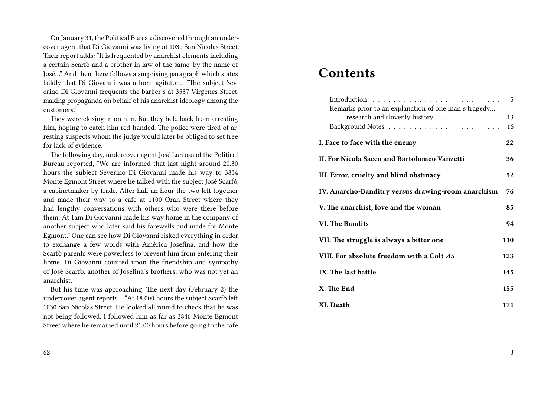On January 31, the Political Bureau discovered through an undercover agent that Di Giovanni was living at 1030 San Nicolas Street. Their report adds: "It is frequented by anarchist elements including a certain Scarfó and a brother in law of the same, by the name of José…" And then there follows a surprising paragraph which states baldly that Di Giovanni was a born agitator… "The subject Severino Di Giovanni frequents the barber's at 3537 Virgenes Street, making propaganda on behalf of his anarchist ideology among the customers."

They were closing in on him. But they held back from arresting him, hoping to catch him red-handed. The police were tired of arresting suspects whom the judge would later be obliged to set free for lack of evidence.

The following day, undercover agent José Larrosa of the Political Bureau reported, "We are informed that last night around 20.30 hours the subject Severino Di Giovanni made his way to 3834 Monte Egmont Street where he talked with the subject José Scarfó, a cabinetmaker by trade. After half an hour the two left together and made their way to a cafe at 1100 Oran Street where they had lengthy conversations with others who were there before them. At 1am Di Giovanni made his way home in the company of another subject who later said his farewells and made for Monte Egmont." One can see how Di Giovanni risked everything in order to exchange a few words with América Josefina, and how the Scarfó parents were powerless to prevent him from entering their home. Di Giovanni counted upon the friendship and sympathy of José Scarfó, another of Josefina's brothers, who was not yet an anarchist.

But his time was approaching. The next day (February 2) the undercover agent reports… "At 18.000 hours the subject Scarfó left 1030 San Nicolas Street. He looked all round to check that he was not being followed. I followed him as far as 3846 Monte Egmont Street where he remained until 21.00 hours before going to the cafe

#### 62

### **Contents**

|                                                      | 5   |
|------------------------------------------------------|-----|
| Remarks prior to an explanation of one man's tragedy |     |
| research and slovenly history.                       | 13  |
|                                                      | 16  |
| I. Face to face with the enemy                       | 22  |
| II. For Nicola Sacco and Bartolomeo Vanzetti         | 36  |
| III. Error, cruelty and blind obstinacy              | 52  |
| IV. Anarcho-Banditry versus drawing-room anarchism   | 76  |
| V. The anarchist, love and the woman                 | 85  |
| <b>VI. The Bandits</b>                               | 94  |
| VII. The struggle is always a bitter one             | 110 |
| VIII. For absolute freedom with a Colt .45           | 123 |
| IX. The last battle                                  | 145 |
| X. The End                                           | 155 |
| XI. Death                                            | 171 |

3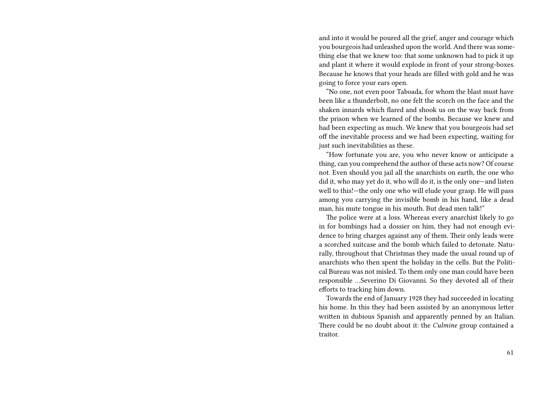and into it would be poured all the grief, anger and courage which you bourgeois had unleashed upon the world. And there was something else that we knew too: that some unknown had to pick it up and plant it where it would explode in front of your strong-boxes. Because he knows that your heads are filled with gold and he was going to force your ears open.

"No one, not even poor Taboada, for whom the blast must have been like a thunderbolt, no one felt the scorch on the face and the shaken innards which flared and shook us on the way back from the prison when we learned of the bombs. Because we knew and had been expecting as much. We knew that you bourgeois had set off the inevitable process and we had been expecting, waiting for just such inevitabilities as these.

"How fortunate you are, you who never know or anticipate a thing, can you comprehend the author of these acts now? Of course not. Even should you jail all the anarchists on earth, the one who did it, who may yet do it, who will do it, is the only one—and listen well to this!—the only one who will elude your grasp. He will pass among you carrying the invisible bomb in his hand, like a dead man, his mute tongue in his mouth. But dead men talk!"

The police were at a loss. Whereas every anarchist likely to go in for bombings had a dossier on him, they had not enough evidence to bring charges against any of them. Their only leads were a scorched suitcase and the bomb which failed to detonate. Naturally, throughout that Christmas they made the usual round up of anarchists who then spent the holiday in the cells. But the Political Bureau was not misled. To them only one man could have been responsible …Severino Di Giovanni. So they devoted all of their efforts to tracking him down.

Towards the end of January 1928 they had succeeded in locating his home. In this they had been assisted by an anonymous letter written in dubious Spanish and apparently penned by an Italian. There could be no doubt about it: the *Culmine* group contained a traitor.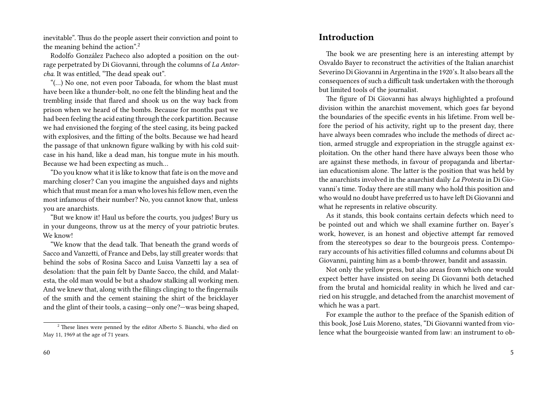inevitable". Thus do the people assert their conviction and point to the meaning behind the action".<sup>2</sup>

Rodolfo González Pacheco also adopted a position on the outrage perpetrated by Di Giovanni, through the columns of *La Antorcha*. It was entitled, "The dead speak out".

"(…) No one, not even poor Taboada, for whom the blast must have been like a thunder-bolt, no one felt the blinding heat and the trembling inside that flared and shook us on the way back from prison when we heard of the bombs. Because for months past we had been feeling the acid eating through the cork partition. Because we had envisioned the forging of the steel casing, its being packed with explosives, and the fitting of the bolts. Because we had heard the passage of that unknown figure walking by with his cold suitcase in his hand, like a dead man, his tongue mute in his mouth. Because we had been expecting as much…

"Do you know what it is like to know that fate is on the move and marching closer? Can you imagine the anguished days and nights which that must mean for a man who loves his fellow men, even the most infamous of their number? No, you cannot know that, unless you are anarchists.

"But we know it! Haul us before the courts, you judges! Bury us in your dungeons, throw us at the mercy of your patriotic brutes. We know!

"We know that the dead talk. That beneath the grand words of Sacco and Vanzetti, of France and Debs, lay still greater words: that behind the sobs of Rosina Sacco and Luisa Vanzetti lay a sea of desolation: that the pain felt by Dante Sacco, the child, and Malatesta, the old man would be but a shadow stalking all working men. And we knew that, along with the filings clinging to the fingernails of the smith and the cement staining the shirt of the bricklayer and the glint of their tools, a casing—only one?—was being shaped,

### **Introduction**

The book we are presenting here is an interesting attempt by Osvaldo Bayer to reconstruct the activities of the Italian anarchist Severino Di Giovanni in Argentina in the 1920's. It also bears all the consequences of such a difficult task undertaken with the thorough but limited tools of the journalist.

The figure of Di Giovanni has always highlighted a profound division within the anarchist movement, which goes far beyond the boundaries of the specific events in his lifetime. From well before the period of his activity, right up to the present day, there have always been comrades who include the methods of direct action, armed struggle and expropriation in the struggle against exploitation. On the other hand there have always been those who are against these methods, in favour of propaganda and libertarian educationism alone. The latter is the position that was held by the anarchists involved in the anarchist daily *La Protesta* in Di Giovanni's time. Today there are still many who hold this position and who would no doubt have preferred us to have left Di Giovanni and what he represents in relative obscurity.

As it stands, this book contains certain defects which need to be pointed out and which we shall examine further on. Bayer's work, however, is an honest and objective attempt far removed from the stereotypes so dear to the bourgeois press. Contemporary accounts of his activities filled columns and columns about Di Giovanni, painting him as a bomb-thrower, bandit and assassin.

Not only the yellow press, but also areas from which one would expect better have insisted on seeing Di Giovanni both detached from the brutal and homicidal reality in which he lived and carried on his struggle, and detached from the anarchist movement of which he was a part.

For example the author to the preface of the Spanish edition of this book, José Luis Moreno, states, "Di Giovanni wanted from violence what the bourgeoisie wanted from law: an instrument to ob-

<sup>2</sup> These lines were penned by the editor Alberto S. Bianchi, who died on May 11, 1969 at the age of 71 years.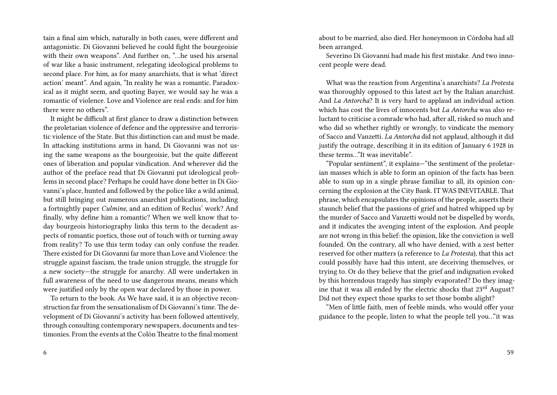tain a final aim which, naturally in both cases, were different and antagonistic. Di Giovanni believed he could fight the bourgeoisie with their own weapons". And further on, "…he used his arsenal of war like a basic instrument, relegating ideological problems to second place. For him, as for many anarchists, that is what 'direct action' meant". And again, "In reality he was a romantic. Paradoxical as it might seem, and quoting Bayer, we would say he was a romantic of violence. Love and Violence are real ends: and for him there were no others".

It might be difficult at first glance to draw a distinction between the proletarian violence of defence and the oppressive and terroristic violence of the State. But this distinction can and must be made. In attacking institutions arms in hand, Di Giovanni was not using the same weapons as the bourgeoisie, but the quite different ones of liberation and popular vindication. And wherever did the author of the preface read that Di Giovanni put ideological problems in second place? Perhaps he could have done better in Di Giovanni's place, hunted and followed by the police like a wild animal, but still bringing out numerous anarchist publications, including a fortnightly paper *Culmine*, and an edition of Reclus' work? And finally, why define him a romantic? When we well know that today bourgeois historiography links this term to the decadent aspects of romantic poetics, those out of touch with or turning away from reality? To use this term today can only confuse the reader. There existed for Di Giovanni far more than Love and Violence: the struggle against fascism, the trade union struggle, the struggle for a new society—the struggle for anarchy. All were undertaken in full awareness of the need to use dangerous means, means which were justified only by the open war declared by those in power.

To return to the book. As We have said, it is an objective reconstruction far from the sensationalism of Di Giovanni's time. The development of Di Giovanni's activity has been followed attentively, through consulting contemporary newspapers, documents and testimonies. From the events at the Colón Theatre to the final moment about to be married, also died. Her honeymoon in Córdoba had all been arranged.

Severino Di Giovanni had made his first mistake. And two innocent people were dead.

What was the reaction from Argentina's anarchists? *La Protesta* was thoroughly opposed to this latest act by the Italian anarchist. And *La Antorcha*? It is very hard to applaud an individual action which has cost the lives of innocents but *La Antorcha* was also reluctant to criticise a comrade who had, after all, risked so much and who did so whether rightly or wrongly, to vindicate the memory of Sacco and Vanzetti. *La Antorcha* did not applaud, although it did justify the outrage, describing it in its edition of January 6 1928 in these terms…"It was inevitable".

"Popular sentiment", it explains—"the sentiment of the proletarian masses which is able to form an opinion of the facts has been able to sum up in a single phrase familiar to all, its opinion concerning the explosion at the City Bank. IT WAS INEVITABLE. That phrase, which encapsulates the opinions of the people, asserts their staunch belief that the passions of grief and hatred whipped up by the murder of Sacco and Vanzetti would not be dispelled by words, and it indicates the avenging intent of the explosion. And people are not wrong in this belief: the opinion, like the conviction is well founded. On the contrary, all who have denied, with a zest better reserved for other matters (a reference to *La Protesta*), that this act could possibly have had this intent, are deceiving themselves, or trying to. Or do they believe that the grief and indignation evoked by this horrendous tragedy has simply evaporated? Do they imagine that it was all ended by the electric shocks that  $23<sup>rd</sup>$  August? Did not they expect those sparks to set those bombs alight?

"Men of little faith, men of feeble minds, who would offer your guidance to the people, listen to what the people tell you…"it was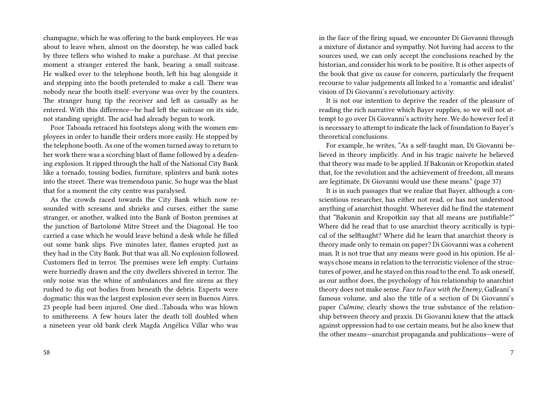champagne, which he was offering to the bank employees. He was about to leave when, almost on the doorstep, he was called back by three tellers who wished to make a purchase. At that precise moment a stranger entered the bank, bearing a small suitcase. He walked over to the telephone booth, left his bag alongside it and stepping into the booth pretended to make a call. There was nobody near the booth itself: everyone was over by the counters. The stranger hung tip the receiver and left as casually as he entered. With this difference—he had left the suitcase on its side, not standing upright. The acid had already begun to work.

Poor Taboada retraced his footsteps along with the women employees in order to handle their orders more easily. He stopped by the telephone booth. As one of the women turned away to return to her work there was a scorching blast of flame followed by a deafening explosion. It ripped through the hall of the National City Bank like a tornado, tossing bodies, furniture, splinters and bank notes into the street. There was tremendous panic. So huge was the blast that for a moment the city centre was paralysed.

As the crowds raced towards the City Bank which now resounded with screams and shrieks and curses, either the same stranger, or another, walked into the Bank of Boston premises at the junction of Bartolomé Mitre Street and the Diagonal. He too carried a case which he would leave behind a desk while he filled out some bank slips. Five minutes later, flames erupted just as they had in the City Bank. But that was all. No explosion followed. Customers fled in terror. The premises were left empty. Curtains were hurriedly drawn and the city dwellers shivered in terror. The only noise was the whine of ambulances and fire sirens as they rushed to dig out bodies from beneath the debris. Experts were dogmatic: this was the largest explosion ever seen in Buenos Aires. 23 people had been injured. One died…Taboada who was blown to smithereens. A few hours later the death toll doubled when a nineteen year old bank clerk Magda Angélica Villar who was in the face of the firing squad, we encounter Di Giovanni through a mixture of distance and sympathy. Not having had access to the sources used, we can only accept the conclusions reached by the historian, and consider his work to be positive. It is other aspects of the book that give us cause for concern, particularly the frequent recourse to value judgements all linked to a 'romantic and idealist' vision of Di Giovanni's revolutionary activity.

It is not our intention to deprive the reader of the pleasure of reading the rich narrative which Bayer supplies, so we will not attempt to go over Di Giovanni's activity here. We do however feel it is necessary to attempt to indicate the lack of foundation to Bayer's theoretical conclusions.

For example, he writes, "As a self-taught man, Di Giovanni believed in theory implicitly. And in his tragic naivete he believed that theory was made to be applied. If Bakunin or Kropotkin stated that, for the revolution and the achievement of freedom, all means are legitimate, Di Giovanni would use these means." (page 37)

It is in such passages that we realize that Bayer, although a conscientious researcher, has either not read, or has not understood anything of anarchist thought. Wherever did he find the statement that "Bakunin and Kropotkin say that all means are justifiable?" Where did he read that to use anarchist theory acritically is typical of the selftaught? Where did he learn that anarchist theory is theory made only to remain on paper? Di Giovanni was a coherent man. It is not true that any means were good in his opinion. He always chose means in relation to the terroristic violence of the structures of power, and he stayed on this road to the end. To ask oneself, as our author does, the psychology of his relationship to anarchist theory does not make sense. *Face to Face with the Enemy*, Galleani's famous volume, and also the title of a section of Di Giovanni's paper *Culmine*, clearly shows the true substance of the relationship between theory and praxis. Di Giovanni knew that the attack against oppression had to use certain means, but he also knew that the other means—anarchist propaganda and publications—were of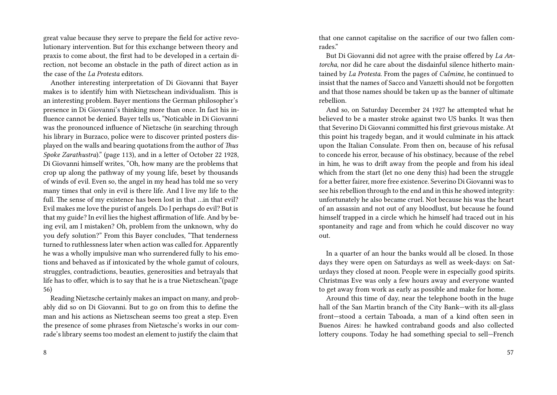great value because they serve to prepare the field for active revolutionary intervention. But for this exchange between theory and praxis to come about, the first had to be developed in a certain direction, not become an obstacle in the path of direct action as in the case of the *La Protesta* editors.

Another interesting interpretation of Di Giovanni that Bayer makes is to identify him with Nietzschean individualism. This is an interesting problem. Bayer mentions the German philosopher's presence in Di Giovanni's thinking more than once. In fact his influence cannot be denied. Bayer tells us, "Noticable in Di Giovanni was the pronounced influence of Nietzsche (in searching through his library in Burzaco, police were to discover printed posters displayed on the walls and bearing quotations from the author of *Thus Spoke Zarathustra*)." (page 113), and in a letter of October 22 1928, Di Giovanni himself writes, "Oh, how many are the problems that crop up along the pathway of my young life, beset by thousands of winds of evil. Even so, the angel in my head has told me so very many times that only in evil is there life. And I live my life to the full. The sense of my existence has been lost in that …in that evil? Evil makes me love the purist of angels. Do I perhaps do evil? But is that my guide? In evil lies the highest affirmation of life. And by being evil, am I mistaken? Oh, problem from the unknown, why do you defy solution?" From this Bayer concludes, "That tenderness turned to ruthlessness later when action was called for. Apparently he was a wholly impulsive man who surrendered fully to his emotions and behaved as if intoxicated by the whole gamut of colours, struggles, contradictions, beauties, generosities and betrayals that life has to offer, which is to say that he is a true Nietzschean."(page 56)

Reading Nietzsche certainly makes an impact on many, and probably did so on Di Giovanni. But to go on from this to define the man and his actions as Nietzschean seems too great a step. Even the presence of some phrases from Nietzsche's works in our comrade's library seems too modest an element to justify the claim that

that one cannot capitalise on the sacrifice of our two fallen comrades."

But Di Giovanni did not agree with the praise offered by *La Antorcha*, nor did he care about the disdainful silence hitherto maintained by *La Protesta*. From the pages of *Culmine*, he continued to insist that the names of Sacco and Vanzetti should not be forgotten and that those names should be taken up as the banner of ultimate rebellion.

And so, on Saturday December 24 1927 he attempted what he believed to be a master stroke against two US banks. It was then that Severino Di Giovanni committed his first grievous mistake. At this point his tragedy began, and it would culminate in his attack upon the Italian Consulate. From then on, because of his refusal to concede his error, because of his obstinacy, because of the rebel in him, he was to drift away from the people and from his ideal which from the start (let no one deny this) had been the struggle for a better fairer, more free existence. Severino Di Giovanni was to see his rebellion through to the end and in this he showed integrity: unfortunately he also became cruel. Not because his was the heart of an assassin and not out of any bloodlust, but because he found himself trapped in a circle which he himself had traced out in his spontaneity and rage and from which he could discover no way out.

In a quarter of an hour the banks would all be closed. In those days they were open on Saturdays as well as week-days: on Saturdays they closed at noon. People were in especially good spirits. Christmas Eve was only a few hours away and everyone wanted to get away from work as early as possible and make for home.

Around this time of day, near the telephone booth in the huge hall of the San Martin branch of the City Bank—with its all-glass front—stood a certain Taboada, a man of a kind often seen in Buenos Aires: he hawked contraband goods and also collected lottery coupons. Today he had something special to sell—French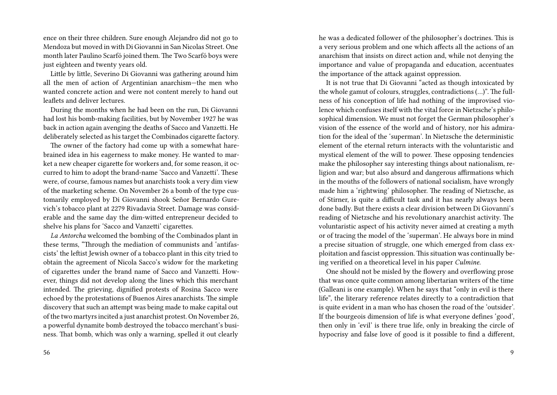ence on their three children. Sure enough Alejandro did not go to Mendoza but moved in with Di Giovanni in San Nicolas Street. One month later Paulino Scarfó joined them. The Two Scarfó boys were just eighteen and twenty years old.

Little by little, Severino Di Giovanni was gathering around him all the men of action of Argentinian anarchism—the men who wanted concrete action and were not content merely to hand out leaflets and deliver lectures.

During the months when he had been on the run, Di Giovanni had lost his bomb-making facilities, but by November 1927 he was back in action again avenging the deaths of Sacco and Vanzetti. He deliberately selected as his target the Combinados cigarette factory.

The owner of the factory had come up with a somewhat harebrained idea in his eagerness to make money. He wanted to market a new cheaper cigarette for workers and, for some reason, it occurred to him to adopt the brand-name 'Sacco and Vanzetti'. These were, of course, famous names but anarchists took a very dim view of the marketing scheme. On November 26 a bomb of the type customarily employed by Di Giovanni shook Señor Bernardo Gurevich's tobacco plant at 2279 Rivadavia Street. Damage was considerable and the same day the dim-witted entrepreneur decided to shelve his plans for 'Sacco and Vanzetti' cigarettes.

*La Antorcha* welcomed the bombing of the Combinados plant in these terms, "Through the mediation of communists and 'antifascists' the leftist Jewish owner of a tobacco plant in this city tried to obtain the agreement of Nicola Sacco's widow for the marketing of cigarettes under the brand name of Sacco and Vanzetti. However, things did not develop along the lines which this merchant intended. The grieving, dignified protests of Rosina Sacco were echoed by the protestations of Buenos Aires anarchists. The simple discovery that such an attempt was being made to make capital out of the two martyrs incited a just anarchist protest. On November 26, a powerful dynamite bomb destroyed the tobacco merchant's business. That bomb, which was only a warning, spelled it out clearly he was a dedicated follower of the philosopher's doctrines. This is a very serious problem and one which affects all the actions of an anarchism that insists on direct action and, while not denying the importance and value of propaganda and education, accentuates the importance of the attack against oppression.

It is not true that Di Giovanni "acted as though intoxicated by the whole gamut of colours, struggles, contradictions (…)". The fullness of his conception of life had nothing of the improvised violence which confuses itself with the vital force in Nietzsche's philosophical dimension. We must not forget the German philosopher's vision of the essence of the world and of history, nor his admiration for the ideal of the 'superman'. In Nietzsche the deterministic element of the eternal return interacts with the voluntaristic and mystical element of the will to power. These opposing tendencies make the philosopher say interesting things about nationalism, religion and war; but also absurd and dangerous affirmations which in the mouths of the followers of national socialism, have wrongly made him a 'rightwing' philosopher. The reading of Nietzsche, as of Stirner, is quite a difficult task and it has nearly always been done badly. But there exists a clear division between Di Giovanni's reading of Nietzsche and his revolutionary anarchist activity. The voluntaristic aspect of his activity never aimed at creating a myth or of tracing the model of the 'superman'. He always bore in mind a precise situation of struggle, one which emerged from class exploitation and fascist oppression. This situation was continually being verified on a theoretical level in his paper *Culmine*.

One should not be misled by the flowery and overflowing prose that was once quite common among libertarian writers of the time (Galleani is one example). When he says that "only in evil is there life", the literary reference relates directly to a contradiction that is quite evident in a man who has chosen the road of the 'outsider'. If the bourgeois dimension of life is what everyone defines 'good', then only in 'evil' is there true life, only in breaking the circle of hypocrisy and false love of good is it possible to find a different,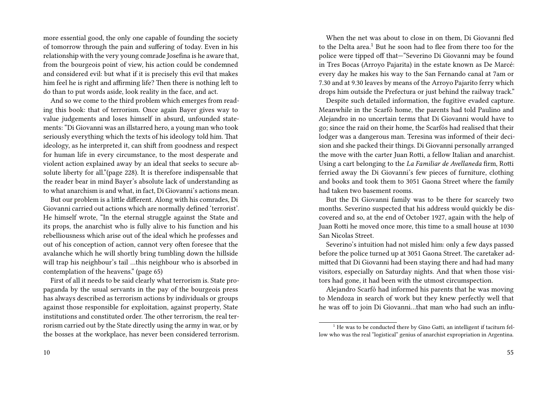more essential good, the only one capable of founding the society of tomorrow through the pain and suffering of today. Even in his relationship with the very young comrade Josefina is he aware that, from the bourgeois point of view, his action could be condemned and considered evil: but what if it is precisely this evil that makes him feel he is right and affirming life? Then there is nothing left to do than to put words aside, look reality in the face, and act.

And so we come to the third problem which emerges from reading this book: that of terrorism. Once again Bayer gives way to value judgements and loses himself in absurd, unfounded statements: "Di Giovanni was an illstarred hero, a young man who took seriously everything which the texts of his ideology told him. That ideology, as he interpreted it, can shift from goodness and respect for human life in every circumstance, to the most desperate and violent action explained away by an ideal that seeks to secure absolute liberty for all."(page 228). It is therefore indispensable that the reader bear in mind Bayer's absolute lack of understanding as to what anarchism is and what, in fact, Di Giovanni's actions mean.

But our problem is a little different. Along with his comrades, Di Giovanni carried out actions which are normally defined 'terrorist'. He himself wrote, "In the eternal struggle against the State and its props, the anarchist who is fully alive to his function and his rebelliousness which arise out of the ideal which he professes and out of his conception of action, cannot very often foresee that the avalanche which he will shortly bring tumbling down the hillside will trap his neighbour's tail …this neighbour who is absorbed in contemplation of the heavens." (page 65)

First of all it needs to be said clearly what terrorism is. State propaganda by the usual servants in the pay of the bourgeois press has always described as terrorism actions by individuals or groups against those responsible for exploitation, against property, State institutions and constituted order. The other terrorism, the real terrorism carried out by the State directly using the army in war, or by the bosses at the workplace, has never been considered terrorism.

When the net was about to close in on them, Di Giovanni fled to the Delta area.<sup>1</sup> But he soon had to flee from there too for the police were tipped off that—"Severino Di Giovanni may be found in Tres Bocas (Arroyo Pajarita) in the estate known as De Marcé: every day he makes his way to the San Fernando canal at 7am or 7.30 and at 9.30 leaves by means of the Arroyo Pajarito ferry which drops him outside the Prefectura or just behind the railway track."

Despite such detailed information, the fugitive evaded capture. Meanwhile in the Scarfó home, the parents had told Paulino and Alejandro in no uncertain terms that Di Giovanni would have to go; since the raid on their home, the Scarfós had realised that their lodger was a dangerous man. Teresina was informed of their decision and she packed their things. Di Giovanni personally arranged the move with the carter Juan Rotti, a fellow Italian and anarchist. Using a cart belonging to the *La Familiar de Avellaneda* firm, Rotti ferried away the Di Giovanni's few pieces of furniture, clothing and books and took them to 3051 Gaona Street where the family had taken two basement rooms.

But the Di Giovanni family was to be there for scarcely two months. Severino suspected that his address would quickly be discovered and so, at the end of October 1927, again with the help of Juan Rotti he moved once more, this time to a small house at 1030 San Nicolas Street.

Severino's intuition had not misled him: only a few days passed before the police turned up at 3051 Gaona Street. The caretaker admitted that Di Giovanni had been staying there and had had many visitors, especially on Saturday nights. And that when those visitors had gone, it had been with the utmost circumspection.

Alejandro Scarfó had informed his parents that he was moving to Mendoza in search of work but they knew perfectly well that he was off to join Di Giovanni…that man who had such an influ-

 $1$ <sup>1</sup> He was to be conducted there by Gino Gatti, an intelligent if taciturn fellow who was the real "logistical" genius of anarchist expropriation in Argentina.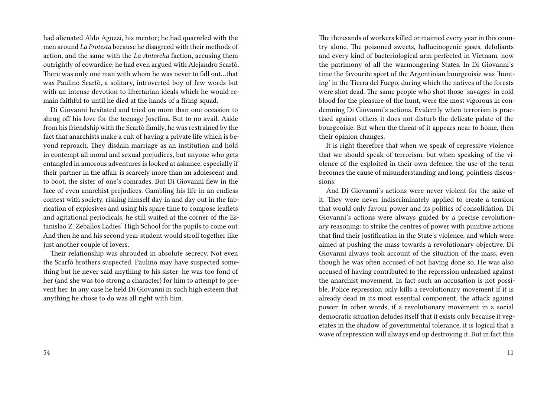had alienated Aldo Aguzzi, his mentor; he had quarreled with the men around *La Protesta* because he disagreed with their methods of action, and the same with the *La Antorcha* faction, accusing them outrightly of cowardice; he had even argued with Alejandro Scarfó. There was only one man with whom he was never to fall out…that was Paulino Scarfó, a solitary, introverted boy of few words but with an intense devotion to libertarian ideals which he would remain faithful to until he died at the hands of a firing squad.

Di Giovanni hesitated and tried on more than one occasion to shrug off his love for the teenage Josefina. But to no avail. Aside from his friendship with the Scarfó family, he was restrained by the fact that anarchists make a cult of having a private life which is beyond reproach. They disdain marriage as an institution and hold in contempt all moral and sexual prejudices, but anyone who gets entangled in amorous adventures is looked at askance, especially if their partner in the affair is scarcely more than an adolescent and, to boot, the sister of one's comrades. But Di Giovanni flew in the face of even anarchist prejudices. Gambling his life in an endless contest with society, risking himself day in and day out in the fabrication of explosives and using his spare time to compose leaflets and agitational periodicals, he still waited at the corner of the Estanislao Z. Zeballos Ladies' High School for the pupils to come out. And then he and his second year student would stroll together like just another couple of lovers.

Their relationship was shrouded in absolute secrecy. Not even the Scarfó brothers suspected. Paulino may have suspected something but he never said anything to his sister: he was too fond of her (and she was too strong a character) for him to attempt to prevent her. In any case he held Di Giovanni in such high esteem that anything he chose to do was all right with him.

The thousands of workers killed or maimed every year in this country alone. The poisoned sweets, hallucinogenic gases, defoliants and every kind of bacteriological arm perfected in Vietnam, now the patrimony of all the warmongering States. In Di Giovanni's time the favourite sport of the Argentinian bourgeoisie was 'hunting' in the Tierra del Fuego, during which the natives of the forests were shot dead. The same people who shot those 'savages' in cold blood for the pleasure of the hunt, were the most vigorous in condemning Di Giovanni's actions. Evidently when terrorism is practised against others it does not disturb the delicate palate of the bourgeoisie. But when the threat of it appears near to home, then their opinion changes.

It is right therefore that when we speak of repressive violence that we should speak of terrorism, but when speaking of the violence of the exploited in their own defence, the use of the term becomes the cause of misunderstanding and long, pointless discussions.

And Di Giovanni's actions were never violent for the sake of it. They were never indiscriminately applied to create a tension that would only favour power and its politics of consolidation. Di Giovanni's actions were always guided by a precise revolutionary reasoning: to strike the centres of power with punitive actions that find their justification in the State's violence, and which were aimed at pushing the mass towards a revolutionary objective. Di Giovanni always took account of the situation of the mass, even though he was often accused of not having done so. He was also accused of having contributed to the repression unleashed against the anarchist movement. In fact such an accusation is not possible. Police repression only kills a revolutionary movement if it is already dead in its most essential component, the attack against power. In other words, if a revolutionary movement in a social democratic situation deludes itself that it exists only because it vegetates in the shadow of governmental tolerance, it is logical that a wave of repression will always end up destroying it. But in fact this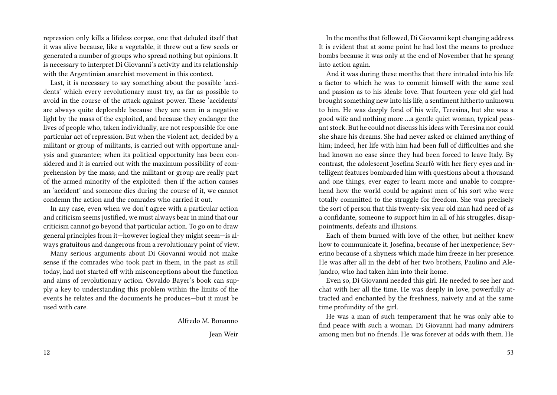repression only kills a lifeless corpse, one that deluded itself that it was alive because, like a vegetable, it threw out a few seeds or generated a number of groups who spread nothing but opinions. It is necessary to interpret Di Giovanni's activity and its relationship with the Argentinian anarchist movement in this context.

Last, it is necessary to say something about the possible 'accidents' which every revolutionary must try, as far as possible to avoid in the course of the attack against power. These 'accidents' are always quite deplorable because they are seen in a negative light by the mass of the exploited, and because they endanger the lives of people who, taken individually, are not responsible for one particular act of repression. But when the violent act, decided by a militant or group of militants, is carried out with opportune analysis and guarantee; when its political opportunity has been considered and it is carried out with the maximum possibility of comprehension by the mass; and the militant or group are really part of the armed minority of the exploited: then if the action causes an 'accident' and someone dies during the course of it, we cannot condemn the action and the comrades who carried it out.

In any case, even when we don't agree with a particular action and criticism seems justified, we must always bear in mind that our criticism cannot go beyond that particular action. To go on to draw general principles from it—however logical they might seem—is always gratuitous and dangerous from a revolutionary point of view.

Many serious arguments about Di Giovanni would not make sense if the comrades who took part in them, in the past as still today, had not started off with misconceptions about the function and aims of revolutionary action. Osvaldo Bayer's book can supply a key to understanding this problem within the limits of the events he relates and the documents he produces—but it must be used with care.

Alfredo M. Bonanno

Jean Weir

In the months that followed, Di Giovanni kept changing address. It is evident that at some point he had lost the means to produce bombs because it was only at the end of November that he sprang into action again.

And it was during these months that there intruded into his life a factor to which he was to commit himself with the same zeal and passion as to his ideals: love. That fourteen year old girl had brought something new into his life, a sentiment hitherto unknown to him. He was deeply fond of his wife, Teresina, but she was a good wife and nothing more …a gentle quiet woman, typical peasant stock. But he could not discuss his ideas with Teresina nor could she share his dreams. She had never asked or claimed anything of him; indeed, her life with him had been full of difficulties and she had known no ease since they had been forced to leave Italy. By contrast, the adolescent Josefina Scarfó with her fiery eyes and intelligent features bombarded him with questions about a thousand and one things, ever eager to learn more and unable to comprehend how the world could be against men of his sort who were totally committed to the struggle for freedom. She was precisely the sort of person that this twenty-six year old man had need of as a confidante, someone to support him in all of his struggles, disappointments, defeats and illusions.

Each of them burned with love of the other, but neither knew how to communicate it. Josefina, because of her inexperience; Severino because of a shyness which made him freeze in her presence. He was after all in the debt of her two brothers, Paulino and Alejandro, who had taken him into their home.

Even so, Di Giovanni needed this girl. He needed to see her and chat with her all the time. He was deeply in love, powerfully attracted and enchanted by the freshness, naivety and at the same time profundity of the girl.

He was a man of such temperament that he was only able to find peace with such a woman. Di Giovanni had many admirers among men but no friends. He was forever at odds with them. He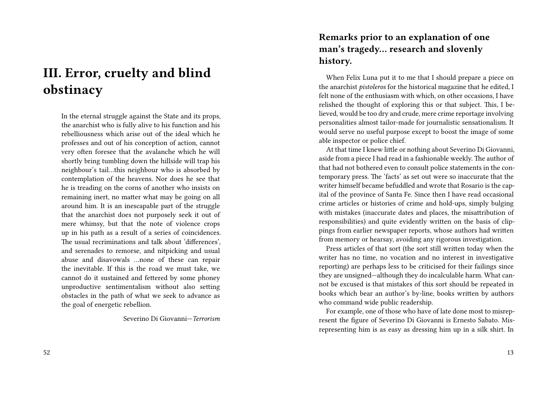# **III. Error, cruelty and blind obstinacy**

In the eternal struggle against the State and its props, the anarchist who is fully alive to his function and his rebelliousness which arise out of the ideal which he professes and out of his conception of action, cannot very often foresee that the avalanche which he will shortly bring tumbling down the hillside will trap his neighbour's tail…this neighbour who is absorbed by contemplation of the heavens. Nor does he see that he is treading on the corns of another who insists on remaining inert, no matter what may be going on all around him. It is an inescapable part of the struggle that the anarchist does not purposely seek it out of mere whimsy, but that the note of violence crops up in his path as a result of a series of coincidences. The usual recriminations and talk about 'differences', and serenades to remorse, and nitpicking and usual abuse and disavowals …none of these can repair the inevitable. If this is the road we must take, we cannot do it sustained and fettered by some phoney unproductive sentimentalism without also setting obstacles in the path of what we seek to advance as the goal of energetic rebellion.

Severino Di Giovanni—*Terrorism*

### **Remarks prior to an explanation of one man's tragedy… research and slovenly history.**

When Felix Luna put it to me that I should prepare a piece on the anarchist *pistoleros* for the historical magazine that he edited, I felt none of the enthusiasm with which, on other occasions, I have relished the thought of exploring this or that subject. This, I believed, would be too dry and crude, mere crime reportage involving personalities almost tailor-made for journalistic sensationalism. It would serve no useful purpose except to boost the image of some able inspector or police chief.

At that time I knew little or nothing about Severino Di Giovanni, aside from a piece I had read in a fashionable weekly. The author of that had not bothered even to consult police statements in the contemporary press. The 'facts' as set out were so inaccurate that the writer himself became befuddled and wrote that Rosario is the capital of the province of Santa Fe. Since then I have read occasional crime articles or histories of crime and hold-ups, simply bulging with mistakes (inaccurate dates and places, the misattribution of responsibilities) and quite evidently written on the basis of clippings from earlier newspaper reports, whose authors had written from memory or hearsay, avoiding any rigorous investigation.

Press articles of that sort (the sort still written today when the writer has no time, no vocation and no interest in investigative reporting) are perhaps less to be criticised for their failings since they are unsigned—although they do incalculable harm. What cannot be excused is that mistakes of this sort should be repeated in books which bear an author's by-line, books written by authors who command wide public readership.

For example, one of those who have of late done most to misrepresent the figure of Severino Di Giovanni is Ernesto Sabato. Misrepresenting him is as easy as dressing him up in a silk shirt. In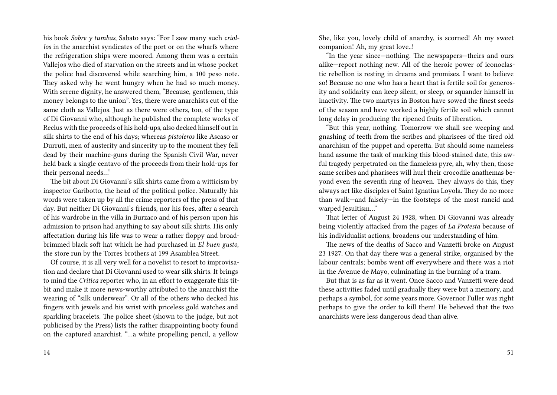his book *Sobre y tumbas*, Sabato says: "For I saw many such *criollos* in the anarchist syndicates of the port or on the wharfs where the refrigeration ships were moored. Among them was a certain Vallejos who died of starvation on the streets and in whose pocket the police had discovered while searching him, a 100 peso note. They asked why he went hungry when he had so much money. With serene dignity, he answered them, "Because, gentlemen, this money belongs to the union". Yes, there were anarchists cut of the same cloth as Vallejos. Just as there were others, too, of the type of Di Giovanni who, although he published the complete works of Reclus with the proceeds of his hold-ups, also decked himself out in silk shirts to the end of his days; whereas *pistoleros* like Ascaso or Durruti, men of austerity and sincerity up to the moment they fell dead by their machine-guns during the Spanish Civil War, never held back a single centavo of the proceeds from their hold-ups for their personal needs…"

The bit about Di Giovanni's silk shirts came from a witticism by inspector Garibotto, the head of the political police. Naturally his words were taken up by all the crime reporters of the press of that day. But neither Di Giovanni's friends, nor his foes, after a search of his wardrobe in the villa in Burzaco and of his person upon his admission to prison had anything to say about silk shirts. His only affectation during his life was to wear a rather floppy and broadbrimmed black soft hat which he had purchased in *El buen gusto*, the store run by the Torres brothers at 199 Asamblea Street.

Of course, it is all very well for a novelist to resort to improvisation and declare that Di Giovanni used to wear silk shirts. It brings to mind the *Crítica* reporter who, in an effort to exaggerate this titbit and make it more news-worthy attributed to the anarchist the wearing of "silk underwear". Or all of the others who decked his fingers with jewels and his wrist with priceless gold watches and sparkling bracelets. The police sheet (shown to the judge, but not publicised by the Press) lists the rather disappointing booty found on the captured anarchist. "…a white propelling pencil, a yellow

14

She, like you, lovely child of anarchy, is scorned! Ah my sweet companion! Ah, my great love..!

"In the year since—nothing. The newspapers—theirs and ours alike—report nothing new. All of the heroic power of iconoclastic rebellion is resting in dreams and promises. I want to believe so! Because no one who has a heart that is fertile soil for generosity and solidarity can keep silent, or sleep, or squander himself in inactivity. The two martyrs in Boston have sowed the finest seeds of the season and have worked a highly fertile soil which cannot long delay in producing the ripened fruits of liberation.

"But this year, nothing. Tomorrow we shall see weeping and gnashing of teeth from the scribes and pharisees of the tired old anarchism of the puppet and operetta. But should some nameless hand assume the task of marking this blood-stained date, this awful tragedy perpetrated on the flameless pyre, ah, why then, those same scribes and pharisees will hurl their crocodile anathemas beyond even the seventh ring of heaven. They always do this, they always act like disciples of Saint Ignatius Loyola. They do no more than walk—and falsely—in the footsteps of the most rancid and warped Jesuitism…"

That letter of August 24 1928, when Di Giovanni was already being violently attacked from the pages of *La Protesta* because of his individualist actions, broadens our understanding of him.

The news of the deaths of Sacco and Vanzetti broke on August 23 1927. On that day there was a general strike, organised by the labour centrals; bombs went off everywhere and there was a riot in the Avenue de Mayo, culminating in the burning of a tram.

But that is as far as it went. Once Sacco and Vanzetti were dead these activities faded until gradually they were but a memory, and perhaps a symbol, for some years more. Governor Fuller was right perhaps to give the order to kill them! He believed that the two anarchists were less dangerous dead than alive.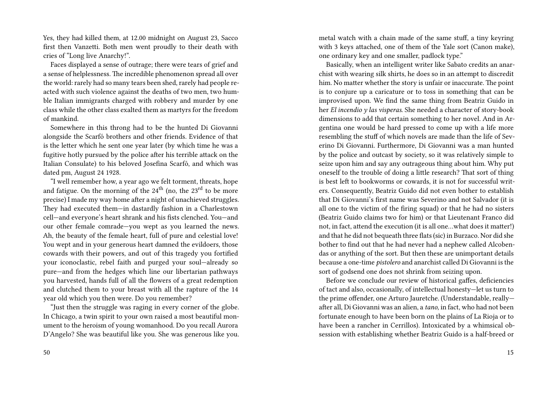Yes, they had killed them, at 12.00 midnight on August 23, Sacco first then Vanzetti. Both men went proudly to their death with cries of "Long live Anarchy!".

Faces displayed a sense of outrage; there were tears of grief and a sense of helplessness. The incredible phenomenon spread all over the world: rarely had so many tears been shed, rarely had people reacted with such violence against the deaths of two men, two humble Italian immigrants charged with robbery and murder by one class while the other class exalted them as martyrs for the freedom of mankind.

Somewhere in this throng had to be the hunted Di Giovanni alongside the Scarfó brothers and other friends. Evidence of that is the letter which he sent one year later (by which time he was a fugitive hotly pursued by the police after his terrible attack on the Italian Consulate) to his beloved Josefina Scarfó, and which was dated pm, August 24 1928.

"I well remember how, a year ago we felt torment, threats, hope and fatigue. On the morning of the  $24<sup>th</sup>$  (no, the  $23<sup>rd</sup>$  to be more precise) I made my way home after a night of unachieved struggles. They had executed them—in dastardly fashion in a Charlestown cell—and everyone's heart shrank and his fists clenched. You—and our other female comrade—you wept as you learned the news. Ah, the beauty of the female heart, full of pure and celestial love! You wept and in your generous heart damned the evildoers, those cowards with their powers, and out of this tragedy you fortified your iconoclastic, rebel faith and purged your soul—already so pure—and from the hedges which line our libertarian pathways you harvested, hands full of all the flowers of a great redemption and clutched them to your breast with all the rapture of the 14 year old which you then were. Do you remember?

"Just then the struggle was raging in every corner of the globe. In Chicago, a twin spirit to your own raised a most beautiful monument to the heroism of young womanhood. Do you recall Aurora D'Angelo? She was beautiful like you. She was generous like you. metal watch with a chain made of the same stuff, a tiny keyring with 3 keys attached, one of them of the Yale sort (Canon make), one ordinary key and one smaller, padlock type."

Basically, when an intelligent writer like Sabato credits an anarchist with wearing silk shirts, he does so in an attempt to discredit him. No matter whether the story is unfair or inaccurate. The point is to conjure up a caricature or to toss in something that can be improvised upon. We find the same thing from Beatriz Guido in her *El incendio y las visperas*. She needed a character of story-book dimensions to add that certain something to her novel. And in Argentina one would be hard pressed to come up with a life more resembling the stuff of which novels are made than the life of Severino Di Giovanni. Furthermore, Di Giovanni was a man hunted by the police and outcast by society, so it was relatively simple to seize upon him and say any outrageous thing about him. Why put oneself to the trouble of doing a little research? That sort of thing is best left to bookworms or cowards, it is not for successful writers. Consequently, Beatriz Guido did not even bother to establish that Di Giovanni's first name was Severino and not Salvador (it is all one to the victim of the firing squad) or that he had no sisters (Beatriz Guido claims two for him) or that Lieutenant Franco did not, in fact, attend the execution (it is all one…what does it matter!) and that he did not bequeath three flats (sic) in Burzaco. Nor did she bother to find out that he had never had a nephew called Alcobendas or anything of the sort. But then these are unimportant details because a one-time *pistolero* and anarchist called Di Giovanni is the sort of godsend one does not shrink from seizing upon.

Before we conclude our review of historical gaffes, deficiencies of tact and also, occasionally, of intellectual honesty—let us turn to the prime offender, one Arturo Jauretche. (Understandable, really after all, Di Giovanni was an alien, a *tano*, in fact, who had not been fortunate enough to have been born on the plains of La Rioja or to have been a rancher in Cerrillos). Intoxicated by a whimsical obsession with establishing whether Beatriz Guido is a half-breed or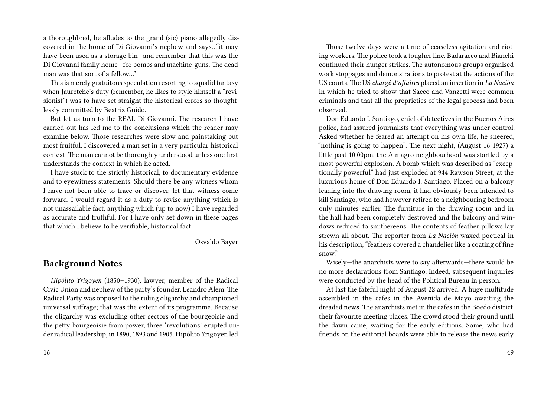a thoroughbred, he alludes to the grand (sic) piano allegedly discovered in the home of Di Giovanni's nephew and says…"it may have been used as a storage bin—and remember that this was the Di Giovanni family home—for bombs and machine-guns. The dead man was that sort of a fellow…"

This is merely gratuitous speculation resorting to squalid fantasy when Jauretche's duty (remember, he likes to style himself a "revisionist") was to have set straight the historical errors so thoughtlessly committed by Beatriz Guido.

But let us turn to the REAL Di Giovanni. The research I have carried out has led me to the conclusions which the reader may examine below. Those researches were slow and painstaking but most fruitful. I discovered a man set in a very particular historical context. The man cannot be thoroughly understood unless one first understands the context in which he acted.

I have stuck to the strictly historical, to documentary evidence and to eyewitness statements. Should there be any witness whom I have not been able to trace or discover, let that witness come forward. I would regard it as a duty to revise anything which is not unassailable fact, anything which (up to now) I have regarded as accurate and truthful. For I have only set down in these pages that which I believe to be verifiable, historical fact.

Osvaldo Bayer

#### **Background Notes**

*Hipólito Yrigoyen* (1850–1930), lawyer, member of the Radical Civic Union and nephew of the party's founder, Leandro Alem. The Radical Party was opposed to the ruling oligarchy and championed universal suffrage; that was the extent of its programme. Because the oligarchy was excluding other sectors of the bourgeoisie and the petty bourgeoisie from power, three 'revolutions' erupted under radical leadership, in 1890, 1893 and 1905. Hipólito Yrigoyen led

Those twelve days were a time of ceaseless agitation and rioting workers. The police took a tougher line. Badaracco and Bianchi continued their hunger strikes. The autonomous groups organised work stoppages and demonstrations to protest at the actions of the US courts. The US *chargé d'affaires* placed an insertion in *La Nación* in which he tried to show that Sacco and Vanzetti were common criminals and that all the proprieties of the legal process had been observed.

Don Eduardo I. Santiago, chief of detectives in the Buenos Aires police, had assured journalists that everything was under control. Asked whether he feared an attempt on his own life, he sneered, "nothing is going to happen". The next night, (August 16 1927) a little past 10.00pm, the Almagro neighbourhood was startled by a most powerful explosion. A bomb which was described as "exceptionally powerful" had just exploded at 944 Rawson Street, at the luxurious home of Don Eduardo I. Santiago. Placed on a balcony leading into the drawing room, it had obviously been intended to kill Santiago, who had however retired to a neighbouring bedroom only minutes earlier. The furniture in the drawing room and in the hall had been completely destroyed and the balcony and windows reduced to smithereens. The contents of feather pillows lay strewn all about. The reporter from *La Nación* waxed poetical in his description, "feathers covered a chandelier like a coating of fine snow."

Wisely—the anarchists were to say afterwards—there would be no more declarations from Santiago. Indeed, subsequent inquiries were conducted by the head of the Political Bureau in person.

At last the fateful night of August 22 arrived. A huge multitude assembled in the cafes in the Avenida de Mayo awaiting the dreaded news. The anarchists met in the cafes in the Boedo district, their favourite meeting places. The crowd stood their ground until the dawn came, waiting for the early editions. Some, who had friends on the editorial boards were able to release the news early.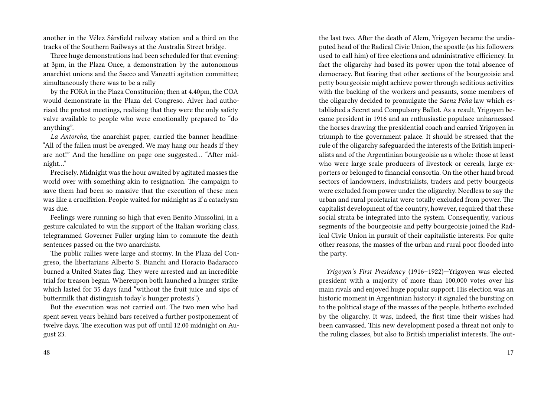another in the Vélez Sársfield railway station and a third on the tracks of the Southern Railways at the Australia Street bridge.

Three huge demonstrations had been scheduled for that evening: at 3pm, in the Plaza Once, a demonstration by the autonomous anarchist unions and the Sacco and Vanzetti agitation committee; simultaneously there was to be a rally

by the FORA in the Plaza Constitución; then at 4.40pm, the COA would demonstrate in the Plaza del Congreso. Alver had authorised the protest meetings, realising that they were the only safety valve available to people who were emotionally prepared to "do anything".

*La Antorcha*, the anarchist paper, carried the banner headline: "All of the fallen must be avenged. We may hang our heads if they are not!" And the headline on page one suggested… "After midnight…"

Precisely. Midnight was the hour awaited by agitated masses the world over with something akin to resignation. The campaign to save them had been so massive that the execution of these men was like a crucifixion. People waited for midnight as if a cataclysm was due.

Feelings were running so high that even Benito Mussolini, in a gesture calculated to win the support of the Italian working class, telegrammed Governer Fuller urging him to commute the death sentences passed on the two anarchists.

The public rallies were large and stormy. In the Plaza del Congreso, the libertarians Alberto S. Bianchi and Horacio Badaracco burned a United States flag. They were arrested and an incredible trial for treason began. Whereupon both launched a hunger strike which lasted for 35 days (and "without the fruit juice and sips of buttermilk that distinguish today's hunger protests").

But the execution was not carried out. The two men who had spent seven years behind bars received a further postponement of twelve days. The execution was put off until 12.00 midnight on August 23.

the last two. After the death of Alem, Yrigoyen became the undisputed head of the Radical Civic Union, the apostle (as his followers used to call him) of free elections and administrative efficiency. In fact the oligarchy had based its power upon the total absence of democracy. But fearing that other sections of the bourgeoisie and petty bourgeoisie might achieve power through seditious activities with the backing of the workers and peasants, some members of the oligarchy decided to promulgate the *Saenz Peña* law which established a Secret and Compulsory Ballot. As a result, Yrigoyen became president in 1916 and an enthusiastic populace unharnessed the horses drawing the presidential coach and carried Yrigoyen in triumph to the government palace. It should be stressed that the rule of the oligarchy safeguarded the interests of the British imperialists and of the Argentinian bourgeoisie as a whole: those at least who were large scale producers of livestock or cereals, large exporters or belonged to financial consortia. On the other hand broad sectors of landowners, industrialists, traders and petty bourgeois were excluded from power under the oligarchy. Needless to say the urban and rural proletariat were totally excluded from power. The capitalist development of the country, however, required that these social strata be integrated into the system. Consequently, various segments of the bourgeoisie and petty bourgeoisie joined the Radical Civic Union in pursuit of their capitalistic interests. For quite other reasons, the masses of the urban and rural poor flooded into the party.

*Yrigoyen's First Presidency* (1916–1922)—Yrigoyen was elected president with a majority of more than 100,000 votes over his main rivals and enjoyed huge popular support. His election was an historic moment in Argentinian history: it signaled the bursting on to the political stage of the masses of the people, hitherto excluded by the oligarchy. It was, indeed, the first time their wishes had been canvassed. This new development posed a threat not only to the ruling classes, but also to British imperialist interests. The out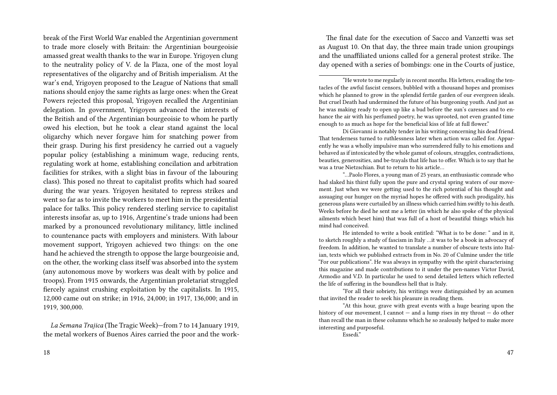break of the First World War enabled the Argentinian government to trade more closely with Britain: the Argentinian bourgeoisie amassed great wealth thanks to the war in Europe. Yrigoyen clung to the neutrality policy of V. de la Plaza, one of the most loyal representatives of the oligarchy and of British imperialism. At the war's end, Yrigoyen proposed to the League of Nations that small nations should enjoy the same rights as large ones: when the Great Powers rejected this proposal, Yrigoyen recalled the Argentinian delegation. In government, Yrigoyen advanced the interests of the British and of the Argentinian bourgeoisie to whom he partly owed his election, but he took a clear stand against the local oligarchy which never forgave him for snatching power from their grasp. During his first presidency he carried out a vaguely popular policy (establishing a minimum wage, reducing rents, regulating work at home, establishing concilation and arbitration facilities for strikes, with a slight bias in favour of the labouring class). This posed no threat to capitalist profits which had soared during the war years. Yrigoyen hesitated to repress strikes and went so far as to invite the workers to meet him in the presidential palace for talks. This policy rendered sterling service to capitalist interests insofar as, up to 1916, Argentine's trade unions had been marked by a pronounced revolutionary militancy, little inclined to countenance pacts with employers and ministers. With labour movement support, Yrigoyen achieved two things: on the one hand he achieved the strength to oppose the large bourgeoisie and, on the other, the working class itself was absorbed into the system (any autonomous move by workers was dealt with by police and troops). From 1915 onwards, the Argentinian proletariat struggled fiercely against crushing exploitation by the capitalists. In 1915, 12,000 came out on strike; in 1916, 24,000; in 1917, 136,000; and in 1919, 300,000.

*La Semana Trajica* (The Tragic Week)—from 7 to 14 January 1919, the metal workers of Buenos Aires carried the poor and the work-

The final date for the execution of Sacco and Vanzetti was set as August 10. On that day, the three main trade union groupings and the unaffiliated unions called for a general protest strike. The day opened with a series of bombings: one in the Courts of justice,

"He wrote to me regularly in recent months. His letters, evading the tentacles of the awful fascist censors, bubbled with a thousand hopes and promises which he planned to grow in the splendid fertile garden of our evergreen ideals. But cruel Death had undermined the future of his burgeoning youth. And just as he was making ready to open up like a bud before the sun's caresses and to enhance the air with his perfumed poetry, he was uprooted, not even granted time enough to as much as hope for the beneficial kiss of life at full flower."

Di Giovanni is notably tender in his writing concerning his dead friend. That tenderness turned to ruthlessness later when action was called for. Apparently he was a wholly impulsive man who surrendered fully to his emotions and behaved as if intoxicated by the whole gamut of colours, struggles, contradictions, beauties, generosities, and be-trayals that life has to offer. Which is to say that he was a true Nietzschian. But to return to his article…

"…Paolo Flores, a young man of 25 years, an enthusiastic comrade who had slaked his thirst fully upon the pure and crystal spring waters of our movement. Just when we were getting used to the rich potential of his thought and assuaging our hunger on the myriad hopes he offered with such prodigality, his generous plans were curtailed by an illness which carried him swiftly to his death. Weeks before he died he sent me a letter (in which he also spoke of the physical ailments which beset him) that was full of a host of beautiful things which his mind had conceived.

He intended to write a book entitled: "What is to be done: " and in it, to sketch roughly a study of fascism in Italy …it was to be a book in advocacy of freedom. In addition, he wanted to translate a number of obscure texts into Italian, texts which we published extracts from in No. 20 of Culmine under the title "For our publications". He was always in sympathy with the spirit characterising this magazine and made contributions to it under the pen-names Victor David, Armodio and V.D. In particular he used to send detailed letters which reflected the life of suffering in the boundless hell that is Italy.

"For all their sobriety, his writings were distinguished by an acumen that invited the reader to seek his pleasure in reading them.

"At this hour, grave with great events with a huge bearing upon the history of our movement, I cannot — and a lump rises in my throat — do other than recall the man in these columns which he so zealously helped to make more interesting and purposeful.

Essedi<sup>"</sup>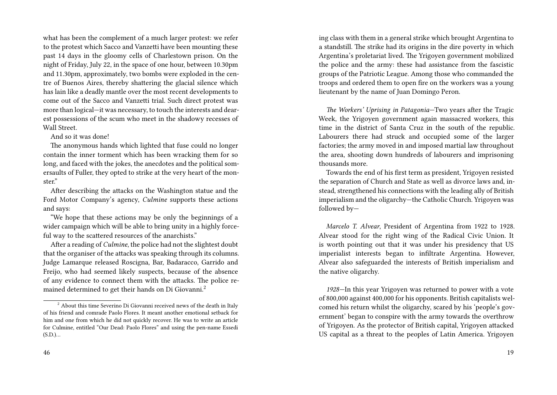what has been the complement of a much larger protest: we refer to the protest which Sacco and Vanzetti have been mounting these past 14 days in the gloomy cells of Charlestown prison. On the night of Friday, July 22, in the space of one hour, between 10.30pm and 11.30pm, approximately, two bombs were exploded in the centre of Buenos Aires, thereby shattering the glacial silence which has lain like a deadly mantle over the most recent developments to come out of the Sacco and Vanzetti trial. Such direct protest was more than logical—it was necessary, to touch the interests and dearest possessions of the scum who meet in the shadowy recesses of Wall Street.

And so it was done!

The anonymous hands which lighted that fuse could no longer contain the inner torment which has been wracking them for so long, and faced with the jokes, the anecdotes and the political somersaults of Fuller, they opted to strike at the very heart of the monster."

After describing the attacks on the Washington statue and the Ford Motor Company's agency, *Culmine* supports these actions and says:

"We hope that these actions may be only the beginnings of a wider campaign which will be able to bring unity in a highly forceful way to the scattered resources of the anarchists."

After a reading of *Culmine*, the police had not the slightest doubt that the organiser of the attacks was speaking through its columns. Judge Lamarque released Roscigna, Bar, Badaracco, Garrido and Freijo, who had seemed likely suspects, because of the absence of any evidence to connect them with the attacks. The police remained determined to get their hands on Di Giovanni.<sup>2</sup>

ing class with them in a general strike which brought Argentina to a standstill. The strike had its origins in the dire poverty in which Argentina's proletariat lived. The Yrigoyen government mobilized the police and the army: these had assistance from the fascistic groups of the Patriotic League. Among those who commanded the troops and ordered them to open fire on the workers was a young lieutenant by the name of Juan Domingo Peron.

*The Workers' Uprising in Patagonia*—Two years after the Tragic Week, the Yrigoyen government again massacred workers, this time in the district of Santa Cruz in the south of the republic. Labourers there had struck and occupied some of the larger factories; the army moved in and imposed martial law throughout the area, shooting down hundreds of labourers and imprisoning thousands more.

Towards the end of his first term as president, Yrigoyen resisted the separation of Church and State as well as divorce laws and, instead, strengthened his connections with the leading ally of British imperialism and the oligarchy—the Catholic Church. Yrigoyen was followed by—

*Marcelo T. Alvear*, President of Argentina from 1922 to 1928. Alvear stood for the right wing of the Radical Civic Union. It is worth pointing out that it was under his presidency that US imperialist interests began to infiltrate Argentina. However, Alvear also safeguarded the interests of British imperialism and the native oligarchy.

*1928*—In this year Yrigoyen was returned to power with a vote of 800,000 against 400,000 for his opponents. British capitalists welcomed his return whilst the oligarchy, scared by his 'people's government' began to conspire with the army towards the overthrow of Yrigoyen. As the protector of British capital, Yrigoyen attacked US capital as a threat to the peoples of Latin America. Yrigoyen

 $2$  About this time Severino Di Giovanni received news of the death in Italy of his friend and comrade Paolo Flores. It meant another emotional setback for him and one from which he did not quickly recover. He was to write an article for Culmine, entitled "Our Dead: Paolo Flores" and using the pen-name Essedi (S.D.)…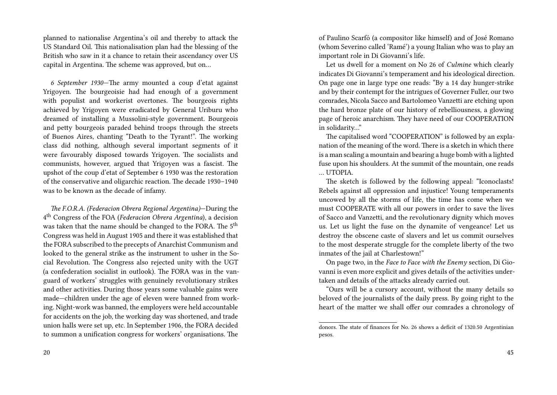planned to nationalise Argentina's oil and thereby to attack the US Standard Oil. This nationalisation plan had the blessing of the British who saw in it a chance to retain their ascendancy over US capital in Argentina. The scheme was approved, but on…

*6 September 1930*—The army mounted a coup d'etat against Yrigoyen. The bourgeoisie had had enough of a government with populist and workerist overtones. The bourgeois rights achieved by Yrigoyen were eradicated by General Uriburu who dreamed of installing a Mussolini-style government. Bourgeois and petty bourgeois paraded behind troops through the streets of Buenos Aires, chanting "Death to the Tyrant!". The working class did nothing, although several important segments of it were favourably disposed towards Yrigoyen. The socialists and communists, however, argued that Yrigoyen was a fascist. The upshot of the coup d'etat of September 6 1930 was the restoration of the conservative and oligarchic reaction. The decade 1930–1940 was to be known as the decade of infamy.

*The F.O.R.A. (Federacion Obrera Regional Argentina)*—During the 4 th Congress of the FOA (*Federacion Obrera Argentina*), a decision was taken that the name should be changed to the FORA. The 5<sup>th</sup> Congress was held in August 1905 and there it was established that the FORA subscribed to the precepts of Anarchist Communism and looked to the general strike as the instrument to usher in the Social Revolution. The Congress also rejected unity with the UGT (a confederation socialist in outlook). The FORA was in the vanguard of workers' struggles with genuinely revolutionary strikes and other activities. During those years some valuable gains were made—children under the age of eleven were banned from working. Night-work was banned, the employers were held accountable for accidents on the job, the working day was shortened, and trade union halls were set up, etc. In September 1906, the FORA decided to summon a unification congress for workers' organisations. The of Paulino Scarfó (a compositor like himself) and of José Romano (whom Severino called 'Ramé') a young Italian who was to play an important role in Di Giovanni's life.

Let us dwell for a moment on No 26 of *Culmine* which clearly indicates Di Giovanni's temperament and his ideological direction. On page one in large type one reads: "By a 14 day hunger-strike and by their contempt for the intrigues of Governer Fuller, our two comrades, Nicola Sacco and Bartolomeo Vanzetti are etching upon the hard bronze plate of our history of rebelliousness, a glowing page of heroic anarchism. They have need of our COOPERATION in solidarity…"

The capitalised word "COOPERATION" is followed by an explanation of the meaning of the word. There is a sketch in which there is a man scaling a mountain and bearing a huge bomb with a lighted fuse upon his shoulders. At the summit of the mountain, one reads … UTOPIA.

The sketch is followed by the following appeal: "Iconoclasts! Rebels against all oppression and injustice! Young temperaments uncowed by all the storms of life, the time has come when we must COOPERATE with all our powers in order to save the lives of Sacco and Vanzetti, and the revolutionary dignity which moves us. Let us light the fuse on the dynamite of vengeance! Let us destroy the obscene caste of slavers and let us commit ourselves to the most desperate struggle for the complete liberty of the two inmates of the jail at Charlestown!"

On page two, in the *Face to Face with the Enemy* section, Di Giovanni is even more explicit and gives details of the activities undertaken and details of the attacks already carried out.

"Ours will be a cursory account, without the many details so beloved of the journalists of the daily press. By going right to the heart of the matter we shall offer our comrades a chronology of

donors. The state of finances for No. 26 shows a deficit of 1320.50 Argentinian pesos.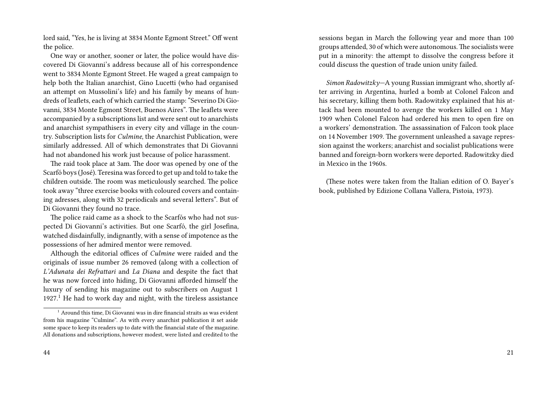lord said, "Yes, he is living at 3834 Monte Egmont Street." Off went the police.

One way or another, sooner or later, the police would have discovered Di Giovanni's address because all of his correspondence went to 3834 Monte Egmont Street. He waged a great campaign to help both the Italian anarchist, Gino Lucetti (who had organised an attempt on Mussolini's life) and his family by means of hundreds of leaflets, each of which carried the stamp: "Severino Di Giovanni, 3834 Monte Egmont Street, Buenos Aires". The leaflets were accompanied by a subscriptions list and were sent out to anarchists and anarchist sympathisers in every city and village in the country. Subscription lists for *Culmine*, the Anarchist Publication, were similarly addressed. All of which demonstrates that Di Giovanni had not abandoned his work just because of police harassment.

The raid took place at 3am. The door was opened by one of the Scarfó boys (José). Teresina was forced to get up and told to take the children outside. The room was meticulously searched. The police took away "three exercise books with coloured covers and containing adresses, along with 32 periodicals and several letters". But of Di Giovanni they found no trace.

The police raid came as a shock to the Scarfós who had not suspected Di Giovanni's activities. But one Scarfó, the girl Josefina, watched disdainfully, indignantly, with a sense of impotence as the possessions of her admired mentor were removed.

Although the editorial offices of *Culmine* were raided and the originals of issue number 26 removed (along with a collection of *L'Adunata dei Refrattari* and *La Diana* and despite the fact that he was now forced into hiding, Di Giovanni afforded himself the luxury of sending his magazine out to subscribers on August 1  $1927<sup>1</sup>$  He had to work day and night, with the tireless assistance

44

sessions began in March the following year and more than 100 groups attended, 30 of which were autonomous. The socialists were put in a minority: the attempt to dissolve the congress before it could discuss the question of trade union unity failed.

*Simon Radowitzky*—A young Russian immigrant who, shortly after arriving in Argentina, hurled a bomb at Colonel Falcon and his secretary, killing them both. Radowitzky explained that his attack had been mounted to avenge the workers killed on 1 May 1909 when Colonel Falcon had ordered his men to open fire on a workers' demonstration. The assassination of Falcon took place on 14 November 1909. The government unleashed a savage repression against the workers; anarchist and socialist publications were banned and foreign-born workers were deported. Radowitzky died in Mexico in the 1960s.

(These notes were taken from the Italian edition of O. Bayer's book, published by Edizione Collana Vallera, Pistoia, 1973).

 $1$  Around this time. Di Giovanni was in dire financial straits as was evident from his magazine "Culmine". As with every anarchist publication it set aside some space to keep its readers up to date with the financial state of the magazine. All donations and subscriptions, however modest, were listed and credited to the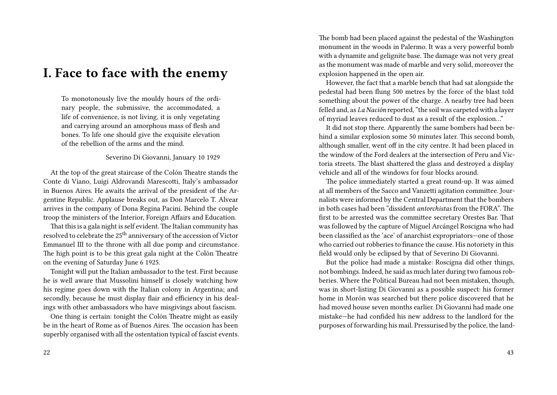## **I. Face to face with the enemy**

To monotonously live the mouldy hours of the ordinary people, the submissive, the accommodated, a life of convenience, is not living, it is only vegetating and carrying around an amorphous mass of flesh and bones. To life one should give the exquisite elevation of the rebellion of the arms and the mind.

#### Severino Di Giovanni, January 10 1929

At the top of the great staircase of the Colón Theatre stands the Conte di Viano, Luigi Aldrovandi Marescotti, Italy's ambassador in Buenos Aires. He awaits the arrival of the president of the Argentine Republic. Applause breaks out, as Don Marcelo T. Alvear arrives in the company of Dona Regina Pacini. Behind the couple troop the ministers of the Interior, Foreign Affairs and Education.

That this is a gala night is self evident. The Italian community has resolved to celebrate the 25th anniversary of the accession of Victor Emmanuel III to the throne with all due pomp and circumstance. The high point is to be this great gala night at the Colón Theatre on the evening of Saturday June 6 1925.

Tonight will put the Italian ambassador to the test. First because he is well aware that Mussolini himself is closely watching how his regime goes down with the Italian colony in Argentina; and secondly, because he must display flair and efficiency in his dealings with other ambassadors who have misgivings about fascism.

One thing is certain: tonight the Colón Theatre might as easily be in the heart of Rome as of Buenos Aires. The occasion has been superbly organised with all the ostentation typical of fascist events.

The bomb had been placed against the pedestal of the Washington monument in the woods in Palermo. It was a very powerful bomb with a dynamite and gelignite base. The damage was not very great as the monument was made of marble and very solid, moreover the explosion happened in the open air.

However, the fact that a marble bench that had sat alongside the pedestal had been flung 500 metres by the force of the blast told something about the power of the charge. A nearby tree had been felled and, as *La Nación* reported, "the soil was carpeted with a layer of myriad leaves reduced to dust as a result of the explosion…"

It did not stop there. Apparently the same bombers had been behind a similar explosion some 50 minutes later. This second bomb, although smaller, went off in the city centre. It had been placed in the window of the Ford dealers at the intersection of Peru and Victoria streets. The blast shattered the glass and destroyed a display vehicle and all of the windows for four blocks around.

The police immediately started a great round-up. It was aimed at all members of the Sacco and Vanzetti agitation committee. Journalists were informed by the Central Department that the bombers in both cases had been "dissident *antorchistas* from the FORA". The first to be arrested was the committee secretary Orestes Bar. That was followed by the capture of Miguel Arcángel Roscigna who had been classified as the 'ace' of anarchist expropriators—one of those who carried out robberies to finance the cause. His notoriety in this field would only be eclipsed by that of Severino Di Giovanni.

But the police had made a mistake: Roscigna did other things, not bombings. Indeed, he said as much later during two famous robberies. Where the Political Bureau had not been mistaken, though, was in short-listing Di Giovanni as a possible suspect: his former home in Morón was searched but there police discovered that he had moved house seven months earlier. Di Giovanni had made one mistake—he had confided his new address to the landlord for the purposes of forwarding his mail. Pressurised by the police, the land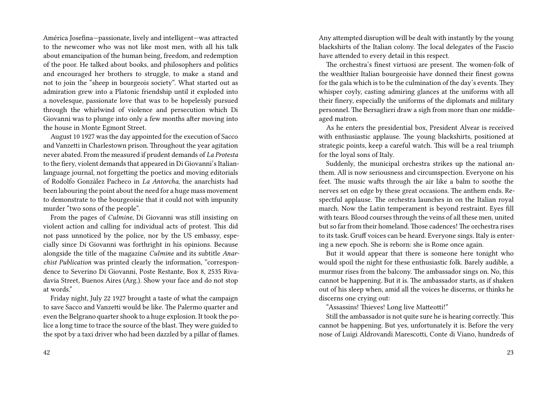América Josefina—passionate, lively and intelligent—was attracted to the newcomer who was not like most men, with all his talk about emancipation of the human being, freedom, and redemption of the poor. He talked about books, and philosophers and politics and encouraged her brothers to struggle, to make a stand and not to join the "sheep in bourgeois society". What started out as admiration grew into a Platonic friendship until it exploded into a novelesque, passionate love that was to be hopelessly pursued through the whirlwind of violence and persecution which Di Giovanni was to plunge into only a few months after moving into the house in Monte Egmont Street.

August 10 1927 was the day appointed for the execution of Sacco and Vanzetti in Charlestown prison. Throughout the year agitation never abated. From the measured if prudent demands of *La Protesta* to the fiery, violent demands that appeared in Di Giovanni's Italianlanguage journal, not forgetting the poetics and moving editorials of Rodolfo González Pacheco in *La Antorcha*, the anarchists had been labouring the point about the need for a huge mass movement to demonstrate to the bourgeoisie that it could not with impunity murder "two sons of the people".

From the pages of *Culmine*, Di Giovanni was still insisting on violent action and calling for individual acts of protest. This did not pass unnoticed by the police, nor by the US embassy, especially since Di Giovanni was forthright in his opinions. Because alongside the title of the magazine *Culmine* and its subtitle *Anarchist Publication* was printed clearly the information, "correspondence to Severino Di Giovanni, Poste Restante, Box 8, 2535 Rivadavia Street, Buenos Aires (Arg.). Show your face and do not stop at words."

Friday night, July 22 1927 brought a taste of what the campaign to save Sacco and Vanzetti would be like. The Palermo quarter and even the Belgrano quarter shook to a huge explosion. It took the police a long time to trace the source of the blast. They were guided to the spot by a taxi driver who had been dazzled by a pillar of flames. Any attempted disruption will be dealt with instantly by the young blackshirts of the Italian colony. The local delegates of the Fascio have attended to every detail in this respect.

The orchestra's finest virtuosi are present. The women-folk of the wealthier Italian bourgeoisie have donned their finest gowns for the gala which is to be the culmination of the day's events. They whisper coyly, casting admiring glances at the uniforms with all their finery, especially the uniforms of the diplomats and military personnel. The Bersaglieri draw a sigh from more than one middleaged matron.

As he enters the presidential box, President Alvear is received with enthusiastic applause. The young blackshirts, positioned at strategic points, keep a careful watch. This will be a real triumph for the loyal sons of Italy.

Suddenly, the municipal orchestra strikes up the national anthem. All is now seriousness and circumspection. Everyone on his feet. The music wafts through the air like a balm to soothe the nerves set on edge by these great occasions. The anthem ends. Respectful applause. The orchestra launches in on the Italian royal march. Now the Latin temperament is beyond restraint. Eyes fill with tears. Blood courses through the veins of all these men, united but so far from their homeland. Those cadences! The orchestra rises to its task. Gruff voices can be heard. Everyone sings. Italy is entering a new epoch. She is reborn: she is Rome once again.

But it would appear that there is someone here tonight who would spoil the night for these enthusiastic folk. Barely audible, a murmur rises from the balcony. The ambassador sings on. No, this cannot be happening. But it is. The ambassador starts, as if shaken out of his sleep when, amid all the voices he discerns, or thinks he discerns one crying out:

"Assassins! Thieves! Long live Matteotti!"

Still the ambassador is not quite sure he is hearing correctly. This cannot be happening. But yes, unfortunately it is. Before the very nose of Luigi Aldrovandi Marescotti, Conte di Viano, hundreds of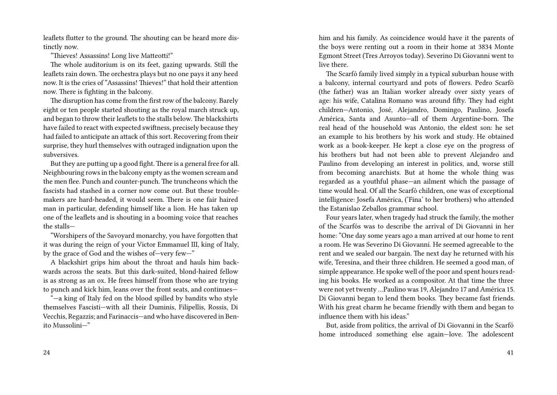leaflets flutter to the ground. The shouting can be heard more distinctly now.

"Thieves! Assassins! Long live Matteotti!"

The whole auditorium is on its feet, gazing upwards. Still the leaflets rain down. The orchestra plays but no one pays it any heed now. It is the cries of "Assassins! Thieves!" that hold their attention now. There is fighting in the balcony.

The disruption has come from the first row of the balcony. Barely eight or ten people started shouting as the royal march struck up, and began to throw their leaflets to the stalls below. The blackshirts have failed to react with expected swiftness, precisely because they had failed to anticipate an attack of this sort. Recovering from their surprise, they hurl themselves with outraged indignation upon the subversives.

But they are putting up a good fight. There is a general free for all. Neighbouring rows in the balcony empty as the women scream and the men flee. Punch and counter-punch. The truncheons which the fascists had stashed in a corner now come out. But these troublemakers are hard-headed, it would seem. There is one fair haired man in particular, defending himself like a lion. He has taken up one of the leaflets and is shouting in a booming voice that reaches the stalls—

"Worshipers of the Savoyard monarchy, you have forgotten that it was during the reign of your Victor Emmanuel III, king of Italy, by the grace of God and the wishes of—very few—"

A blackshirt grips him about the throat and hauls him backwards across the seats. But this dark-suited, blond-haired fellow is as strong as an ox. He frees himself from those who are trying to punch and kick him, leans over the front seats, and continues—

"—a king of Italy fed on the blood spilled by bandits who style themselves Fascisti—with all their Duminis, Filipellis, Rossis, Di Vecchis, Regazzis; and Farinaccis—and who have discovered in Benito Mussolini—"

him and his family. As coincidence would have it the parents of the boys were renting out a room in their home at 3834 Monte Egmont Street (Tres Arroyos today). Severino Di Giovanni went to live there.

The Scarfó family lived simply in a typical suburban house with a balcony, internal courtyard and pots of flowers. Pedro Scarfó (the father) was an Italian worker already over sixty years of age: his wife, Catalina Romano was around fifty. They had eight children—Antonio, José, Alejandro, Domingo, Paulino, Josefa América, Santa and Asunto—all of them Argentine-born. The real head of the household was Antonio, the eldest son: he set an example to his brothers by his work and study. He obtained work as a book-keeper. He kept a close eye on the progress of his brothers but had not been able to prevent Alejandro and Paulino from developing an interest in politics, and, worse still from becoming anarchists. But at home the whole thing was regarded as a youthful phase—an ailment which the passage of time would heal. Of all the Scarfó children, one was of exceptional intelligence: Josefa América, ('Fina' to her brothers) who attended the Estanislao Zeballos grammar school.

Four years later, when tragedy had struck the family, the mother of the Scarfós was to describe the arrival of Di Giovanni in her home: "One day some years ago a man arrived at our home to rent a room. He was Severino Di Giovanni. He seemed agreeable to the rent and we sealed our bargain. The next day he returned with his wife, Teresina, and their three children. He seemed a good man, of simple appearance. He spoke well of the poor and spent hours reading his books. He worked as a compositor. At that time the three were not yet twenty …Paulino was 19, Alejandro 17 and América 15. Di Giovanni began to lend them books. They became fast friends. With his great charm he became friendly with them and began to influence them with his ideas."

But, aside from politics, the arrival of Di Giovanni in the Scarfó home introduced something else again—love. The adolescent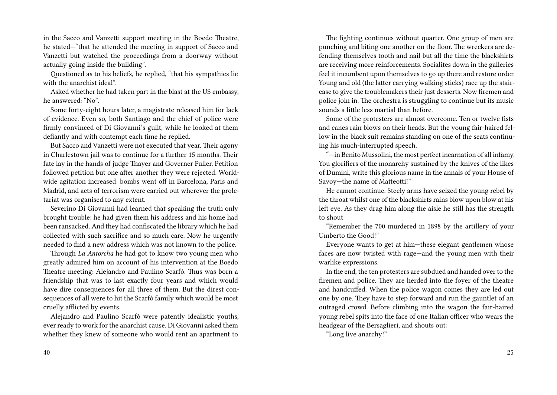in the Sacco and Vanzetti support meeting in the Boedo Theatre, he stated—"that he attended the meeting in support of Sacco and Vanzetti but watched the proceedings from a doorway without actually going inside the building".

Questioned as to his beliefs, he replied, "that his sympathies lie with the anarchist ideal".

Asked whether he had taken part in the blast at the US embassy, he answered: "No".

Some forty-eight hours later, a magistrate released him for lack of evidence. Even so, both Santiago and the chief of police were firmly convinced of Di Giovanni's guilt, while he looked at them defiantly and with contempt each time he replied.

But Sacco and Vanzetti were not executed that year. Their agony in Charlestown jail was to continue for a further 15 months. Their fate lay in the hands of judge Thayer and Governer Fuller. Petition followed petition but one after another they were rejected. Worldwide agitation increased: bombs went off in Barcelona, Paris and Madrid, and acts of terrorism were carried out wherever the proletariat was organised to any extent.

Severino Di Giovanni had learned that speaking the truth only brought trouble: he had given them his address and his home had been ransacked. And they had confiscated the library which he had collected with such sacrifice and so much care. Now he urgently needed to find a new address which was not known to the police.

Through *La Antorcha* he had got to know two young men who greatly admired him on account of his intervention at the Boedo Theatre meeting: Alejandro and Paulino Scarfó. Thus was born a friendship that was to last exactly four years and which would have dire consequences for all three of them. But the direst consequences of all were to hit the Scarfó family which would be most cruelly afflicted by events.

Alejandro and Paulino Scarfó were patently idealistic youths, ever ready to work for the anarchist cause. Di Giovanni asked them whether they knew of someone who would rent an apartment to

The fighting continues without quarter. One group of men are punching and biting one another on the floor. The wreckers are defending themselves tooth and nail but all the time the blackshirts are receiving more reinforcements. Socialites down in the galleries feel it incumbent upon themselves to go up there and restore order. Young and old (the latter carrying walking sticks) race up the staircase to give the troublemakers their just desserts. Now firemen and police join in. The orchestra is struggling to continue but its music sounds a little less martial than before.

Some of the protesters are almost overcome. Ten or twelve fists and canes rain blows on their heads. But the young fair-haired fellow in the black suit remains standing on one of the seats continuing his much-interrupted speech.

"—in Benito Mussolini, the most perfect incarnation of all infamy. You glorifiers of the monarchy sustained by the knives of the likes of Dumini, write this glorious name in the annals of your House of Savoy—the name of Matteotti!"

He cannot continue. Steely arms have seized the young rebel by the throat whilst one of the blackshirts rains blow upon blow at his left eye. As they drag him along the aisle he still has the strength to shout:

"Remember the 700 murdered in 1898 by the artillery of your Umberto the Good!"

Everyone wants to get at him—these elegant gentlemen whose faces are now twisted with rage—and the young men with their warlike expressions.

In the end, the ten protesters are subdued and handed over to the firemen and police. They are herded into the foyer of the theatre and handcuffed. When the police wagon comes they are led out one by one. They have to step forward and run the gauntlet of an outraged crowd. Before climbing into the wagon the fair-haired young rebel spits into the face of one Italian officer who wears the headgear of the Bersaglieri, and shouts out:

"Long live anarchy!"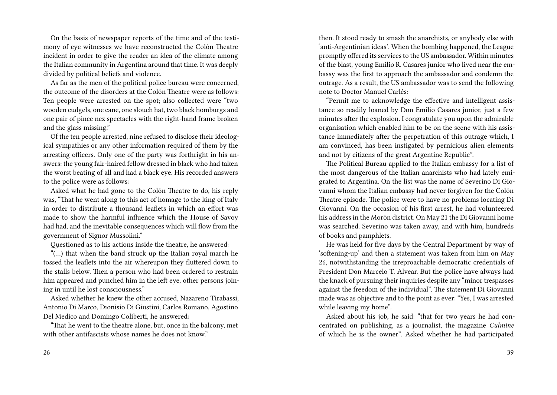On the basis of newspaper reports of the time and of the testimony of eye witnesses we have reconstructed the Colón Theatre incident in order to give the reader an idea of the climate among the Italian community in Argentina around that time. It was deeply divided by political beliefs and violence.

As far as the men of the political police bureau were concerned, the outcome of the disorders at the Colón Theatre were as follows: Ten people were arrested on the spot; also collected were "two wooden cudgels, one cane, one slouch hat, two black homburgs and one pair of pince nez spectacles with the right-hand frame broken and the glass missing."

Of the ten people arrested, nine refused to disclose their ideological sympathies or any other information required of them by the arresting officers. Only one of the party was forthright in his answers: the young fair-haired fellow dressed in black who had taken the worst beating of all and had a black eye. His recorded answers to the police were as follows:

Asked what he had gone to the Colón Theatre to do, his reply was, "That he went along to this act of homage to the king of Italy in order to distribute a thousand leaflets in which an effort was made to show the harmful influence which the House of Savoy had had, and the inevitable consequences which will flow from the government of Signor Mussolini."

Questioned as to his actions inside the theatre, he answered:

"(…) that when the band struck up the Italian royal march he tossed the leaflets into the air whereupon they fluttered down to the stalls below. Then a person who had been ordered to restrain him appeared and punched him in the left eye, other persons joining in until he lost consciousness."

Asked whether he knew the other accused, Nazareno Tirabassi, Antonio Di Marco, Dionisio Di Giustini, Carlos Romano, Agostino Del Medico and Domingo Coliberti, he answered:

"That he went to the theatre alone, but, once in the balcony, met with other antifascists whose names he does not know"

then. It stood ready to smash the anarchists, or anybody else with 'anti-Argentinian ideas'. When the bombing happened, the League promptly offered its services to the US ambassador. Within minutes of the blast, young Emilio R. Casares junior who lived near the embassy was the first to approach the ambassador and condemn the outrage. As a result, the US ambassador was to send the following note to Doctor Manuel Carlés:

"Permit me to acknowledge the effective and intelligent assistance so readily loaned by Don Emilio Casares junior, just a few minutes after the explosion. I congratulate you upon the admirable organisation which enabled him to be on the scene with his assistance immediately after the perpetration of this outrage which, I am convinced, has been instigated by pernicious alien elements and not by citizens of the great Argentine Republic".

The Political Bureau applied to the Italian embassy for a list of the most dangerous of the Italian anarchists who had lately emigrated to Argentina. On the list was the name of Severino Di Giovanni whom the Italian embassy had never forgiven for the Colón Theatre episode. The police were to have no problems locating Di Giovanni. On the occasion of his first arrest, he had volunteered his address in the Morón district. On May 21 the Di Giovanni home was searched. Severino was taken away, and with him, hundreds of books and pamphlets.

He was held for five days by the Central Department by way of 'softening-up' and then a statement was taken from him on May 26, notwithstanding the irreproachable democratic credentials of President Don Marcelo T. Alvear. But the police have always had the knack of pursuing their inquiries despite any "minor trespasses against the freedom of the individual". The statement Di Giovanni made was as objective and to the point as ever: "Yes, I was arrested while leaving my home".

Asked about his job, he said: "that for two years he had concentrated on publishing, as a journalist, the magazine *Culmine* of which he is the owner". Asked whether he had participated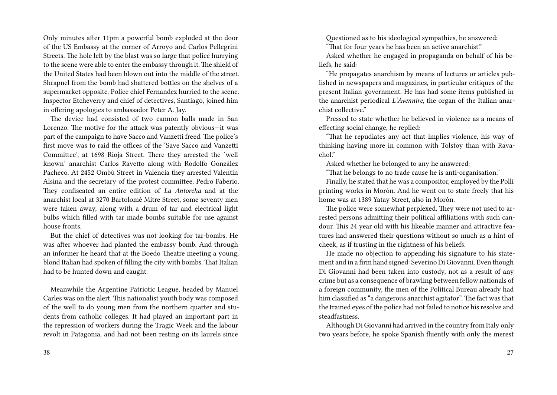Only minutes after 11pm a powerful bomb exploded at the door of the US Embassy at the corner of Arroyo and Carlos Pellegrini Streets. The hole left by the blast was so large that police hurrying to the scene were able to enter the embassy through it. The shield of the United States had been blown out into the middle of the street. Shrapnel from the bomb had shattered bottles on the shelves of a supermarket opposite. Police chief Fernandez hurried to the scene. Inspector Etcheverry and chief of detectives, Santiago, joined him in offering apologies to ambassador Peter A. Jay.

The device had consisted of two cannon balls made in San Lorenzo. The motive for the attack was patently obvious—it was part of the campaign to have Sacco and Vanzetti freed. The police's first move was to raid the offices of the 'Save Sacco and Vanzetti Committee', at 1698 Rioja Street. There they arrested the 'well known' anarchist Carlos Ravetto along with Rodolfo González Pacheco. At 2452 Ombú Street in Valencia they arrested Valentin Alsina and the secretary of the protest committee, Pedro Faberio. They confiscated an entire edition of *La Antorcha* and at the anarchist local at 3270 Bartolomé Mitre Street, some seventy men were taken away, along with a drum of tar and electrical light bulbs which filled with tar made bombs suitable for use against house fronts.

But the chief of detectives was not looking for tar-bombs. He was after whoever had planted the embassy bomb. And through an informer he heard that at the Boedo Theatre meeting a young, blond Italian had spoken of filling the city with bombs. That Italian had to be hunted down and caught.

Meanwhile the Argentine Patriotic League, headed by Manuel Carles was on the alert. This nationalist youth body was composed of the well to do young men from the northern quarter and students from catholic colleges. It had played an important part in the repression of workers during the Tragic Week and the labour revolt in Patagonia, and had not been resting on its laurels since

38

Questioned as to his ideological sympathies, he answered:

"That for four years he has been an active anarchist."

Asked whether he engaged in propaganda on behalf of his beliefs, he said:

"He propagates anarchism by means of lectures or articles published in newspapers and magazines, in particular critiques of the present Italian government. He has had some items published in the anarchist periodical *L'Avennire*, the organ of the Italian anarchist collective."

Pressed to state whether he believed in violence as a means of effecting social change, he replied:

"That he repudiates any act that implies violence, his way of thinking having more in common with Tolstoy than with Ravachol."

Asked whether he belonged to any he answered:

"That he belongs to no trade cause he is anti-organisation."

Finally, he stated that he was a compositor, employed by the Polli printing works in Morón. And he went on to state freely that his home was at 1389 Yatay Street, also in Morón.

The police were somewhat perplexed. They were not used to arrested persons admitting their political affiliations with such candour. This 24 year old with his likeable manner and attractive features had answered their questions without so much as a hint of cheek, as if trusting in the rightness of his beliefs.

He made no objection to appending his signature to his statement and in a firm hand signed: Severino Di Giovanni. Even though Di Giovanni had been taken into custody, not as a result of any crime but as a consequence of brawling between fellow nationals of a foreign community, the men of the Political Bureau already had him classified as "a dangerous anarchist agitator". The fact was that the trained eyes of the police had not failed to notice his resolve and steadfastness.

Although Di Giovanni had arrived in the country from Italy only two years before, he spoke Spanish fluently with only the merest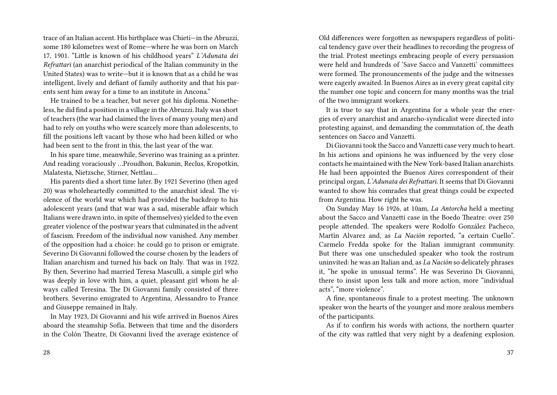trace of an Italian accent. His birthplace was Chieti—in the Abruzzi, some 180 kilometres west of Rome—where he was born on March 17, 1901. "Little is known of his childhood years" *L'Adunata dei Refrattari* (an anarchist periodical of the Italian community in the United States) was to write—but it is known that as a child he was intelligent, lively and defiant of family authority and that his parents sent him away for a time to an institute in Ancona."

He trained to be a teacher, but never got his diploma. Nonetheless, he did find a position in a village in the Abruzzi. Italy was short of teachers (the war had claimed the lives of many young men) and had to rely on youths who were scarcely more than adolescents, to fill the positions left vacant by those who had been killed or who had been sent to the front in this, the last year of the war.

In his spare time, meanwhile, Severino was training as a printer. And reading voraciously …Proudhon, Bakunin, Reclus, Kropotkin, Malatesta, Nietzsche, Stirner, Nettlau…

His parents died a short time later. By 1921 Severino (then aged 20) was wholeheartedly committed to the anarchist ideal. The violence of the world war which had provided the backdrop to his adolescent years (and that war was a sad, miserable affair which Italians were drawn into, in spite of themselves) yielded to the even greater violence of the postwar years that culminated in the advent of fascism. Freedom of the individual now vanished. Any member of the opposition had a choice: he could go to prison or emigrate. Severino Di Giovanni followed the course chosen by the leaders of Italian anarchism and turned his back on Italy. That was in 1922. By then, Severino had married Teresa Masculli, a simple girl who was deeply in love with him, a quiet, pleasant girl whom he always called Teresina. The Di Giovanni family consisted of three brothers. Severino emigrated to Argentina, Alessandro to France and Giuseppe remained in Italy.

In May 1923, Di Giovanni and his wife arrived in Buenos Aires aboard the steamship Sofía. Between that time and the disorders in the Colón Theatre, Di Giovanni lived the average existence of Old differences were forgotten as newspapers regardless of political tendency gave over their headlines to recording the progress of the trial. Protest meetings embracing people of every persuasion were held and hundreds of 'Save Sacco and Vanzetti' committees were formed. The pronouncements of the judge and the witnesses were eagerly awaited. In Buenos Aires as in every great capital city the number one topic and concern for many months was the trial of the two immigrant workers.

It is true to say that in Argentina for a whole year the energies of every anarchist and anarcho-syndicalist were directed into protesting against, and demanding the commutation of, the death sentences on Sacco and Vanzetti.

Di Giovanni took the Sacco and Vanzetti case very much to heart. In his actions and opinions he was influenced by the very close contacts he maintained with the New York-based Italian anarchists. He had been appointed the Buenos Aires correspondent of their principal organ, *L'Adunata dei Refrattari*. It seems that Di Giovanni wanted to show his comrades that great things could be expected from Argentina. How right he was.

On Sunday May 16 1926, at 10am, *La Antorcha* held a meeting about the Sacco and Vanzetti case in the Boedo Theatre: over 250 people attended. The speakers were Rodolfo González Pacheco, Martín Alvarez and, as *La Nación* reported, "a certain Cuello". Carmelo Fredda spoke for the Italian immigrant community. But there was one unscheduled speaker who took the rostrum uninvited: he was an Italian and, as *La Nación* so delicately phrases it, "he spoke in unusual terms". He was Severino Di Giovanni, there to insist upon less talk and more action, more "individual acts", "more violence".

A fine, spontaneous finale to a protest meeting. The unknown speaker won the hearts of the younger and more zealous members of the participants.

As if to confirm his words with actions, the northern quarter of the city was rattled that very night by a deafening explosion.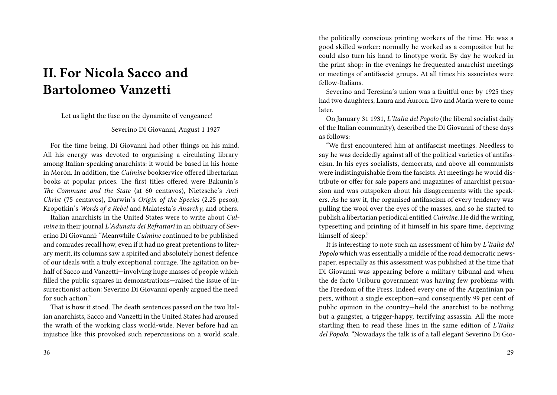# **II. For Nicola Sacco and Bartolomeo Vanzetti**

Let us light the fuse on the dynamite of vengeance!

Severino Di Giovanni, August 1 1927

For the time being, Di Giovanni had other things on his mind. All his energy was devoted to organising a circulating library among Italian-speaking anarchists: it would be based in his home in Morón. In addition, the *Culmine* bookservice offered libertarian books at popular prices. The first titles offered were Bakunin's *The Commune and the State* (at 60 centavos), Nietzsche's *Anti Christ* (75 centavos), Darwin's *Origin of the Species* (2.25 pesos), Kropotkin's *Words of a Rebel* and Malatesta's *Anarchy*, and others.

Italian anarchists in the United States were to write about *Culmine* in their journal *L'Adunata dei Refrattari* in an obituary of Severino Di Giovanni: "Meanwhile *Culmine* continued to be published and comrades recall how, even if it had no great pretentions to literary merit, its columns saw a spirited and absolutely honest defence of our ideals with a truly exceptional courage. The agitation on behalf of Sacco and Vanzetti—involving huge masses of people which filled the public squares in demonstrations—raised the issue of insurrectionist action: Severino Di Giovanni openly argued the need for such action."

That is how it stood. The death sentences passed on the two Italian anarchists, Sacco and Vanzetti in the United States had aroused the wrath of the working class world-wide. Never before had an injustice like this provoked such repercussions on a world scale.

the politically conscious printing workers of the time. He was a good skilled worker: normally he worked as a compositor but he could also turn his hand to linotype work. By day he worked in the print shop: in the evenings he frequented anarchist meetings or meetings of antifascist groups. At all times his associates were fellow-Italians.

Severino and Teresina's union was a fruitful one: by 1925 they had two daughters, Laura and Aurora. Ilvo and Maria were to come later.

On January 31 1931, *L'Italia del Popolo* (the liberal socialist daily of the Italian community), described the Di Giovanni of these days as follows:

"We first encountered him at antifascist meetings. Needless to say he was decidedly against all of the political varieties of antifascism. In his eyes socialists, democrats, and above all communists were indistinguishable from the fascists. At meetings he would distribute or offer for sale papers and magazines of anarchist persuasion and was outspoken about his disagreements with the speakers. As he saw it, the organised antifascism of every tendency was pulling the wool over the eyes of the masses, and so he started to publish a libertarian periodical entitled *Culmine*. He did the writing, typesetting and printing of it himself in his spare time, depriving himself of sleep."

It is interesting to note such an assessment of him by *L'Italia del Popolo* which was essentially a middle of the road democratic newspaper, especially as this assessment was published at the time that Di Giovanni was appearing before a military tribunal and when the de facto Uriburu government was having few problems with the Freedom of the Press. Indeed every one of the Argentinian papers, without a single exception—and consequently 99 per cent of public opinion in the country—held the anarchist to be nothing but a gangster, a trigger-happy, terrifying assassin. All the more startling then to read these lines in the same edition of *L'Italia del Popolo*. "Nowadays the talk is of a tall elegant Severino Di Gio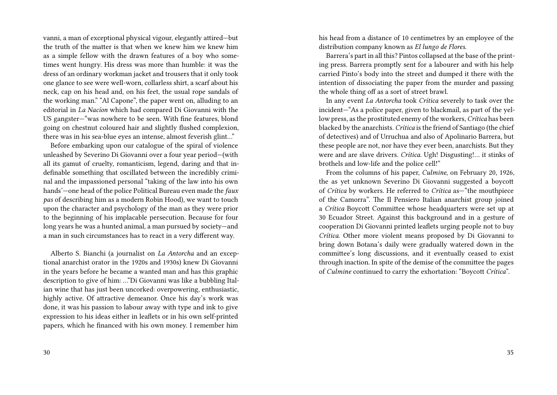vanni, a man of exceptional physical vigour, elegantly attired—but the truth of the matter is that when we knew him we knew him as a simple fellow with the drawn features of a boy who sometimes went hungry. His dress was more than humble: it was the dress of an ordinary workman jacket and trousers that it only took one glance to see were well-worn, collarless shirt, a scarf about his neck, cap on his head and, on his feet, the usual rope sandals of the working man." "Al Capone", the paper went on, alluding to an editorial in *La Nacíon* which had compared Di Giovanni with the US gangster—"was nowhere to be seen. With fine features, blond going on chestnut coloured hair and slightly flushed complexion, there was in his sea-blue eyes an intense, almost feverish glint…"

Before embarking upon our catalogue of the spiral of violence unleashed by Severino Di Giovanni over a four year period—(with all its gamut of cruelty, romanticism, legend, daring and that indefinable something that oscillated between the incredibly criminal and the impassioned personal "taking of the law into his own hands'—one head of the police Political Bureau even made the *faux pas* of describing him as a modern Robin Hood), we want to touch upon the character and psychology of the man as they were prior to the beginning of his implacable persecution. Because for four long years he was a hunted animal, a man pursued by society—and a man in such circumstances has to react in a very different way.

Alberto S. Bianchi (a journalist on *La Antorcha* and an exceptional anarchist orator in the 1920s and 1930s) knew Di Giovanni in the years before he became a wanted man and has this graphic description to give of him: …"Di Giovanni was like a bubbling Italian wine that has just been uncorked: overpowering, enthusiastic, highly active. Of attractive demeanor. Once his day's work was done, it was his passion to labour away with type and ink to give expression to his ideas either in leaflets or in his own self-printed papers, which he financed with his own money. I remember him his head from a distance of 10 centimetres by an employee of the distribution company known as *El lungo de Flores*.

Barrera's part in all this? Pintos collapsed at the base of the printing press. Barrera promptly sent for a labourer and with his help carried Pinto's body into the street and dumped it there with the intention of dissociating the paper from the murder and passing the whole thing off as a sort of street brawl.

In any event *La Antorcha* took *Crítica* severely to task over the incident—"As a police paper, given to blackmail, as part of the yellow press, as the prostituted enemy of the workers, *Crítica* has been blacked by the anarchists. *Crítica* is the friend of Santiago (the chief of detectives) and of Urruchua and also of Apolinario Barrera, but these people are not, nor have they ever been, anarchists. But they were and are slave drivers. *Crítica*. Ugh! Disgusting!… it stinks of brothels and low-life and the police cell!"

From the columns of his paper, *Culmine*, on February 20, 1926, the as yet unknown Severino Di Giovanni suggested a boycott of *Crítica* by workers. He referred to *Crítica* as—"the mouthpiece of the Camorra". The Il Pensiero Italian anarchist group joined a *Crítica* Boycott Committee whose headquarters were set up at 30 Ecuador Street. Against this background and in a gesture of cooperation Di Giovanni printed leaflets urging people not to buy *Crítica*. Other more violent means proposed by Di Giovanni to bring down Botana's daily were gradually watered down in the committee's long discussions, and it eventually ceased to exist through inaction. In spite of the demise of the committee the pages of *Culmine* continued to carry the exhortation: "Boycott *Crítica*".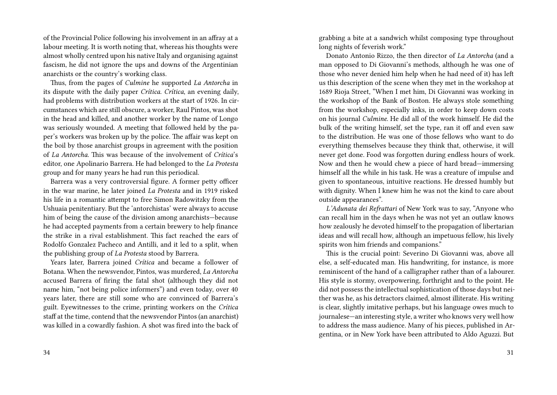of the Provincial Police following his involvement in an affray at a labour meeting. It is worth noting that, whereas his thoughts were almost wholly centred upon his native Italy and organising against fascism, he did not ignore the ups and downs of the Argentinian anarchists or the country's working class.

Thus, from the pages of *Culmine* he supported *La Antorcha* in its dispute with the daily paper *Crítica*. *Crítica*, an evening daily, had problems with distribution workers at the start of 1926. In circumstances which are still obscure, a worker, Raul Pintos, was shot in the head and killed, and another worker by the name of Longo was seriously wounded. A meeting that followed held by the paper's workers was broken up by the police. The affair was kept on the boil by those anarchist groups in agreement with the position of *La Antorcha*. This was because of the involvement of *Crítica*'s editor, one Apolinario Barrera. He had belonged to the *La Protesta* group and for many years he had run this periodical.

Barrera was a very controversial figure. A former petty officer in the war marine, he later joined *La Protesta* and in 1919 risked his life in a romantic attempt to free Simon Radowitzky from the Ushuaia penitentiary. But the 'antorchistas' were always to accuse him of being the cause of the division among anarchists—because he had accepted payments from a certain brewery to help finance the strike in a rival establishment. This fact reached the ears of Rodolfo Gonzalez Pacheco and Antilli, and it led to a split, when the publishing group of *La Protesta* stood by Barrera.

Years later, Barrera joined *Crítica* and became a follower of Botana. When the newsvendor, Pintos, was murdered, *La Antorcha* accused Barrera of firing the fatal shot (although they did not name him, "not being police informers") and even today, over 40 years later, there are still some who are convinced of Barrera's guilt. Eyewitnesses to the crime, printing workers on the *Crítica* staff at the time, contend that the newsvendor Pintos (an anarchist) was killed in a cowardly fashion. A shot was fired into the back of

grabbing a bite at a sandwich whilst composing type throughout long nights of feverish work."

Donato Antonio Rizzo, the then director of *La Antorcha* (and a man opposed to Di Giovanni's methods, although he was one of those who never denied him help when he had need of it) has left us this description of the scene when they met in the workshop at 1689 Rioja Street, "When I met him, Di Giovanni was working in the workshop of the Bank of Boston. He always stole something from the workshop, especially inks, in order to keep down costs on his journal *Culmine*. He did all of the work himself. He did the bulk of the writing himself, set the type, ran it off and even saw to the distribution. He was one of those fellows who want to do everything themselves because they think that, otherwise, it will never get done. Food was forgotten during endless hours of work. Now and then he would chew a piece of hard bread—immersing himself all the while in his task. He was a creature of impulse and given to spontaneous, intuitive reactions. He dressed humbly but with dignity. When I knew him he was not the kind to care about outside appearances".

*L'Adunata dei Refrattari* of New York was to say, "Anyone who can recall him in the days when he was not yet an outlaw knows how zealously he devoted himself to the propagation of libertarian ideas and will recall how, although an impetuous fellow, his lively spirits won him friends and companions."

This is the crucial point: Severino Di Giovanni was, above all else, a self-educated man. His handwriting, for instance, is more reminiscent of the hand of a calligrapher rather than of a labourer. His style is stormy, overpowering, forthright and to the point. He did not possess the intellectual sophistication of those days but neither was he, as his detractors claimed, almost illiterate. His writing is clear, slightly imitative perhaps, but his language owes much to journalese—an interesting style, a writer who knows very well how to address the mass audience. Many of his pieces, published in Argentina, or in New York have been attributed to Aldo Aguzzi. But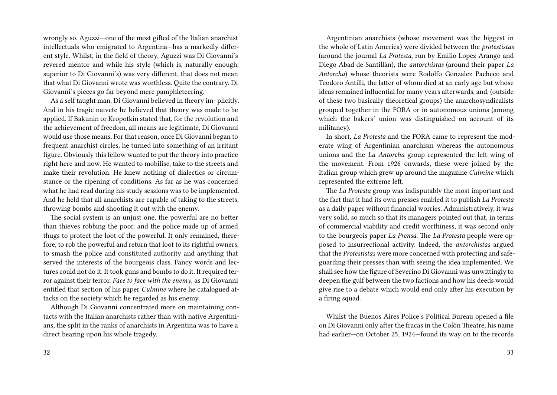wrongly so. Aguzzi—one of the most gifted of the Italian anarchist intellectuals who emigrated to Argentina—has a markedly different style. Whilst, in the field of theory, Aguzzi was Di Giovanni's revered mentor and while his style (which is, naturally enough, superior to Di Giovanni's) was very different, that does not mean that what Di Giovanni wrote was worthless.Quite the contrary. Di Giovanni's pieces go far beyond mere pamphleteering.

As a self taught man, Di Giovanni believed in theory im- plicitly. And in his tragic naivete he believed that theory was made to be applied. If Bakunin or Kropotkin stated that, for the revolution and the achievement of freedom, all means are legitimate, Di Giovanni would use those means. For that reason, once Di Giovanni began to frequent anarchist circles, he turned into something of an irritant figure. Obviously this fellow wanted to put the theory into practice right here and now. He wanted to mobilise, take to the streets and make their revolution. He knew nothing of dialectics or circumstance or the ripening of conditions. As far as he was concerned what he had read during his study sessions was to be implemented. And he held that all anarchists are capable of taking to the streets, throwing bombs and shooting it out with the enemy.

The social system is an unjust one, the powerful are no better than thieves robbing the poor, and the police made up of armed thugs to protect the loot of the powerful. It only remained, therefore, to rob the powerful and return that loot to its rightful owners, to smash the police and constituted authority and anything that served the interests of the bourgeois class. Fancy words and lectures could not do it. It took guns and bombs to do it. It required terror against their terror. *Face to face with the enemy*, as Di Giovanni entitled that section of his paper *Culmine* where he catalogued attacks on the society which he regarded as his enemy.

Although Di Giovanni concentrated more on maintaining contacts with the Italian anarchists rather than with native Argentinians, the split in the ranks of anarchists in Argentina was to have a direct bearing upon his whole tragedy.

Argentinian anarchists (whose movement was the biggest in the whole of Latin America) were divided between the *protestistas* (around the journal *La Protesta*, run by Emilio Lopez Arango and Diego Abad de Santillán), the *antorchistas* (around their paper *La Antorcha*) whose theorists were Rodolfo Gonzalez Pacheco and Teodoro Antilli, the latter of whom died at an early age but whose ideas remained influential for many years afterwards, and, (outside of these two basically theoretical groups) the anarchosyndicalists grouped together in the FORA or in autonomous unions (among which the bakers' union was distinguished on account of its militancy).

In short, *La Protesta* and the FORA came to represent the moderate wing of Argentinian anarchism whereas the autonomous unions and the *La Antorcha* group represented the left wing of the movement. From 1926 onwards, these were joined by the Italian group which grew up around the magazine *Culmine* which represented the extreme left.

The *La Protesta* group was indisputably the most important and the fact that it had its own presses enabled it to publish *La Protesta* as a daily paper without financial worries. Administratively, it was very solid, so much so that its managers pointed out that, in terms of commercial viability and credit worthiness, it was second only to the bourgeois paper *La Prensa*. The *La Protesta* people were opposed to insurrectional activity. Indeed, the *antorchistas* argued that the *Protestistas* were more concerned with protecting and safeguarding their presses than with seeing the idea implemented. We shall see how the figure of Severino Di Giovanni was unwittingly to deepen the gulf between the two factions and how his deeds would give rise to a debate which would end only after his execution by a firing squad.

Whilst the Buenos Aires Police's Political Bureau opened a file on Di Giovanni only after the fracas in the Colón Theatre, his name had earlier—on October 25, 1924—found its way on to the records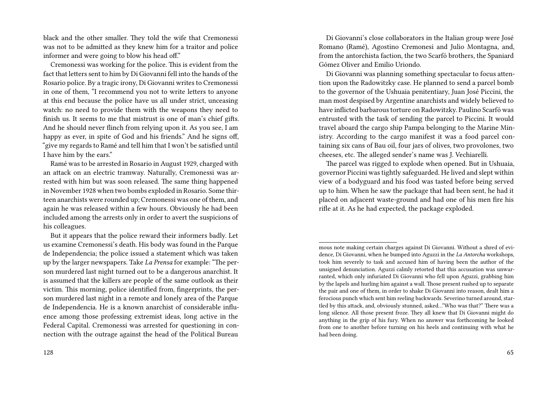black and the other smaller. They told the wife that Cremonessi was not to be admitted as they knew him for a traitor and police informer and were going to blow his head off."

Cremonessi was working for the police. This is evident from the fact that letters sent to him by Di Giovanni fell into the hands of the Rosario police. By a tragic irony, Di Giovanni writes to Cremonessi in one of them, "I recommend you not to write letters to anyone at this end because the police have us all under strict, unceasing watch: no need to provide them with the weapons they need to finish us. It seems to me that mistrust is one of man's chief gifts. And he should never flinch from relying upon it. As you see, I am happy as ever, in spite of God and his friends." And he signs off, "give my regards to Ramé and tell him that I won't be satisfied until I have him by the ears."

Ramé was to be arrested in Rosario in August 1929, charged with an attack on an electric tramway. Naturally, Cremonessi was arrested with him but was soon released. The same thing happened in November 1928 when two bombs exploded in Rosario. Some thirteen anarchists were rounded up; Cremonessi was one of them, and again he was released within a few hours. Obviously he had been included among the arrests only in order to avert the suspicions of his colleagues.

But it appears that the police reward their informers badly. Let us examine Cremonessi's death. His body was found in the Parque de Independencia; the police issued a statement which was taken up by the larger newspapers. Take *La Prensa* for example: "The person murdered last night turned out to be a dangerous anarchist. It is assumed that the killers are people of the same outlook as their victim. This morning, police identified from, fingerprints, the person murdered last night in a remote and lonely area of the Parque de Independencia. He is a known anarchist of considerable influence among those professing extremist ideas, long active in the Federal Capital. Cremonessi was arrested for questioning in connection with the outrage against the head of the Political Bureau

Di Giovanni's close collaborators in the Italian group were José Romano (Ramé), Agostino Cremonesi and Julio Montagna, and, from the antorchista faction, the two Scarfó brothers, the Spaniard Gómez Oliver and Emilio Uriondo.

Di Giovanni was planning something spectacular to focus attention upon the Radowitzky case. He planned to send a parcel bomb to the governor of the Ushuaia penitentiary, Juan José Piccini, the man most despised by Argentine anarchists and widely believed to have inflicted barbarous torture on Radowitzky. Paulino Scarfó was entrusted with the task of sending the parcel to Piccini. It would travel aboard the cargo ship Pampa belonging to the Marine Ministry. According to the cargo manifest it was a food parcel containing six cans of Bau oil, four jars of olives, two provolones, two cheeses, etc. The alleged sender's name was J. Vechiarelli.

The parcel was rigged to explode when opened. But in Ushuaia, governor Piccini was tightly safeguarded. He lived and slept within view of a bodyguard and his food was tasted before being served up to him. When he saw the package that had been sent, he had it placed on adjacent waste-ground and had one of his men fire his rifle at it. As he had expected, the package exploded.

mous note making certain charges against Di Giovanni. Without a shred of evidence, Di Giovanni, when he bumped into Aguzzi in the *La Antorcha* workshops, took him severely to task and accused him of having been the author of the unsigned denunciation. Aguzzi calmly retorted that this accusation was unwarranted, which only infuriated Di Giovanni who fell upon Aguzzi, grabbing him by the lapels and hurling him against a wall. Those present rushed up to separate the pair and one of them, in order to shake Di Giovanni into reason, dealt him a ferocious punch which sent him reeling backwards. Severino turned around, startled by this attack, and, obviously stunned, asked…"Who was that?" There was a long silence. All those present froze. They all knew that Di Giovanni might do anything in the grip of his fury. When no answer was forthcoming he looked from one to another before turning on his heels and continuing with what he had been doing.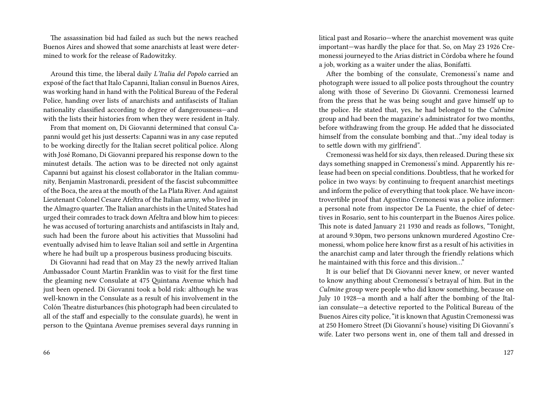The assassination bid had failed as such but the news reached Buenos Aires and showed that some anarchists at least were determined to work for the release of Radowitzky.

Around this time, the liberal daily *L'Italia del Popolo* carried an exposé of the fact that Italo Capanni, Italian consul in Buenos Aires, was working hand in hand with the Political Bureau of the Federal Police, handing over lists of anarchists and antifascists of Italian nationality classified according to degree of dangerousness—and with the lists their histories from when they were resident in Italy.

From that moment on, Di Giovanni determined that consul Capanni would get his just desserts: Capanni was in any case reputed to be working directly for the Italian secret political police. Along with José Romano, Di Giovanni prepared his response down to the minutest details. The action was to be directed not only against Capanni but against his closest collaborator in the Italian community, Benjamin Mastronardi, president of the fascist subcommittee of the Boca, the area at the mouth of the La Plata River. And against Lieutenant Colonel Cesare Afeltra of the Italian army, who lived in the Almagro quarter. The Italian anarchists in the United States had urged their comrades to track down Afeltra and blow him to pieces: he was accused of torturing anarchists and antifascists in Italy and, such had been the furore about his activities that Mussolini had eventually advised him to leave Italian soil and settle in Argentina where he had built up a prosperous business producing biscuits.

Di Giovanni had read that on May 23 the newly arrived Italian Ambassador Count Martin Franklin was to visit for the first time the gleaming new Consulate at 475 Quintana Avenue which had just been opened. Di Giovanni took a bold risk: although he was well-known in the Consulate as a result of his involvement in the Colón Theatre disturbances (his photograph had been circulated to all of the staff and especially to the consulate guards), he went in person to the Quintana Avenue premises several days running in

66

litical past and Rosario—where the anarchist movement was quite important—was hardly the place for that. So, on May 23 1926 Cremonessi journeyed to the Arias district in Córdoba where he found a job, working as a waiter under the alias, Bonifatti.

After the bombing of the consulate, Cremonessi's name and photograph were issued to all police posts throughout the country along with those of Severino Di Giovanni. Cremonessi learned from the press that he was being sought and gave himself up to the police. He stated that, yes, he had belonged to the *Culmine* group and had been the magazine's administrator for two months, before withdrawing from the group. He added that he dissociated himself from the consulate bombing and that..."my ideal today is to settle down with my girlfriend".

Cremonessi was held for six days, then released. During these six days something snapped in Cremonessi's mind. Apparently his release had been on special conditions. Doubtless, that he worked for police in two ways: by continuing to frequent anarchist meetings and inform the police of everything that took place. We have incontrovertible proof that Agostino Cremonessi was a police informer: a personal note from inspector De La Fuente, the chief of detectives in Rosario, sent to his counterpart in the Buenos Aires police. This note is dated January 21 1930 and reads as follows, "Tonight, at around 9.30pm, two persons unknown murdered Agostino Cremonessi, whom police here know first as a result of his activities in the anarchist camp and later through the friendly relations which he maintained with this force and this division…"

It is our belief that Di Giovanni never knew, or never wanted to know anything about Cremonessi's betrayal of him. But in the *Culmine* group were people who did know something, because on July 10 1928—a month and a half after the bombing of the Italian consulate—a detective reported to the Political Bureau of the Buenos Aires city police, "it is known that Agustin Cremonessi was at 250 Homero Street (Di Giovanni's house) visiting Di Giovanni's wife. Later two persons went in, one of them tall and dressed in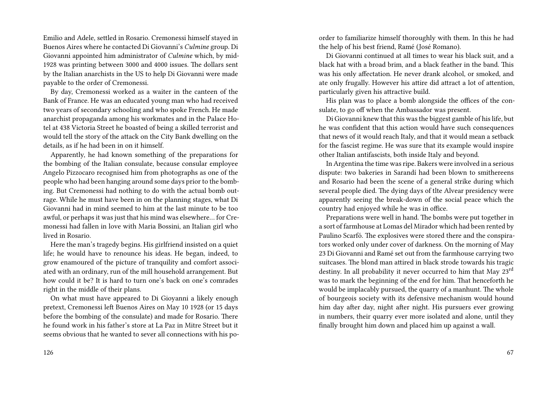Emilio and Adele, settled in Rosario. Cremonessi himself stayed in Buenos Aires where he contacted Di Giovanni's *Culmine* group. Di Giovanni appointed him administrator of *Culmine* which, by mid-1928 was printing between 3000 and 4000 issues. The dollars sent by the Italian anarchists in the US to help Di Giovanni were made payable to the order of Cremonessi.

By day, Cremonessi worked as a waiter in the canteen of the Bank of France. He was an educated young man who had received two years of secondary schooling and who spoke French. He made anarchist propaganda among his workmates and in the Palace Hotel at 438 Victoria Street he boasted of being a skilled terrorist and would tell the story of the attack on the City Bank dwelling on the details, as if he had been in on it himself.

Apparently, he had known something of the preparations for the bombing of the Italian consulate, because consular employee Angelo Pizzocaro recognised him from photographs as one of the people who had been hanging around some days prior to the bombing. But Cremonessi had nothing to do with the actual bomb outrage. While he must have been in on the planning stages, what Di Giovanni had in mind seemed to him at the last minute to be too awful, or perhaps it was just that his mind was elsewhere… for Cremonessi had fallen in love with Maria Bossini, an Italian girl who lived in Rosario.

Here the man's tragedy begins. His girlfriend insisted on a quiet life; he would have to renounce his ideas. He began, indeed, to grow enamoured of the picture of tranquility and comfort associated with an ordinary, run of the mill household arrangement. But how could it be? It is hard to turn one's back on one's comrades right in the middle of their plans.

On what must have appeared to Di Gioyanni a likely enough pretext, Cremonessi left Buenos Aires on May 10 1928 (or 15 days before the bombing of the consulate) and made for Rosario. There he found work in his father's store at La Paz in Mitre Street but it seems obvious that he wanted to sever all connections with his poorder to familiarize himself thoroughly with them. In this he had the help of his best friend, Ramé (José Romano).

Di Giovanni continued at all times to wear his black suit, and a black hat with a broad brim, and a black feather in the band. This was his only affectation. He never drank alcohol, or smoked, and ate only frugally. However his attire did attract a lot of attention, particularly given his attractive build.

His plan was to place a bomb alongside the offices of the consulate, to go off when the Ambassador was present.

Di Giovanni knew that this was the biggest gamble of his life, but he was confident that this action would have such consequences that news of it would reach Italy, and that it would mean a setback for the fascist regime. He was sure that its example would inspire other Italian antifascists, both inside Italy and beyond.

In Argentina the time was ripe. Bakers were involved in a serious dispute: two bakeries in Sarandí had been blown to smithereens and Rosario had been the scene of a general strike during which several people died. The dying days of tlte Alvear presidency were apparently seeing the break-down of the social peace which the country had enjoyed while he was in office.

Preparations were well in hand. The bombs were put together in a sort of farmhouse at Lomas del Mirador which had been rented by Paulino Scarfó. The explosives were stored there and the conspirators worked only under cover of darkness. On the morning of May 23 Di Giovanni and Ramé set out from the farmhouse carrying two suitcases. The blond man attired in black strode towards his tragic destiny. In all probability it never occurred to him that May 23rd was to mark the beginning of the end for him. That henceforth he would be implacably pursued, the quarry of a manhunt. The whole of bourgeois society with its defensive mechanism would hound him day after day, night after night. His pursuers ever growing in numbers, their quarry ever more isolated and alone, until they finally brought him down and placed him up against a wall.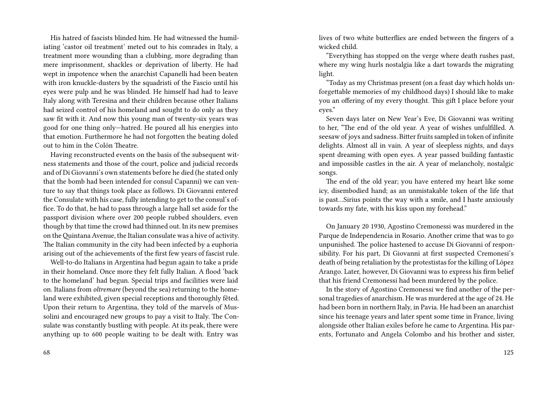His hatred of fascists blinded him. He had witnessed the humiliating 'castor oil treatment' meted out to his comrades in Italy, a treatment more wounding than a clubbing, more degrading than mere imprisonment, shackles or deprivation of liberty. He had wept in impotence when the anarchist Capanelli had been beaten with iron knuckle-dusters by the squadristi of the Fascio until his eyes were pulp and he was blinded. He himself had had to leave Italy along with Teresina and their children because other Italians had seized control of his homeland and sought to do only as they saw fit with it. And now this young man of twenty-six years was good for one thing only—hatred. He poured all his energies into that emotion. Furthermore he had not forgotten the beating doled out to him in the Colón Theatre.

Having reconstructed events on the basis of the subsequent witness statements and those of the court, police and judicial records and of Di Giovanni's own statements before he died (he stated only that the bomb had been intended for consul Capanni) we can venture to say that things took place as follows. Di Giovanni entered the Consulate with his case, fully intending to get to the consul's office. To do that, he had to pass through a large hall set aside for the passport division where over 200 people rubbed shoulders, even though by that time the crowd had thinned out. In its new premises on the Quintana Avenue, the Italian consulate was a hive of activity. The Italian community in the city had been infected by a euphoria arising out of the achievements of the first few years of fascist rule.

Well-to-do Italians in Argentina had begun again to take a pride in their homeland. Once more they felt fully Italian. A flood 'back to the homeland' had begun. Special trips and facilities were laid on. Italians from *oltremare* (beyond the sea) returning to the homeland were exhibited, given special receptions and thoroughly fêted. Upon their return to Argentina, they told of the marvels of Mussolini and encouraged new groups to pay a visit to Italy. The Consulate was constantly bustling with people. At its peak, there were anything up to 600 people waiting to be dealt with. Entry was

68

lives of two white butterflies are ended between the fingers of a wicked child.

"Everything has stopped on the verge where death rushes past, where my wing hurls nostalgia like a dart towards the migrating light.

"Today as my Christmas present (on a feast day which holds unforgettable memories of my childhood days) I should like to make you an offering of my every thought. This gift I place before your eyes."

Seven days later on New Year's Eve, Di Giovanni was writing to her, "The end of the old year. A year of wishes unfulfilled. A seesaw of joys and sadness. Bitter fruits sampled in token of infinite delights. Almost all in vain. A year of sleepless nights, and days spent dreaming with open eyes. A year passed building fantastic and impossible castles in the air. A year of melancholy, nostalgic songs.

The end of the old year; you have entered my heart like some icy, disembodied hand; as an unmistakable token of the life that is past…Sirius points the way with a smile, and I haste anxiously towards my fate, with his kiss upon my forehead."

On January 20 1930, Agostino Cremonessi was murdered in the Parque de Independencia in Rosario. Another crime that was to go unpunished. The police hastened to accuse Di Giovanni of responsibility. For his part, Di Giovanni at first suspected Cremonesi's death of being retaliation by the protestistas for the killing of López Arango. Later, however, Di Giovanni was to express his firm belief that his friend Cremonessi had been murdered by the police.

In the story of Agostino Cremonessi we find another of the personal tragedies of anarchism. He was murdered at the age of 24. He had been born in northern Italy, in Pavia. He had been an anarchist since his teenage years and later spent some time in France, living alongside other Italian exiles before he came to Argentina. His parents, Fortunato and Angela Colombo and his brother and sister,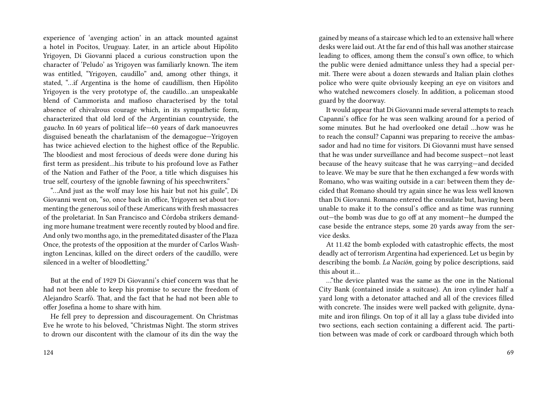experience of 'avenging action' in an attack mounted against a hotel in Pocitos, Uruguay. Later, in an article about Hipólito Yrigoyen, Di Giovanni placed a curious construction upon the character of 'Peludo' as Yrigoyen was familiarly known. The item was entitled, "Yrigoyen, caudillo" and, among other things, it stated, "…if Argentina is the home of caudillism, then Hipólito Yrigoyen is the very prototype of, the caudillo…an unspeakable blend of Cammorista and mafioso characterised by the total absence of chivalrous courage which, in its sympathetic form, characterized that old lord of the Argentinian countryside, the *gaucho*. In 60 years of political life—60 years of dark manoeuvres disguised beneath the charlatanism of the demagogue—Yrigoyen has twice achieved election to the highest office of the Republic. The bloodiest and most ferocious of deeds were done during his first term as president…his tribute to his profound love as Father of the Nation and Father of the Poor, a title which disguises his true self, courtesy of the ignoble fawning of his speechwriters."

"…And just as the wolf may lose his hair but not his guile", Di Giovanni went on, "so, once back in office, Yrigoyen set about tormenting the generous soil of these Americans with fresh massacres of the proletariat. In San Francisco and Córdoba strikers demanding more humane treatment were recently routed by blood and fire. And only two months ago, in the premeditated disaster of the Plaza Once, the protests of the opposition at the murder of Carlos Washington Lencinas, killed on the direct orders of the caudillo, were silenced in a welter of bloodletting."

But at the end of 1929 Di Giovanni's chief concern was that he had not been able to keep his promise to secure the freedom of Alejandro Scarfó. That, and the fact that he had not been able to offer Josefina a home to share with him.

He fell prey to depression and discouragement. On Christmas Eve he wrote to his beloved, "Christmas Night. The storm strives to drown our discontent with the clamour of its din the way the

gained by means of a staircase which led to an extensive hall where desks were laid out. At the far end of this hall was another staircase leading to offices, among them the consul's own office, to which the public were denied admittance unless they had a special permit. There were about a dozen stewards and Italian plain clothes police who were quite obviously keeping an eye on visitors and who watched newcomers closely. In addition, a policeman stood guard by the doorway.

It would appear that Di Giovanni made several attempts to reach Capanni's office for he was seen walking around for a period of some minutes. But he had overlooked one detail …how was he to reach the consul? Capanni was preparing to receive the ambassador and had no time for visitors. Di Giovanni must have sensed that he was under surveillance and had become suspect—not least because of the heavy suitcase that he was carrying—and decided to leave. We may be sure that he then exchanged a few words with Romano, who was waiting outside in a car: between them they decided that Romano should try again since he was less well known than Di Giovanni. Romano entered the consulate but, having been unable to make it to the consul's office and as time was running out—the bomb was due to go off at any moment—he dumped the case beside the entrance steps, some 20 yards away from the service desks.

At 11.42 the bomb exploded with catastrophic effects, the most deadly act of terrorism Argentina had experienced. Let us begin by describing the bomb. *La Nación*, going by police descriptions, said this about it…

…"the device planted was the same as the one in the National City Bank (contained inside a suitcase). An iron cylinder half a yard long with a detonator attached and all of the crevices filled with concrete. The insides were well packed with gelignite, dynamite and iron filings. On top of it all lay a glass tube divided into two sections, each section containing a different acid. The partition between was made of cork or cardboard through which both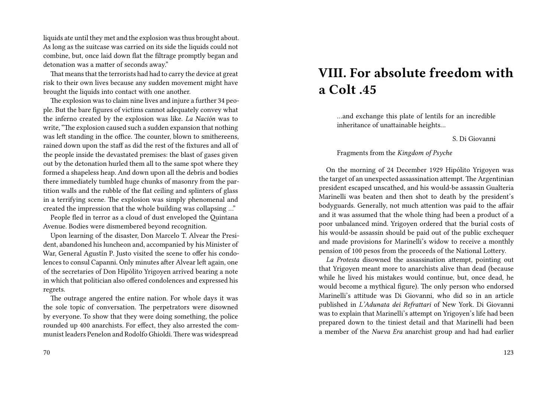liquids ate until they met and the explosion was thus brought about. As long as the suitcase was carried on its side the liquids could not combine, but, once laid down flat the filtrage promptly began and detonation was a matter of seconds away."

That means that the terrorists had had to carry the device at great risk to their own lives because any sudden movement might have brought the liquids into contact with one another.

The explosion was to claim nine lives and injure a further 34 people. But the bare figures of victims cannot adequately convey what the inferno created by the explosion was like. *La Nación* was to write, "The explosion caused such a sudden expansion that nothing was left standing in the office. The counter, blown to smithereens, rained down upon the staff as did the rest of the fixtures and all of the people inside the devastated premises: the blast of gases given out by the detonation hurled them all to the same spot where they formed a shapeless heap. And down upon all the debris and bodies there immediately tumbled huge chunks of masonry from the partition walls and the rubble of the flat ceiling and splinters of glass in a terrifying scene. The explosion was simply phenomenal and created the impression that the whole building was collapsing …"

People fled in terror as a cloud of dust enveloped the Quintana Avenue. Bodies were dismembered beyond recognition.

Upon learning of the disaster, Don Marcelo T. Alvear the President, abandoned his luncheon and, accompanied by his Minister of War, General Agustín P. Justo visited the scene to offer his condolences to consul Capanni. Only minutes after Alvear left again, one of the secretaries of Don Hipólito Yrigoyen arrived bearing a note in which that politician also offered condolences and expressed his regrets.

The outrage angered the entire nation. For whole days it was the sole topic of conversation. The perpetrators were disowned by everyone. To show that they were doing something, the police rounded up 400 anarchists. For effect, they also arrested the communist leaders Penelon and Rodolfo Ghioldi.There was widespread

## **VIII. For absolute freedom with a Colt .45**

…and exchange this plate of lentils for an incredible inheritance of unattainable heights…

S. Di Giovanni

#### Fragments from the *Kingdom of Psyche*

On the morning of 24 December 1929 Hipólito Yrigoyen was the target of an unexpected assassination attempt. The Argentinian president escaped unscathed, and his would-be assassin Gualteria Marinelli was beaten and then shot to death by the president's bodyguards. Generally, not much attention was paid to the affair and it was assumed that the whole thing had been a product of a poor unbalanced mind. Yrigoyen ordered that the burial costs of his would-be assassin should be paid out of the public exchequer and made provisions for Marinelli's widow to receive a monthly pension of 100 pesos from the proceeds of the National Lottery.

*La Protesta* disowned the assassination attempt, pointing out that Yrigoyen meant more to anarchists alive than dead (because while he lived his mistakes would continue, but, once dead, he would become a mythical figure). The only person who endorsed Marinelli's attitude was Di Giovanni, who did so in an article published in *L'Adunata dei Refrattari* of New York. Di Giovanni was to explain that Marinelli's attempt on Yrigoyen's life had been prepared down to the tiniest detail and that Marinelli had been a member of the *Nueva Era* anarchist group and had had earlier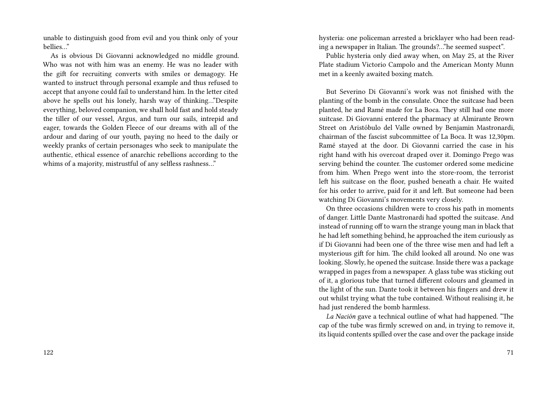unable to distinguish good from evil and you think only of your bellies…"

As is obvious Di Giovanni acknowledged no middle ground. Who was not with him was an enemy. He was no leader with the gift for recruiting converts with smiles or demagogy. He wanted to instruct through personal example and thus refused to accept that anyone could fail to understand him. In the letter cited above he spells out his lonely, harsh way of thinking…"Despite everything, beloved companion, we shall hold fast and hold steady the tiller of our vessel, Argus, and turn our sails, intrepid and eager, towards the Golden Fleece of our dreams with all of the ardour and daring of our youth, paying no heed to the daily or weekly pranks of certain personages who seek to manipulate the authentic, ethical essence of anarchic rebellions according to the whims of a majority, mistrustful of any selfless rashness…"

hysteria: one policeman arrested a bricklayer who had been reading a newspaper in Italian. The grounds?…"he seemed suspect".

Public hysteria only died away when, on May 25, at the River Plate stadium Victorio Campolo and the American Monty Munn met in a keenly awaited boxing match.

But Severino Di Giovanni's work was not finished with the planting of the bomb in the consulate. Once the suitcase had been planted, he and Ramé made for La Boca. They still had one more suitcase. Di Giovanni entered the pharmacy at Almirante Brown Street on Aristóbulo del Valle owned by Benjamin Mastronardi, chairman of the fascist subcommittee of La Boca. It was 12,30pm. Ramé stayed at the door. Di Giovanni carried the case in his right hand with his overcoat draped over it. Domingo Prego was serving behind the counter. The customer ordered some medicine from him. When Prego went into the store-room, the terrorist left his suitcase on the floor, pushed beneath a chair. He waited for his order to arrive, paid for it and left. But someone had been watching Di Giovanni's movements very closely.

On three occasions children were to cross his path in moments of danger. Little Dante Mastronardi had spotted the suitcase. And instead of running off to warn the strange young man in black that he had left something behind, he approached the item curiously as if Di Giovanni had been one of the three wise men and had left a mysterious gift for him. The child looked all around. No one was looking. Slowly, he opened the suitcase. Inside there was a package wrapped in pages from a newspaper. A glass tube was sticking out of it, a glorious tube that turned different colours and gleamed in the light of the sun. Dante took it between his fingers and drew it out whilst trying what the tube contained. Without realising it, he had just rendered the bomb harmless.

*La Nación* gave a technical outline of what had happened. "The cap of the tube was firmly screwed on and, in trying to remove it, its liquid contents spilled over the case and over the package inside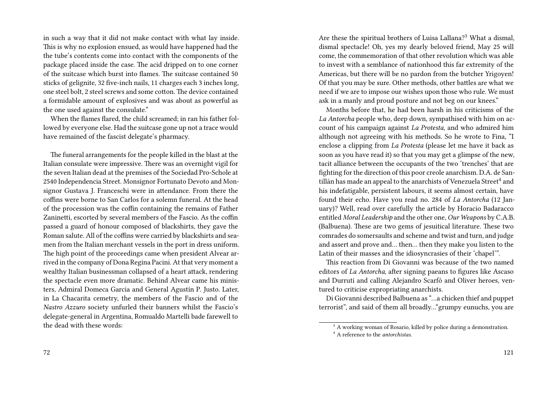in such a way that it did not make contact with what lay inside. This is why no explosion ensued, as would have happened had the the tube's contents come into contact with the components of the package placed inside the case. The acid dripped on to one corner of the suitcase which burst into flames. The suitcase contained 50 sticks of gelignite, 32 five-inch nails, 11 charges each 3 inches long, one steel bolt, 2 steel screws and some cotton. The device contained a formidable amount of explosives and was about as powerful as the one used against the consulate."

When the flames flared, the child screamed; in ran his father followed by everyone else. Had the suitcase gone up not a trace would have remained of the fascist delegate's pharmacy.

The funeral arrangements for the people killed in the blast at the Italian consulate were impressive. There was an overnight vigil for the seven Italian dead at the premises of the Sociedad Pro-Schole at 2540 Independencia Street. Monsignor Fortunato Devoto and Monsignor Gustava J. Franceschi were in attendance. From there the coffins were borne to San Carlos for a solemn funeral. At the head of the procession was the coffin containing the remains of Father Zaninetti, escorted by several members of the Fascio. As the coffin passed a guard of honour composed of blackshirts, they gave the Roman salute. All of the coffins were carried by blackshirts and seamen from the Italian merchant vessels in the port in dress uniform. The high point of the proceedings came when president Alvear arrived in the company of Dona Regina Pacini. At that very moment a wealthy Italian businessman collapsed of a heart attack, rendering the spectacle even more dramatic. Behind Alvear came his ministers, Admiral Domeca Garcia and General Agustín P. Justo. Later, in La Chacarita cemetry, the members of the Fascio and of the *Nastro Azzuro* society unfurled their banners whilst the Fascio's delegate-general in Argentina, Romualdo Martelli bade farewell to the dead with these words:

72

Are these the spiritual brothers of Luisa Lallana?<sup>3</sup> What a dismal, dismal spectacle! Oh, yes my dearly beloved friend, May 25 will come, the commemoration of that other revolution which was able to invest with a semblance of nationhood this far extremity of the Americas, but there will be no pardon from the butcher Yrigoyen! Of that you may be sure. Other methods, other battles are what we need if we are to impose our wishes upon those who rule. We must ask in a manly and proud posture and not beg on our knees."

Months before that, he had been harsh in his criticisms of the *La Antorcha* people who, deep down, sympathised with him on account of his campaign against *La Protesta*, and who admired him although not agreeing with his methods. So he wrote to Fina, "I enclose a clipping from *La Protesta* (please let me have it back as soon as you have read it) so that you may get a glimpse of the new, tacit alliance between the occupants of the two 'trenches' that are fighting for the direction of this poor creole anarchism. D.A. de Santillán has made an appeal to the anarchists of Venezuela Street $^4$  and his indefatigable, persistent labours, it seems almost certain, have found their echo. Have you read no. 284 of *La Antorcha* (12 January)? Well, read over carefully the article by Horacio Badaracco entitled *Moral Leadership* and the other one, *Our Weapons* by C.A.B. (Balbuena). These are two gems of jesuitical literature. These two comrades do somersaults and scheme and twist and turn, and judge and assert and prove and… then… then they make you listen to the Latin of their masses and the idiosyncrasies of their 'chapel'".

This reaction from Di Giovanni was because of the two named editors of *La Antorcha*, after signing paeans to figures like Ascaso and Durruti and calling Alejandro Scarfó and Oliver heroes, ventured to criticise expropriating anarchists.

Di Giovanni described Balbuena as "…a chicken thief and puppet terrorist", and said of them all broadly…"grumpy eunuchs, you are

<sup>&</sup>lt;sup>3</sup> A working woman of Rosario, killed by police during a demonstration. <sup>4</sup> A reference to the *antorchistas*.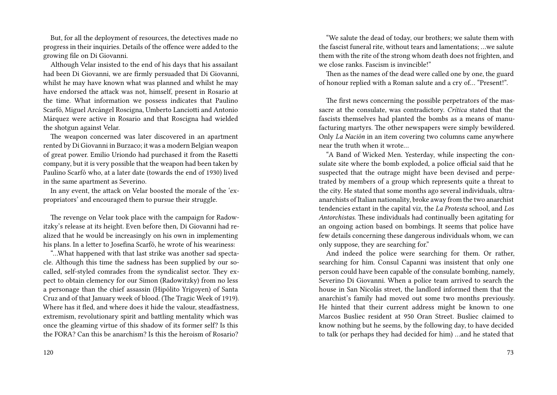But, for all the deployment of resources, the detectives made no progress in their inquiries. Details of the offence were added to the growing file on Di Giovanni.

Although Velar insisted to the end of his days that his assailant had been Di Giovanni, we are firmly persuaded that Di Giovanni, whilst he may have known what was planned and whilst he may have endorsed the attack was not, himself, present in Rosario at the time. What information we possess indicates that Paulino Scarfó, Miguel Arcángel Roscigna, Umberto Lanciotti and Antonio Márquez were active in Rosario and that Roscigna had wielded the shotgun against Velar.

The weapon concerned was later discovered in an apartment rented by Di Giovanni in Burzaco; it was a modern Belgian weapon of great power. Emilio Uriondo had purchased it from the Rasetti company, but it is very possible that the weapon had been taken by Paulino Scarfó who, at a later date (towards the end of 1930) lived in the same apartment as Severino.

In any event, the attack on Velar boosted the morale of the 'expropriators' and encouraged them to pursue their struggle.

The revenge on Velar took place with the campaign for Radowitzky's release at its height. Even before then, Di Giovanni had realized that he would be increasingly on his own in implementing his plans. In a letter to Josefina Scarfó, he wrote of his weariness:

"…What happened with that last strike was another sad spectacle. Although this time the sadness has been supplied by our socalled, self-styled comrades from the syndicalist sector. They expect to obtain clemency for our Simon (Radowitzky) from no less a personage than the chief assassin (Hipólito Yrigoyen) of Santa Cruz and of that January week of blood. (The Tragic Week of 1919). Where has it fled, and where does it hide the valour, steadfastness, extremism, revolutionary spirit and battling mentality which was once the gleaming virtue of this shadow of its former self? Is this the FORA? Can this be anarchism? Is this the heroism of Rosario?

"We salute the dead of today, our brothers; we salute them with the fascist funeral rite, without tears and lamentations; …we salute them with the rite of the strong whom death does not frighten, and we close ranks. Fascism is invincible!"

Then as the names of the dead were called one by one, the guard of honour replied with a Roman salute and a cry of… "Present!".

The first news concerning the possible perpetrators of the massacre at the consulate, was contradictory. *Crítica* stated that the fascists themselves had planted the bombs as a means of manufacturing martyrs. The other newspapers were simply bewildered. Only *La Nación* in an item covering two columns came anywhere near the truth when it wrote…

"A Band of Wicked Men. Yesterday, while inspecting the consulate site where the bomb exploded, a police official said that he suspected that the outrage might have been devised and perpetrated by members of a group which represents quite a threat to the city. He stated that some months ago several individuals, ultraanarchists of Italian nationality, broke away from the two anarchist tendencies extant in the capital viz, the *La Protesta* school, and *Los Antorchistas*. These individuals had continually been agitating for an ongoing action based on bombings. It seems that police have few details concerning these dangerous individuals whom, we can only suppose, they are searching for."

And indeed the police were searching for them. Or rather, searching for him. Consul Capanni was insistent that only one person could have been capable of the consulate bombing, namely, Severino Di Giovanni. When a police team arrived to search the house in San Nicolás street, the landlord informed them that the anarchist's family had moved out some two months previously. He hinted that their current address might be known to one Marcos Busliec resident at 950 Oran Street. Busliec claimed to know nothing but he seems, by the following day, to have decided to talk (or perhaps they had decided for him) …and he stated that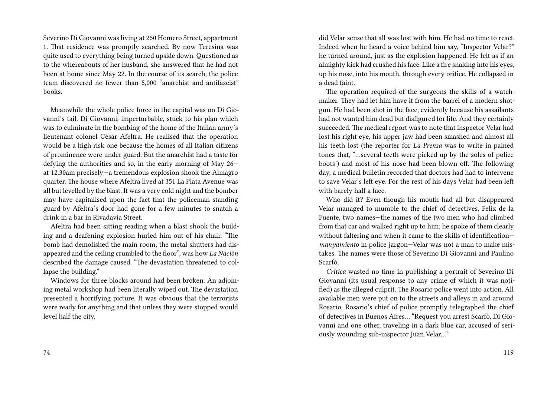Severino Di Giovanni was living at 250 Homero Street, appartment 1. That residence was promptly searched. By now Teresina was quite used to everything being turned upside down. Questioned as to the whereabouts of her husband, she answered that he had not been at home since May 22. In the course of its search, the police team discovered no fewer than 5,000 "anarchist and antifascist" books.

Meanwhile the whole police force in the capital was on Di Giovanni's tail. Di Giovanni, imperturbable, stuck to his plan which was to culminate in the bombing of the home of the Italian army's lieutenant colonel César Afeltra. He realised that the operation would be a high risk one because the homes of all Italian citizens of prominence were under guard. But the anarchist had a taste for defying the authorities and so, in the early morning of May 26 at 12.30am precisely—a tremendous explosion shook the Almagro quarter. The house where Afeltra lived at 351 La Plata Avenue was all but levelled by the blast. It was a very cold night and the bomber may have capitalised upon the fact that the policeman standing guard by Afeltra's door had gone for a few minutes to snatch a drink in a bar in Rivadavia Street.

Afeltra had been sitting reading when a blast shook the building and a deafening explosion hurled him out of his chair. "The bomb had demolished the main room; the metal shutters had disappeared and the ceiling crumbled to the floor", was how *La Nación* described the damage caused. "The devastation threatened to collapse the building."

Windows for three blocks around had been broken. An adjoining metal workshop had been literally wiped out. The devastation presented a horrifying picture. It was obvious that the terrorists were ready for anything and that unless they were stopped would level half the city.

did Velar sense that all was lost with him. He had no time to react. Indeed when he heard a voice behind him say, "Inspector Velar?" he turned around, just as the explosion happened. He felt as if an almighty kick had crushed his face. Like a fire snaking into his eyes, up his nose, into his mouth, through every orifice. He collapsed in a dead faint.

The operation required of the surgeons the skills of a watchmaker. They had let him have it from the barrel of a modern shotgun. He had been shot in the face, evidently because his assailants had not wanted him dead but disfigured for life. And they certainly succeeded. The medical report was to note that inspector Velar had lost his right eye, his upper jaw had been smashed and almost all his teeth lost (the reporter for *La Prensa* was to write in pained tones that, "…several teeth were picked up by the soles of police boots') and most of his nose had been blown off. The following day, a medical bulletin recorded that doctors had had to intervene to save Velar's left eye. For the rest of his days Velar had been left with barely half a face.

Who did it? Even though his mouth had all but disappeared Velar managed to mumble to the chief of detectives, Felix de la Fuente, two names—the names of the two men who had climbed from that car and walked right up to him; he spoke of them clearly without faltering and when it came to the skills of identification *manyamiento* in police jargon—Velar was not a man to make mistakes. The names were those of Severino Di Giovanni and Paulino Scarfó.

*Crítica* wasted no time in publishing a portrait of Severino Di Giovanni (its usual response to any crime of which it was notified) as the alleged culprit. The Rosario police went into action. All available men were put on to the streets and alleys in and around Rosario. Rosario's chief of police promptly telegraphed the chief of detectives in Buenos Aires… "Request you arrest Scarfó, Di Giovanni and one other, traveling in a dark blue car, accused of seriously wounding sub-inspector Juan Velar…"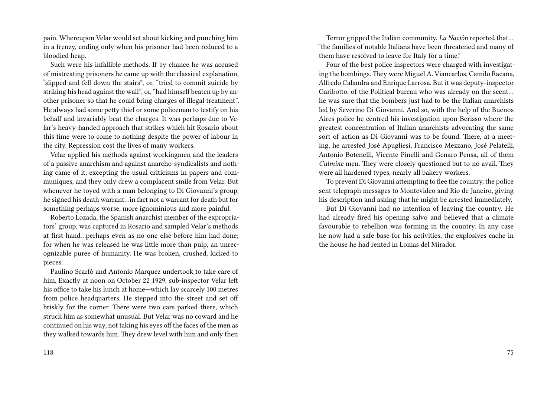pain. Whereupon Velar would set about kicking and punching him in a frenzy, ending only when his prisoner had been reduced to a bloodied heap.

Such were his infallible methods. If by chance he was accused of mistreating prisoners he came up with the classical explanation, "slipped and fell down the stairs", or, "tried to commit suicide by striking his head against the wall", or, "had himself beaten up by another prisoner so that he could bring charges of illegal treatment". He always had some petty thief or some policeman to testify on his behalf and invariably beat the charges. It was perhaps due to Velar's heavy-handed approach that strikes which hit Rosario about this time were to come to nothing despite the power of labour in the city. Repression cost the lives of many workers.

Velar applied his methods against workingmen and the leaders of a passive anarchism and against anarcho-syndicalists and nothing came of it, excepting the usual criticisms in papers and communiques, and they only drew a complacent smile from Velar. But whenever he toyed with a man belonging to Di Giovanni's group, he signed his death warrant…in fact not a warrant for death but for something perhaps worse, more ignominious and more painful.

Roberto Lozada, the Spanish anarchist member of the expropriators' group, was captured in Rosario and sampled Velar's methods at first hand…perhaps even as no one else before him had done; for when he was released he was little more than pulp, an unrecognizable puree of humanity. He was broken, crushed, kicked to pieces.

Paulino Scarfó and Antonio Marquez undertook to take care of him. Exactly at noon on October 22 1929, sub-inspector Velar left his office to take his lunch at home—which lay scarcely 100 metres from police headquarters. He stepped into the street and set off briskly for the corner. There were two cars parked there, which struck him as somewhat unusual. But Velar was no coward and he continued on his way, not taking his eyes off the faces of the men as they walked towards him. They drew level with him and only then

Terror gripped the Italian community. *La Nación* reported that… "the families of notable Italians have been threatened and many of them have resolved to leave for Italy for a time."

Four of the best police inspectors were charged with investigating the bombings. They were Miguel A. Viancarlos, Camilo Racana, Alfredo Calandra and Enrique Larrosa. But it was deputy-inspector Garibotto, of the Political bureau who was already on the scent… he was sure that the bombers just had to be the Italian anarchists led by Severino Di Giovanni. And so, with the help of the Buenos Aires police he centred his investigation upon Berisso where the greatest concentration of Italian anarchists advocating the same sort of action as Di Giovanni was to be found. There, at a meeting, he arrested José Apugliesi, Francisco Mezzano, José Pelatelli, Antonio Botenelli, Vicente Pinelli and Genaro Pensa, all of them *Culmine* men. They were closely questioned but to no avail. They were all hardened types, nearly all bakery workers.

To prevent Di Giovanni attempting to flee the country, the police sent telegraph messages to Montevideo and Río de Janeiro, giving his description and asking that he might be arrested immediately.

But Di Giovanni had no intention of leaving the country. He had already fired his opening salvo and believed that a climate favourable to rebellion was forming in the country. In any case he now had a safe base for his activities, the explosives cache in the house he had rented in Lomas del Mirador.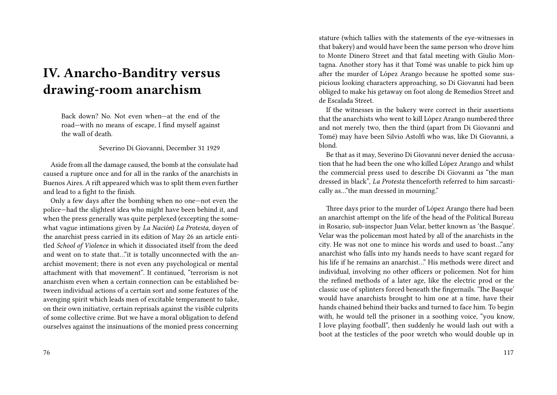# **IV. Anarcho-Banditry versus drawing-room anarchism**

Back down? No. Not even when—at the end of the road—with no means of escape, I find myself against the wall of death.

Severino Di Giovanni, December 31 1929

Aside from all the damage caused, the bomb at the consulate had caused a rupture once and for all in the ranks of the anarchists in Buenos Aires. A rift appeared which was to split them even further and lead to a fight to the finish.

Only a few days after the bombing when no one—not even the police—had the slightest idea who might have been behind it, and when the press generally was quite perplexed (excepting the somewhat vague intimations given by *La Nación*) *La Protesta*, doyen of the anarchist press carried in its edition of May 26 an article entitled *School of Violence* in which it dissociated itself from the deed and went on to state that…"it is totally unconnected with the anarchist movement; there is not even any psychological or mental attachment with that movement". It continued, "terrorism is not anarchism even when a certain connection can be established between individual actions of a certain sort and some features of the avenging spirit which leads men of excitable temperament to take, on their own initiative, certain reprisals against the visible culprits of some collective crime. But we have a moral obligation to defend ourselves against the insinuations of the monied press concerning

stature (which tallies with the statements of the eye-witnesses in that bakery) and would have been the same person who drove him to Monte Dinero Street and that fatal meeting with Giulio Montagna. Another story has it that Tomé was unable to pick him up after the murder of López Arango because he spotted some suspicious looking characters approaching, so Di Giovanni had been obliged to make his getaway on foot along de Remedios Street and de Escalada Street.

If the witnesses in the bakery were correct in their assertions that the anarchists who went to kill López Arango numbered three and not merely two, then the third (apart from Di Giovanni and Tomé) may have been Silvio Astolfi who was, like Di Giovanni, a blond.

Be that as it may, Severino Di Giovanni never denied the accusation that he had been the one who killed López Arango and whilst the commercial press used to describe Di Giovanni as "the man dressed in black", *La Protesta* thenceforth referred to him sarcastically as…"the man dressed in mourning."

Three days prior to the murder of López Arango there had been an anarchist attempt on the life of the head of the Political Bureau in Rosario, sub-inspector Juan Velar, better known as 'the Basque'. Velar was the policeman most hated by all of the anarchists in the city. He was not one to mince his words and used to boast…"any anarchist who falls into my hands needs to have scant regard for his life if he remains an anarchist…" His methods were direct and individual, involving no other officers or policemen. Not for him the refined methods of a later age, like the electric prod or the classic use of splinters forced beneath the fingernails. 'The Basque' would have anarchists brought to him one at a time, have their hands chained behind their backs and turned to face him. To begin with, he would tell the prisoner in a soothing voice, "you know, I love playing football", then suddenly he would lash out with a boot at the testicles of the poor wretch who would double up in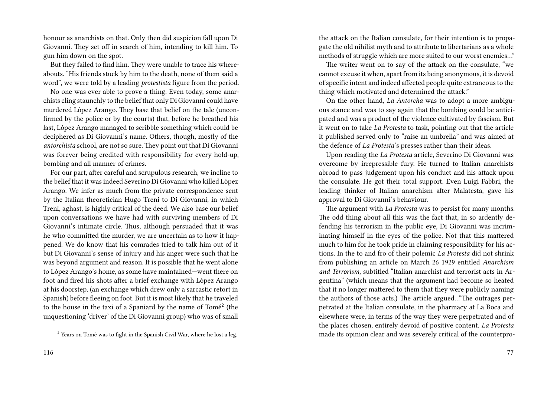honour as anarchists on that. Only then did suspicion fall upon Di Giovanni. They set off in search of him, intending to kill him. To gun him down on the spot.

But they failed to find him. They were unable to trace his whereabouts. "His friends stuck by him to the death, none of them said a word", we were told by a leading *protestista* figure from the period.

No one was ever able to prove a thing. Even today, some anarchists cling staunchly to the belief that only Di Giovanni could have murdered López Arango. They base that belief on the tale (unconfirmed by the police or by the courts) that, before he breathed his last, López Arango managed to scribble something which could be deciphered as Di Giovanni's name. Others, though, mostly of the *antorchista* school, are not so sure. They point out that Di Giovanni was forever being credited with responsibility for every hold-up, bombing and all manner of crimes.

For our part, after careful and scrupulous research, we incline to the belief that it was indeed Severino Di Giovanni who killed López Arango. We infer as much from the private correspondence sent by the Italian theoretician Hugo Treni to Di Giovanni, in which Treni, aghast, is highly critical of the deed. We also base our belief upon conversations we have had with surviving members of Di Giovanni's intimate circle. Thus, although persuaded that it was he who committed the murder, we are uncertain as to how it happened. We do know that his comrades tried to talk him out of it but Di Giovanni's sense of injury and his anger were such that he was beyond argument and reason. It is possible that he went alone to López Arango's home, as some have maintained—went there on foot and fired his shots after a brief exchange with López Arango at his doorstep, (an exchange which drew only a sarcastic retort in Spanish) before fleeing on foot. But it is most likely that he traveled to the house in the taxi of a Spaniard by the name of Tomé<sup>2</sup> (the unquestioning 'driver' of the Di Giovanni group) who was of small

the attack on the Italian consulate, for their intention is to propagate the old nihilist myth and to attribute to libertarians as a whole methods of struggle which are more suited to our worst enemies…"

The writer went on to say of the attack on the consulate, "we cannot excuse it when, apart from its being anonymous, it is devoid of specific intent and indeed affected people quite extraneous to the thing which motivated and determined the attack."

On the other hand, *La Antorcha* was to adopt a more ambiguous stance and was to say again that the bombing could be anticipated and was a product of the violence cultivated by fascism. But it went on to take *La Protesta* to task, pointing out that the article it published served only to "raise an umbrella" and was aimed at the defence of *La Protesta*'s presses rather than their ideas.

Upon reading the *La Protesta* article, Severino Di Giovanni was overcome by irrepressible fury. He turned to Italian anarchists abroad to pass judgement upon his conduct and his attack upon the consulate. He got their total support. Even Luigi Fabbri, the leading thinker of Italian anarchism after Malatesta, gave his approval to Di Giovanni's behaviour.

The argument with *La Protesta* was to persist for many months. The odd thing about all this was the fact that, in so ardently defending his terrorism in the public eye, Di Giovanni was incriminating himself in the eyes of the police. Not that this mattered much to him for he took pride in claiming responsibility for his actions. In the to and fro of their polemic *La Protesta* did not shrink from publishing an article on March 26 1929 entitled *Anarchism and Terrorism*, subtitled "Italian anarchist and terrorist acts in Argentina" (which means that the argument had become so heated that it no longer mattered to them that they were publicly naming the authors of those acts.) The article argued…"The outrages perpetrated at the Italian consulate, in the pharmacy at La Boca and elsewhere were, in terms of the way they were perpetrated and of the places chosen, entirely devoid of positive content. *La Protesta* made its opinion clear and was severely critical of the counterpro-

 $2$  Years on Tomé was to fight in the Spanish Civil War, where he lost a leg.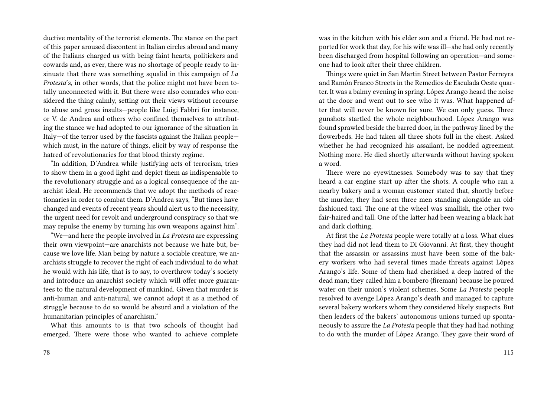ductive mentality of the terrorist elements. The stance on the part of this paper aroused discontent in Italian circles abroad and many of the Italians charged us with being faint hearts, politickers and cowards and, as ever, there was no shortage of people ready to insinuate that there was something squalid in this campaign of *La Protesta*'s, in other words, that the police might not have been totally unconnected with it. But there were also comrades who considered the thing calmly, setting out their views without recourse to abuse and gross insults—people like Luigi Fabbri for instance, or V. de Andrea and others who confined themselves to attributing the stance we had adopted to our ignorance of the situation in Italy—of the terror used by the fascists against the Italian people which must, in the nature of things, elicit by way of response the hatred of revolutionaries for that blood thirsty regime.

"In addition, D'Andrea while justifying acts of terrorism, tries to show them in a good light and depict them as indispensable to the revolutionary struggle and as a logical consequence of the anarchist ideal. He recommends that we adopt the methods of reactionaries in order to combat them. D'Andrea says, "But times have changed and events of recent years should alert us to the necessity, the urgent need for revolt and underground conspiracy so that we may repulse the enemy by turning his own weapons against him".

"We—and here the people involved in *La Protesta* are expressing their own viewpoint—are anarchists not because we hate but, because we love life. Man being by nature a sociable creature, we anarchists struggle to recover the right of each individual to do what he would with his life, that is to say, to overthrow today's society and introduce an anarchist society which will offer more guarantees to the natural development of mankind. Given that murder is anti-human and anti-natural, we cannot adopt it as a method of struggle because to do so would be absurd and a violation of the humanitarian principles of anarchism."

What this amounts to is that two schools of thought had emerged. There were those who wanted to achieve complete was in the kitchen with his elder son and a friend. He had not reported for work that day, for his wife was ill—she had only recently been discharged from hospital following an operation—and someone had to look after their three children.

Things were quiet in San Martin Street between Pastor Ferreyra and Ramón Franco Streets in the Remedios de Esculada Oeste quarter. It was a balmy evening in spring. López Arango heard the noise at the door and went out to see who it was. What happened after that will never be known for sure. We can only guess. Three gunshots startled the whole neighbourhood. López Arango was found sprawled beside the barred door, in the pathway lined by the flowerbeds. He had taken all three shots full in the chest. Asked whether he had recognized his assailant, he nodded agreement. Nothing more. He died shortly afterwards without having spoken a word.

There were no eyewitnesses. Somebody was to say that they heard a car engine start up after the shots. A couple who ran a nearby bakery and a woman customer stated that, shortly before the murder, they had seen three men standing alongside an oldfashioned taxi. The one at the wheel was smallish, the other two fair-haired and tall. One of the latter had been wearing a black hat and dark clothing.

At first the *La Protesta* people were totally at a loss. What clues they had did not lead them to Di Giovanni. At first, they thought that the assassin or assassins must have been some of the bakery workers who had several times made threats against López Arango's life. Some of them had cherished a deep hatred of the dead man; they called him a bombero (fireman) because he poured water on their union's violent schemes. Some *La Protesta* people resolved to avenge López Arango's death and managed to capture several bakery workers whom they considered likely suspects. But then leaders of the bakers' autonomous unions turned up spontaneously to assure the *La Protesta* people that they had had nothing to do with the murder of López Arango. They gave their word of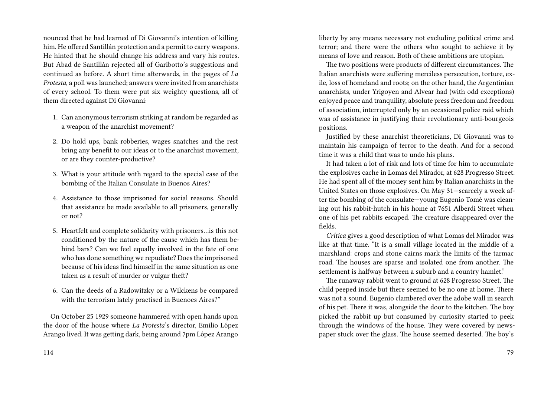nounced that he had learned of Di Giovanni's intention of killing him. He offered Santillán protection and a permit to carry weapons. He hinted that he should change his address and vary his routes. But Abad de Santillán rejected all of Garibotto's suggestions and continued as before. A short time afterwards, in the pages of *La Protesta*, a poll was launched; answers were invited from anarchists of every school. To them were put six weighty questions, all of them directed against Di Giovanni:

- 1. Can anonymous terrorism striking at random be regarded as a weapon of the anarchist movement?
- 2. Do hold ups, bank robberies, wages snatches and the rest bring any benefit to our ideas or to the anarchist movement, or are they counter-productive?
- 3. What is your attitude with regard to the special case of the bombing of the Italian Consulate in Buenos Aires?
- 4. Assistance to those imprisoned for social reasons. Should that assistance be made available to all prisoners, generally or not?
- 5. Heartfelt and complete solidarity with prisoners…is this not conditioned by the nature of the cause which has them behind bars? Can we feel equally involved in the fate of one who has done something we repudiate? Does the imprisoned because of his ideas find himself in the same situation as one taken as a result of murder or vulgar theft?
- 6. Can the deeds of a Radowitzky or a Wilckens be compared with the terrorism lately practised in Buenoes Aires?"

On October 25 1929 someone hammered with open hands upon the door of the house where *La Protesta*'s director, Emilio López Arango lived. It was getting dark, being around 7pm López Arango

liberty by any means necessary not excluding political crime and terror; and there were the others who sought to achieve it by means of love and reason. Both of these ambitions are utopian.

The two positions were products of different circumstances. The Italian anarchists were suffering merciless persecution, torture, exile, loss of homeland and roots; on the other hand, the Argentinian anarchists, under Yrigoyen and Alvear had (with odd exceptions) enjoyed peace and tranquility, absolute press freedom and freedom of association, interrupted only by an occasional police raid which was of assistance in justifying their revolutionary anti-bourgeois positions.

Justified by these anarchist theoreticians, Di Giovanni was to maintain his campaign of terror to the death. And for a second time it was a child that was to undo his plans.

It had taken a lot of risk and lots of time for him to accumulate the explosives cache in Lomas del Mirador, at 628 Progresso Street. He had spent all of the money sent him by Italian anarchists in the United States on those explosives. On May 31—scarcely a week after the bombing of the consulate—young Eugenio Tomé was cleaning out his rabbit-hutch in his home at 7651 Alberdi Street when one of his pet rabbits escaped. The creature disappeared over the fields.

*Crítica* gives a good description of what Lomas del Mirador was like at that time. "It is a small village located in the middle of a marshland: crops and stone cairns mark the limits of the tarmac road. The houses are sparse and isolated one from another. The settlement is halfway between a suburb and a country hamlet."

The runaway rabbit went to ground at 628 Progresso Street. The child peeped inside but there seemed to be no one at home. There was not a sound. Eugenio clambered over the adobe wall in search of his pet. There it was, alongside the door to the kitchen. The boy picked the rabbit up but consumed by curiosity started to peek through the windows of the house. They were covered by newspaper stuck over the glass. The house seemed deserted. The boy's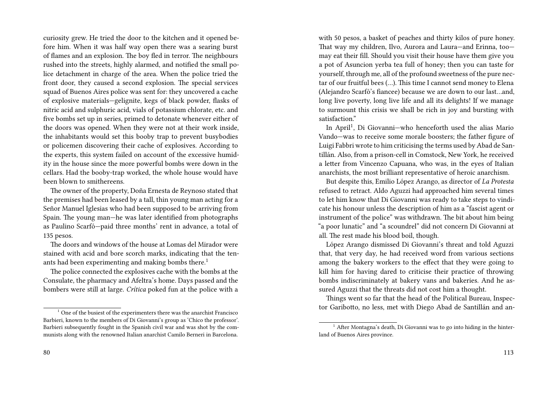curiosity grew. He tried the door to the kitchen and it opened before him. When it was half way open there was a searing burst of flames and an explosion. The boy fled in terror. The neighbours rushed into the streets, highly alarmed, and notified the small police detachment in charge of the area. When the police tried the front door, they caused a second explosion. The special services squad of Buenos Aires police was sent for: they uncovered a cache of explosive materials—gelignite, kegs of black powder, flasks of nitric acid and sulphuric acid, vials of potassium chlorate, etc. and five bombs set up in series, primed to detonate whenever either of the doors was opened. When they were not at their work inside, the inhabitants would set this booby trap to prevent busybodies or policemen discovering their cache of explosives. According to the experts, this system failed on account of the excessive humidity in the house since the more powerful bombs were down in the cellars. Had the booby-trap worked, the whole house would have been blown to smithereens.

The owner of the property, Doña Ernesta de Reynoso stated that the premises had been leased by a tall, thin young man acting for a Señor Manuel Iglesias who had been supposed to be arriving from Spain. The young man—he was later identified from photographs as Paulino Scarfó—paid three months' rent in advance, a total of 135 pesos.

The doors and windows of the house at Lomas del Mirador were stained with acid and bore scorch marks, indicating that the tenants had been experimenting and making bombs there.<sup>1</sup>

The police connected the explosives cache with the bombs at the Consulate, the pharmacy and Afeltra's home. Days passed and the bombers were still at large. *Crítica* poked fun at the police with a

with 50 pesos, a basket of peaches and thirty kilos of pure honey. That way my children, Ilvo, Aurora and Laura—and Erinna, too may eat their fill. Should you visit their house have them give you a pot of Asuncion yerba tea full of honey; then you can taste for yourself, through me, all of the profound sweetness of the pure nectar of our fruitful bees (…). This time I cannot send money to Elena (Alejandro Scarfó's fiancee) because we are down to our last…and, long live poverty, long live life and all its delights! If we manage to surmount this crisis we shall be rich in joy and bursting with satisfaction."

In April<sup>1</sup>, Di Giovanni-who henceforth used the alias Mario Vando—was to receive some morale boosters; the father figure of Luigi Fabbri wrote to him criticising the terms used by Abad de Santillán. Also, from a prison-cell in Comstock, New York, he received a letter from Vincenzo Capuana, who was, in the eyes of Italian anarchists, the most brilliant representative of heroic anarchism.

But despite this, Emilio López Arango, as director of *La Protesta* refused to retract. Aldo Aguzzi had approached him several times to let him know that Di Giovanni was ready to take steps to vindicate his honour unless the description of him as a "fascist agent or instrument of the police" was withdrawn. The bit about him being "a poor lunatic" and "a scoundrel" did not concern Di Giovanni at all. The rest made his blood boil, though.

López Arango dismissed Di Giovanni's threat and told Aguzzi that, that very day, he had received word from various sections among the bakery workers to the effect that they were going to kill him for having dared to criticise their practice of throwing bombs indiscriminately at bakery vans and bakeries. And he assured Aguzzi that the threats did not cost him a thought.

Things went so far that the head of the Political Bureau, Inspector Garibotto, no less, met with Diego Abad de Santillán and an-

 $1$  One of the busiest of the experimenters there was the anarchist Francisco Barbieri, known to the members of Di Giovanni's group as 'Chico the professor'. Barbieri subsequently fought in the Spanish civil war and was shot by the communists along with the renowned Italian anarchist Camilo Berneri in Barcelona.

<sup>&</sup>lt;sup>1</sup> After Montagna's death, Di Giovanni was to go into hiding in the hinterland of Buenos Aires province.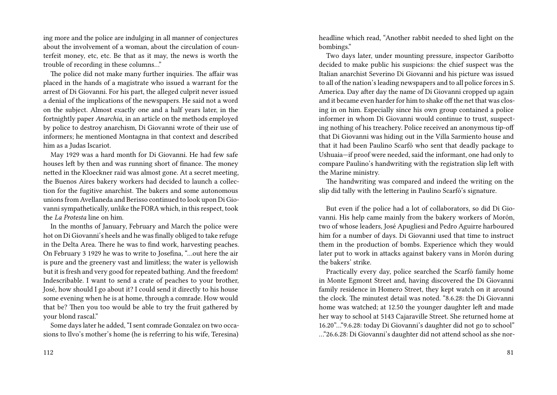ing more and the police are indulging in all manner of conjectures about the involvement of a woman, about the circulation of counterfeit money, etc, etc. Be that as it may, the news is worth the trouble of recording in these columns…"

The police did not make many further inquiries. The affair was placed in the hands of a magistrate who issued a warrant for the arrest of Di Giovanni. For his part, the alleged culprit never issued a denial of the implications of the newspapers. He said not a word on the subject. Almost exactly one and a half years later, in the fortnightly paper *Anarchia*, in an article on the methods employed by police to destroy anarchism, Di Giovanni wrote of their use of informers; he mentioned Montagna in that context and described him as a Judas Iscariot.

May 1929 was a hard month for Di Giovanni. He had few safe houses left by then and was running short of finance. The money netted in the Kloeckner raid was almost gone. At a secret meeting, the Buenos Aires bakery workers had decided to launch a collection for the fugitive anarchist. The bakers and some autonomous unions from Avellaneda and Berisso continued to look upon Di Giovanni sympathetically, unlike the FORA which, in this respect, took the *La Protesta* line on him.

In the months of January, February and March the police were hot on Di Giovanni's heels and he was finally obliged to take refuge in the Delta Area. There he was to find work, harvesting peaches. On February 3 1929 he was to write to Josefina, "…out here the air is pure and the greenery vast and limitless; the water is yellowish but it is fresh and very good for repeated bathing. And the freedom! Indescribable. I want to send a crate of peaches to your brother, José, how should I go about it? I could send it directly to his house some evening when he is at home, through a comrade. How would that be? Then you too would be able to try the fruit gathered by your blond rascal."

Some days later he added, "I sent comrade Gonzalez on two occasions to Ilvo's mother's home (he is referring to his wife, Teresina) headline which read, "Another rabbit needed to shed light on the bombings."

Two days later, under mounting pressure, inspector Garibotto decided to make public his suspicions: the chief suspect was the Italian anarchist Severino Di Giovanni and his picture was issued to all of the nation's leading newspapers and to all police forces in S. America. Day after day the name of Di Giovanni cropped up again and it became even harder for him to shake off the net that was closing in on him. Especially since his own group contained a police informer in whom Di Giovanni would continue to trust, suspecting nothing of his treachery. Police received an anonymous tip-off that Di Giovanni was hiding out in the Villa Sarmiento house and that it had been Paulino Scarfó who sent that deadly package to Ushuaia—if proof were needed, said the informant, one had only to compare Paulino's handwriting with the registration slip left with the Marine ministry.

The handwriting was compared and indeed the writing on the slip did tally with the lettering in Paulino Scarfó's signature.

But even if the police had a lot of collaborators, so did Di Giovanni. His help came mainly from the bakery workers of Morón, two of whose leaders, José Apugliesi and Pedro Aguirre harboured him for a number of days. Di Giovanni used that time to instruct them in the production of bombs. Experience which they would later put to work in attacks against bakery vans in Morón during the bakers' strike.

Practically every day, police searched the Scarfó family home in Monte Egmont Street and, having discovered the Di Giovanni family residence in Homero Street, they kept watch on it around the clock. The minutest detail was noted. "8.6.28: the Di Giovanni home was watched; at 12.50 the younger daughter left and made her way to school at 5143 Cajaraville Street. She returned home at 16.20"…"9.6.28: today Di Giovanni's daughter did not go to school" …"26.6.28: Di Giovanni's daughter did not attend school as she nor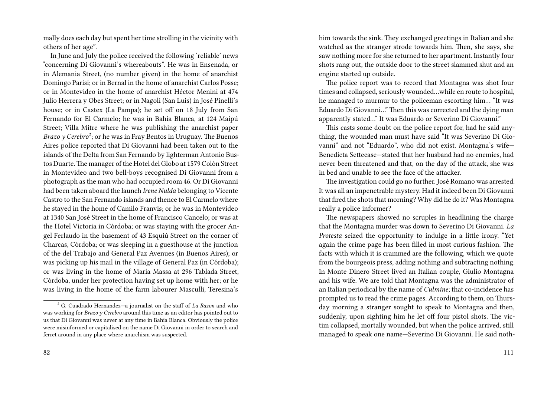mally does each day but spent her time strolling in the vicinity with others of her age".

In June and July the police received the following 'reliable' news "concerning Di Giovanni's whereabouts". He was in Ensenada, or in Alemania Street, (no number given) in the home of anarchist Domingo Parisi; or in Bernal in the home of anarchist Carlos Posse; or in Montevideo in the home of anarchist Héctor Menini at 474 Julio Herrera y Obes Street; or in Nagoli (San Luis) in José Pinelli's house; or in Castex (La Pampa); he set off on 18 July from San Fernando for El Carmelo; he was in Bahía Blanca, at 124 Maipú Street; Villa Mitre where he was publishing the anarchist paper Brazo y Cerebro<sup>2</sup>; or he was in Fray Bentos in Uruguay. The Buenos Aires police reported that Di Giovanni had been taken out to the islands of the Delta from San Fernando by lighterman Antonio Bustos Duarte.The manager of the Hotel del Globo at 1579 Colón Street in Montevideo and two bell-boys recognised Di Giovanni from a photograph as the man who had occupied room 46. Or Di Giovanni had been taken aboard the launch *Irene Nulda* belonging to Vicente Castro to the San Fernando islands and thence to El Carmelo where he stayed in the home of Camilo Franvis; or he was in Montevideo at 1340 San José Street in the home of Francisco Cancelo; or was at the Hotel Victoria in Córdoba; or was staying with the grocer Angel Ferlaudo in the basement of 43 Esquiú Street on the corner of Charcas, Córdoba; or was sleeping in a guesthouse at the junction of the del Trabajo and General Paz Avenues (in Buenos Aires); or was picking up his mail in the village of General Paz (in Córdoba); or was living in the home of María Massa at 296 Tablada Street, Córdoba, under her protection having set up home with her; or he was living in the home of the farm labourer Masculli, Teresina's him towards the sink. They exchanged greetings in Italian and she watched as the stranger strode towards him. Then, she says, she saw nothing more for she returned to her apartment. Instantly four shots rang out, the outside door to the street slammed shut and an engine started up outside.

The police report was to record that Montagna was shot four times and collapsed, seriously wounded…while en route to hospital, he managed to murmur to the policeman escorting him… "It was Eduardo Di Giovanni…" Then this was corrected and the dying man apparently stated…" It was Eduardo or Severino Di Giovanni."

This casts some doubt on the police report for, had he said anything, the wounded man must have said "It was Severino Di Giovanni" and not "Eduardo", who did not exist. Montagna's wife— Benedicta Settecase—stated that her husband had no enemies, had never been threatened and that, on the day of the attack, she was in bed and unable to see the face of the attacker.

The investigation could go no further. José Romano was arrested. It was all an impenetrable mystery. Had it indeed been Di Giovanni that fired the shots that morning? Why did he do it? Was Montagna really a police informer?

The newspapers showed no scruples in headlining the charge that the Montagna murder was down to Severino Di Giovanni. *La Protesta* seized the opportunity to indulge in a little irony. "Yet again the crime page has been filled in most curious fashion. The facts with which it is crammed are the following, which we quote from the bourgeois press, adding nothing and subtracting nothing. In Monte Dinero Street lived an Italian couple, Giulio Montagna and his wife. We are told that Montagna was the administrator of an Italian periodical by the name of *Culmine*; that co-incidence has prompted us to read the crime pages. According to them, on Thursday morning a stranger sought to speak to Montagna and then, suddenly, upon sighting him he let off four pistol shots. The victim collapsed, mortally wounded, but when the police arrived, still managed to speak one name—Severino Di Giovanni. He said noth-

<sup>2</sup> G. Cuadrado Hernandez—a journalist on the staff of *La Razon* and who was working for *Brazo y Cerebro* around this time as an editor has pointed out to us that Di Giovanni was never at any time in Bahia Blanca. Obviously the police were misinformed or capitalised on the name Di Giovanni in order to search and ferret around in any place where anarchism was suspected.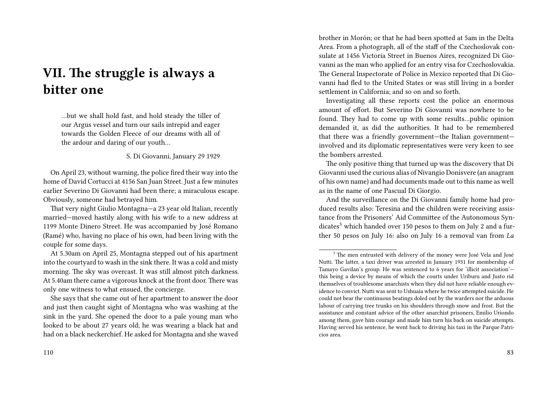# **VII. The struggle is always a bitter one**

…but we shall hold fast, and hold steady the tiller of our Argus vessel and turn our sails intrepid and eager towards the Golden Fleece of our dreams with all of the ardour and daring of our youth…

#### S. Di Giovanni, January 29 1929

On April 23, without warning, the police fired their way into the home of David Cortucci at 4156 San Juan Street. Just a few minutes earlier Severino Di Giovanni had been there; a miraculous escape. Obviously, someone had betrayed him.

That very night Giulio Montagna—a 23 year old Italian, recently married—moved hastily along with his wife to a new address at 1199 Monte Dinero Street. He was accompanied by José Romano (Ramé) who, having no place of his own, had been living with the couple for some days.

At 5.30am on April 25, Montagna stepped out of his apartment into the courtyard to wash in the sink there. It was a cold and misty morning. The sky was overcast. It was still almost pitch darkness. At 5.40am there came a vigorous knock at the front door. There was only one witness to what ensued, the concierge.

She says that she came out of her apartment to answer the door and just then caught sight of Montagna who was washing at the sink in the yard. She opened the door to a pale young man who looked to be about 27 years old; he was wearing a black hat and had on a black neckerchief. He asked for Montagna and she waved

brother in Morón; or that he had been spotted at 5am in the Delta Area. From a photograph, all of the staff of the Czechoslovak consulate at 1456 Victoria Street in Buenos Aires, recognized Di Giovanni as the man who applied for an entry visa for Czechoslovakia. The General Inspectorate of Police in Mexico reported that Di Giovanni had fled to the United States or was still living in a border settlement in California; and so on and so forth.

Investigating all these reports cost the police an enormous amount of effort. But Severino Di Giovanni was nowhere to be found. They had to come up with some results…public opinion demanded it, as did the authorities. It had to be remembered that there was a friendly government—the Italian government involved and its diplomatic representatives were very keen to see the bombers arrested.

The only positive thing that turned up was the discovery that Di Giovanni used the curious alias of Nivangio Donisvere (an anagram of his own name) and had documents made out to this name as well as in the name of one Pascual Di Giorgio.

And the surveillance on the Di Giovanni family home had produced results also: Teresina and the children were receiving assistance from the Prisoners' Aid Committee of the Autonomous Syndicates<sup>3</sup> which handed over 150 pesos to them on July 2 and a further 50 pesos on July 16: also on July 16 a removal van from *La*

<sup>&</sup>lt;sup>3</sup> The men entrusted with delivery of the money were José Vela and José Nutti. The latter, a taxi driver was arrested in January 1931 for membership of Tamayo Gavilan's group. He was sentenced to 6 years for 'illicit association' this being a device by means of which the courts under Uriburu and Justo rid themselves of troublesome anarchists when they did not have reliable enough evidence to convict. Nutti was sent to Ushuaia where he twice attempted suicide. He could not bear the continuous beatings doled out by the warders nor the arduous labour of carrying tree trunks on his shoulders through snow and frost. But the assistance and constant advice of the other anarchist prisoners, Emilio Uriondo among them, gave him courage and made him turn his back on suicide attempts. Having served his sentence, he went back to driving his taxi in the Parque Patricios area.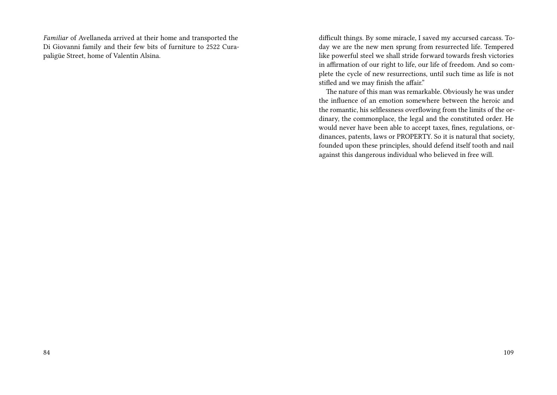*Familiar* of Avellaneda arrived at their home and transported the Di Giovanni family and their few bits of furniture to 2522 Curapaligüe Street, home of Valentín Alsina.

difficult things. By some miracle, I saved my accursed carcass. Today we are the new men sprung from resurrected life. Tempered like powerful steel we shall stride forward towards fresh victories in affirmation of our right to life, our life of freedom. And so complete the cycle of new resurrections, until such time as life is not stifled and we may finish the affair."

The nature of this man was remarkable. Obviously he was under the influence of an emotion somewhere between the heroic and the romantic, his selflessness overflowing from the limits of the ordinary, the commonplace, the legal and the constituted order. He would never have been able to accept taxes, fines, regulations, ordinances, patents, laws or PROPERTY. So it is natural that society, founded upon these principles, should defend itself tooth and nail against this dangerous individual who believed in free will.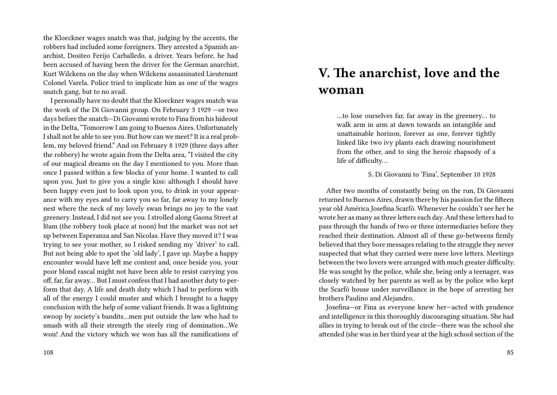the Kloeckner wages snatch was that, judging by the accents, the robbers had included some foreigners. They arrested a Spanish anarchist, Dositeo Ferijo Carballedo, a driver. Years before, he had been accused of having been the driver for the German anarchist, Kurt Wilckens on the day when Wilckens assassinated Lieutenant Colonel Varela. Police tried to implicate him as one of the wages snatch gang, but to no avail.

I personally have no doubt that the Kloeckner wages snatch was the work of the Di Giovanni group. On February 3 1929 —or two days before the snatch—Di Giovanni wrote to Fina from his hideout in the Delta, "Tomorrow I am going to Buenos Aires. Unfortunately I shall not be able to see you. But how can we meet? It is a real problem, my beloved friend." And on February 8 1929 (three days after the robbery) he wrote again from the Delta area, "I visited the city of our magical dreams on the day I mentioned to you. More than once I passed within a few blocks of your home. I wanted to call upon you. Just to give you a single kiss: although I should have been happy even just to look upon you, to drink in your appearance with my eyes and to carry you so far, far away to my lonely nest where the neck of my lovely swan brings no joy to the vast greenery. Instead, I did not see you. I strolled along Gaona Street at l0am (the robbery took place at noon) but the market was not set up between Esperanza and San Nicolas. Have they moved it? I was trying to see your mother, so I risked sending my 'driver' to call. But not being able to spot the 'old lady', I gave up. Maybe a happy encounter would have left me content and, once beside you, your poor blond rascal might not have been able to resist carrying you off, far, far away… But I must confess that I had another duty to perform that day. A life and death duty which I had to perform with all of the energy I could muster and which I brought to a happy conclusion with the help of some valiant friends. It was a lightning swoop by society's bandits…men put outside the law who had to smash with all their strength the steely ring of domination…We won! And the victory which we won has all the ramifications of

### **V. The anarchist, love and the woman**

…to lose ourselves far, far away in the greenery… to walk arm in arm at dawn towards an intangible and unattainable horizon, forever as one, forever tightly linked like two ivy plants each drawing nourishment from the other, and to sing the heroic rhapsody of a life of difficulty…

#### S. Di Giovanni to 'Fina', September 10 1928

After two months of constantly being on the run, Di Giovanni returned to Buenos Aires, drawn there by his passion for the fifteen year old América Josefina Scarfó. Whenever he couldn't see her he wrote her as many as three letters each day. And these letters had to pass through the hands of two or three intermediaries before they reached their destination. Almost all of these go-betweens firmly believed that they bore messages relating to the struggle they never suspected that what they carried were mere love letters. Meetings between the two lovers were arranged with much greater difficulty. He was sought by the police, while she, being only a teenager, was closely watched by her parents as well as by the police who kept the Scarfó house under surveillance in the hope of arresting her brothers Paulino and Alejandro..

Josefina—or Fina as everyone knew her—acted with prudence and intelligence in this thoroughly discouraging situation. She had allies in trying to break out of the circle—there was the school she attended (she was in her third year at the high school section of the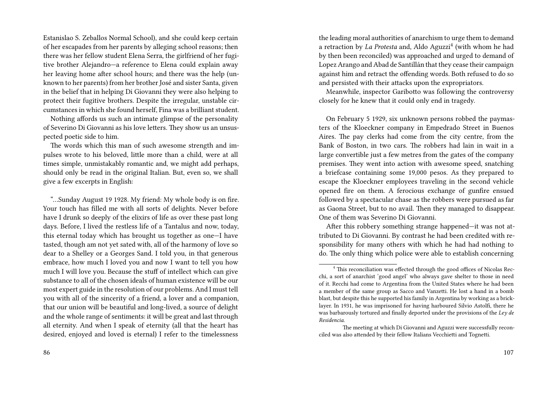Estanislao S. Zeballos Normal School), and she could keep certain of her escapades from her parents by alleging school reasons; then there was her fellow student Elena Serra, the girlfriend of her fugitive brother Alejandro—a reference to Elena could explain away her leaving home after school hours; and there was the help (unknown to her parents) from her brother José and sister Santa, given in the belief that in helping Di Giovanni they were also helping to protect their fugitive brothers. Despite the irregular, unstable circumstances in which she found herself, Fina was a brilliant student.

Nothing affords us such an intimate glimpse of the personality of Severino Di Giovanni as his love letters. They show us an unsuspected poetic side to him.

The words which this man of such awesome strength and impulses wrote to his beloved, little more than a child, were at all times simple, unmistakably romantic and, we might add perhaps, should only be read in the original Italian. But, even so, we shall give a few excerpts in English:

"…Sunday August 19 1928. My friend: My whole body is on fire. Your touch has filled me with all sorts of delights. Never before have I drunk so deeply of the elixirs of life as over these past long days. Before, I lived the restless life of a Tantalus and now, today, this eternal today which has brought us together as one—I have tasted, though am not yet sated with, all of the harmony of love so dear to a Shelley or a Georges Sand. I told you, in that generous embrace, how much I loved you and now I want to tell you how much I will love you. Because the stuff of intellect which can give substance to all of the chosen ideals of human existence will be our most expert guide in the resolution of our problems. And I must tell you with all of the sincerity of a friend, a lover and a companion, that our union will be beautiful and long-lived, a source of delight and the whole range of sentiments: it will be great and last through all eternity. And when I speak of eternity (all that the heart has desired, enjoyed and loved is eternal) I refer to the timelessness

the leading moral authorities of anarchism to urge them to demand a retraction by *La Protesta* and, Aldo Aguzzi<sup>4</sup> (with whom he had by then been reconciled) was approached and urged to demand of Lopez Arango and Abad de Santillán that they cease their campaign against him and retract the offending words. Both refused to do so and persisted with their attacks upon the expropriators.

Meanwhile, inspector Garibotto was following the controversy closely for he knew that it could only end in tragedy.

On February 5 1929, six unknown persons robbed the paymasters of the Kloeckner company in Empedrado Street in Buenos Aires. The pay clerks had come from the city centre, from the Bank of Boston, in two cars. The robbers had lain in wait in a large convertible just a few metres from the gates of the company premises. They went into action with awesome speed, snatching a briefcase containing some 19,000 pesos. As they prepared to escape the Kloeckner employees traveling in the second vehicle opened fire on them. A ferocious exchange of gunfire ensued followed by a spectacular chase as the robbers were pursued as far as Gaona Street, but to no avail. Then they managed to disappear. One of them was Severino Di Giovanni.

After this robbery something strange happened—it was not attributed to Di Giovanni. By contrast he had been credited with responsibility for many others with which he had had nothing to do. The only thing which police were able to establish concerning

<sup>&</sup>lt;sup>4</sup> This reconciliation was effected through the good offices of Nicolas Recchi, a sort of anarchist 'good angel' who always gave shelter to those in need of it. Recchi had come to Argentina from the United States where he had been a member of the same group as Sacco and Vanzetti. He lost a hand in a bomb blast, but despite this he supported his family in Argentina by working as a bricklayer. In 1931, he was imprisoned for having harboured Silvio Astolfi, there he was barbarously tortured and finally deported under the provisions of the *Ley de Residencia*.

The meeting at which Di Giovanni and Aguzzi were successfully reconciled was also attended by their fellow Italians Vecchietti and Tognetti.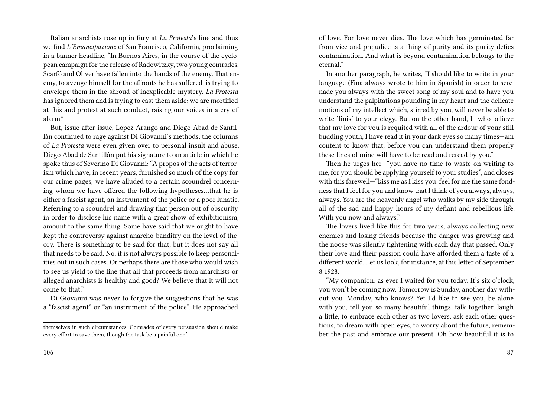Italian anarchists rose up in fury at *La Protesta*'s line and thus we find *L'Emancipazione* of San Francisco, California, proclaiming in a banner headline, "In Buenos Aires, in the course of the cyclopean campaign for the release of Radowitzky, two young comrades, Scarfó and Oliver have fallen into the hands of the enemy. That enemy, to avenge himself for the affronts he has suffered, is trying to envelope them in the shroud of inexplicable mystery. *La Protesta* has ignored them and is trying to cast them aside: we are mortified at this and protest at such conduct, raising our voices in a cry of alarm."

But, issue after issue, Lopez Arango and Diego Abad de Santillán continued to rage against Di Giovanni's methods; the columns of *La Protesta* were even given over to personal insult and abuse. Diego Abad de Santillán put his signature to an article in which he spoke thus of Severino Di Giovanni: "A propos of the acts of terrorism which have, in recent years, furnished so much of the copy for our crime pages, we have alluded to a certain scoundrel concerning whom we have offered the following hypotheses…that he is either a fascist agent, an instrument of the police or a poor lunatic. Referring to a scoundrel and drawing that person out of obscurity in order to disclose his name with a great show of exhibitionism, amount to the same thing. Some have said that we ought to have kept the controversy against anarcho-banditry on the level of theory. There is something to be said for that, but it does not say all that needs to be said. No, it is not always possible to keep personalities out in such cases. Or perhaps there are those who would wish to see us yield to the line that all that proceeds from anarchists or alleged anarchists is healthy and good? We believe that it will not come to that."

Di Giovanni was never to forgive the suggestions that he was a "fascist agent" or "an instrument of the police". He approached

of love. For love never dies. The love which has germinated far from vice and prejudice is a thing of purity and its purity defies contamination. And what is beyond contamination belongs to the eternal."

In another paragraph, he writes, "I should like to write in your language (Fina always wrote to him in Spanish) in order to serenade you always with the sweet song of my soul and to have you understand the palpitations pounding in my heart and the delicate motions of my intellect which, stirred by you, will never be able to write 'finis' to your elegy. But on the other hand, I—who believe that my love for you is requited with all of the ardour of your still budding youth, I have read it in your dark eyes so many times—am content to know that, before you can understand them properly these lines of mine will have to be read and reread by you."

Then he urges her—"you have no time to waste on writing to me, for you should be applying yourself to your studies", and closes with this farewell—"kiss me as I kiss you: feel for me the same fondness that I feel for you and know that I think of you always, always, always. You are the heavenly angel who walks by my side through all of the sad and happy hours of my defiant and rebellious life. With you now and always."

The lovers lived like this for two years, always collecting new enemies and losing friends because the danger was growing and the noose was silently tightening with each day that passed. Only their love and their passion could have afforded them a taste of a different world. Let us look, for instance, at this letter of September 8 1928.

"My companion: as ever I waited for you today. It's six o'clock, you won't be coming now. Tomorrow is Sunday, another day without you. Monday, who knows? Yet I'd like to see you, be alone with you, tell you so many beautiful things, talk together, laugh a little, to embrace each other as two lovers, ask each other questions, to dream with open eyes, to worry about the future, remember the past and embrace our present. Oh how beautiful it is to

themselves in such circumstances. Comrades of every persuasion should make every effort to save them, though the task be a painful one.'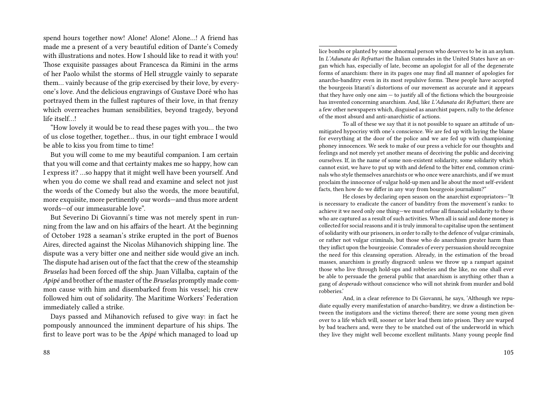spend hours together now! Alone! Alone! Alone…! A friend has made me a present of a very beautiful edition of Dante's Comedy with illustrations and notes. How I should like to read it with you! Those exquisite passages about Francesca da Rimini in the arms of her Paolo whilst the storms of Hell struggle vainly to separate them… vainly because of the grip exercised by their love, by everyone's love. And the delicious engravings of Gustave Doré who has portrayed them in the fullest raptures of their love, in that frenzy which overreaches human sensibilities, beyond tragedy, beyond life itself…!

"How lovely it would be to read these pages with you… the two of us close together, together… thus, in our tight embrace I would be able to kiss you from time to time!

But you will come to me my beautiful companion. I am certain that you will come and that certainty makes me so happy, how can I express it? …so happy that it might well have been yourself. And when you do come we shall read and examine and select not just the words of the Comedy but also the words, the more beautiful, more exquisite, more pertinently our words—and thus more ardent words—of our immeasurable love".

But Severino Di Giovanni's time was not merely spent in running from the law and on his affairs of the heart. At the beginning of October 1928 a seaman's strike erupted in the port of Buenos Aires, directed against the Nicolas Mihanovich shipping line. The dispute was a very bitter one and neither side would give an inch. The dispute had arisen out of the fact that the crew of the steamship *Bruselas* had been forced off the ship. Juan Villalba, captain of the *Apipé* and brother of the master of the *Bruselas* promptly made common cause with him and disembarked from his vessel; his crew followed him out of solidarity. The Maritime Workers' Federation immediately called a strike.

Days passed and Mihanovich refused to give way: in fact he pompously announced the imminent departure of his ships. The first to leave port was to be the *Apipé* which managed to load up

lice bombs or planted by some abnormal person who deserves to be in an asylum. In *L'Adunata dei Refrattari* the Italian comrades in the United States have an organ which has, especially of late, become an apologist for all of the degenerate forms of anarchism: there in its pages one may find all manner of apologies for anarcho-banditry even in its most repulsive forms. These people have accepted the bourgeois litarati's distortions of our movement as accurate and it appears that they have only one aim  $-$  to justify all of the fictions which the bourgeoisie has invented concerning anarchism. And, like *L'Adunata dei Refrattari*, there are a few other newspapers which, disguised as anarchist papers, rally to the defence of the most absurd and anti-anarchistic of actions.

To all of these we say that it is not possible to square an attitude of unmitigated hypocrisy with one's conscience. We are fed up with laying the blame for everything at the door of the police and we are fed up with championing phoney innocences. We seek to make of our press a vehicle for our thoughts and feelings and not merely yet another means of deceiving the public and deceiving ourselves. If, in the name of some non-existent solidarity, some solidarity which cannot exist, we have to put up with and defend to the bitter end, common criminals who style themselves anarchists or who once were anarchists, and if we must proclaim the innocence of vulgar hold-up men and lie about the most self-evident facts, then how do we differ in any way from bourgeois journalism?"

He closes by declaring open season on the anarchist expropriators—"It is necessary to eradicate the cancer of banditry from the movement's ranks: to achieve it we need only one thing—we must refuse all financial solidarity to those who are captured as a result of such activities. When all is said and done money is collected for social reasons and it is truly immoral to capitalise upon the sentiment of solidarity with our prisoners, in order to rally to the defence of vulgar criminals, or rather not vulgar criminals, but those who do anarchism greater harm than they inflict upon the bourgeoisie. Comrades of every persuasion should recognize the need for this cleansing operation. Already, in the estimation of the broad masses, anarchism is greatly disgraced: unless we throw up a rampart against those who live through hold-ups and robberies and the like, no one shall ever be able to persuade the general public that anarchism is anything other than a gang of *desperado* without conscience who will not shrink from murder and bold robberies.'

And, in a clear reference to Di Giovanni, he says, 'Although we repudiate equally every manifestation of anarcho-banditry, we draw a distinction between the instigators and the victims thereof; there are some young men given over to a life which will, sooner or later lead them into prison. They are warped by bad teachers and, were they to be snatched out of the underworld in which they live they might well become excellent militants. Many young people find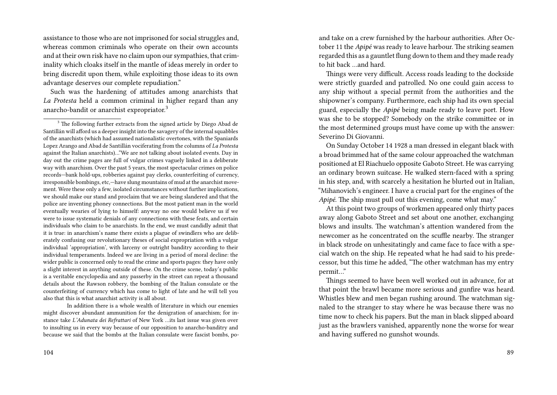assistance to those who are not imprisoned for social struggles and, whereas common criminals who operate on their own accounts and at their own risk have no claim upon our sympathies, that criminality which cloaks itself in the mantle of ideas merely in order to bring discredit upon them, while exploiting those ideas to its own advantage deserves our complete repudiation."

Such was the hardening of attitudes among anarchists that *La Protesta* held a common criminal in higher regard than any anarcho-bandit or anarchist expropriator.<sup>3</sup>

<sup>3</sup> The following further extracts from the signed article by Diego Abad de Santillán will afford us a deeper insight into the savagery of the internal squabbles of the anarchists (which had assumed nationalistic overtones, with the Spaniards Lopez Arango and Abad de Santillán vociferating from the columns of *La Protesta* against the Italian anarchists)…"We are not talking about isolated events. Day in day out the crime pages are full of vulgar crimes vaguely linked in a deliberate way with anarchism. Over the past 5 years, the most spectacular crimes on police records—bank hold-ups, robberies against pay clerks, counterfeiting of currency, irresponsible bombings, etc,—have slung mountains of mud at the anarchist movement. Were these only a few, isolated circumstances without further implications, we should make our stand and proclaim that we are being slandered and that the police are inventing phoney connections. But the most patient man in the world eventually wearies of lying to himself: anyway no one would believe us if we were to issue systematic denials of any connections with these feats, and certain individuals who claim to be anarchists. In the end, we must candidly admit that it is true: in anarchism's name there exists a plague of swindlers who are deliberately confusing our revolutionary theses of social expropriation with a vulgar individual 'appropriation', with larceny or outright banditry according to their individual temperaments. Indeed we are living in a period of moral decline: the wider public is concerned only to read the crime and sports pages: they have only a slight interest in anything outside of these. On the crime scene, today's public is a veritable encyclopedia and any passerby in the street can repeat a thousand details about the Rawson robbery, the bombing of the Italian consulate or the counterfeiting of currency which has come to light of late and he will tell you also that this is what anarchist activity is all about.

In addition there is a whole wealth of literature in which our enemies might discover abundant ammunition for the denigration of anarchism; for instance take *L'Adunata dei Refrattari* of New York …its last issue was given over to insulting us in every way because of our opposition to anarcho-banditry and because we said that the bombs at the Italian consulate were fascist bombs, poand take on a crew furnished by the harbour authorities. After October 11 the *Apipé* was ready to leave harbour. The striking seamen regarded this as a gauntlet flung down to them and they made ready to hit back …and hard.

Things were very difficult. Access roads leading to the dockside were strictly guarded and patrolled. No one could gain access to any ship without a special permit from the authorities and the shipowner's company. Furthermore, each ship had its own special guard, especially the *Apipé* being made ready to leave port. How was she to be stopped? Somebody on the strike committee or in the most determined groups must have come up with the answer: Severino Di Giovanni.

On Sunday October 14 1928 a man dressed in elegant black with a broad brimmed hat of the same colour approached the watchman positioned at El Riachuelo opposite Gaboto Street. He was carrying an ordinary brown suitcase. He walked stern-faced with a spring in his step, and, with scarcely a hesitation he blurted out in Italian, "Mihanovich's engineer. I have a crucial part for the engines of the *Apipé*. The ship must pull out this evening, come what may."

At this point two groups of workmen appeared only thirty paces away along Gaboto Street and set about one another, exchanging blows and insults. The watchman's attention wandered from the newcomer as he concentrated on the scuffle nearby. The stranger in black strode on unhesitatingly and came face to face with a special watch on the ship. He repeated what he had said to his predecessor, but this time he added, "The other watchman has my entry permit…"

Things seemed to have been well worked out in advance, for at that point the brawl became more serious and gunfire was heard. Whistles blew and men began rushing around. The watchman signaled to the stranger to stay where he was because there was no time now to check his papers. But the man in black slipped aboard just as the brawlers vanished, apparently none the worse for wear and having suffered no gunshot wounds.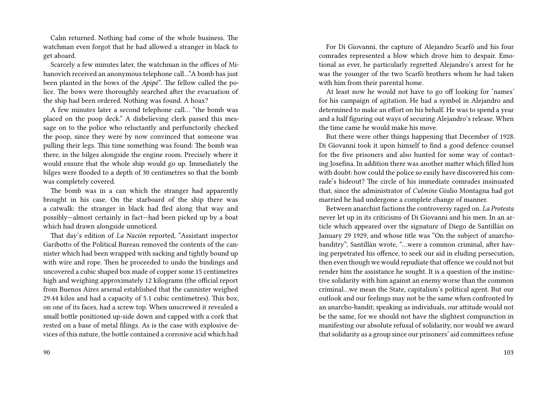Calm returned. Nothing had come of the whole business. The watchman even forgot that he had allowed a stranger in black to get aboard.

Scarcely a few minutes later, the watchman in the offices of Mihanovich received an anonymous telephone call…"A bomb has just been planted in the bows of the *Apipé*". The fellow called the police. The bows were thoroughly searched after the evacuation of the ship had been ordered. Nothing was found. A hoax?

A few minutes later a second telephone call… "the bomb was placed on the poop deck." A disbelieving clerk passed this message on to the police who reluctantly and perfunctorily checked the poop, since they were by now convinced that someone was pulling their legs. This time something was found: The bomb was there, in the bilges alongside the engine room. Precisely where it would ensure that the whole ship would go up. Immediately the bilges were flooded to a depth of 30 centimetres so that the bomb was completely covered.

The bomb was in a can which the stranger had apparently brought in his case. On the starboard of the ship there was a catwalk: the stranger in black had fled along that way and possibly—almost certainly in fact—had been picked up by a boat which had drawn alongside unnoticed.

That day's edition of *La Nación* reported, "Assistant inspector Garibotto of the Political Bureau removed the contents of the cannister which had been wrapped with sacking and tightly bound up with wire and rope. Then he proceeded to undo the bindings and uncovered a cubic shaped box made of copper some 15 centimetres high and weighing approximately 12 kilograms (the official report from Buenos Aires arsenal established that the cannister weighed 29.44 kilos and had a capacity of 5.1 cubic centimetres). This box, on one of its faces, had a screw top. When unscrewed it revealed a small bottle positioned up-side down and capped with a cork that rested on a base of metal filings. As is the case with explosive devices of this nature, the bottle contained a corrosive acid which had

For Di Giovanni, the capture of Alejandro Scarfó and his four comrades represented a blow which drove him to despair. Emotional as ever, he particularly regretted Alejandro's arrest for he was the younger of the two Scarfó brothers whom he had taken with him from their parental home.

At least now he would not have to go off looking for 'names' for his campaign of agitation. He had a symbol in Alejandro and determined to make an effort on his behalf. He was to spend a year and a half figuring out ways of securing Alejandro's release. When the time came he would make his move.

But there were other things happening that December of 1928. Di Giovanni took it upon himself to find a good defence counsel for the five prisoners and also hunted for some way of contacting Josefina. In addition there was another matter which filled him with doubt: how could the police so easily have discovered his comrade's hideout? The circle of his immediate comrades insinuated that, since the administrator of *Culmine* Giulio Montagna had got married he had undergone a complete change of manner.

Between anarchist factions the controversy raged on. *La Protesta* never let up in its criticisms of Di Giovanni and his men. In an article which appeared over the signature of Diego de Santillán on January 29 1929, and whose title was "On the subject of anarchobanditry", Santillán wrote, "…were a common criminal, after having perpetrated his offence, to seek our aid in eluding persecution, then even though we would repudiate that offence we could not but render him the assistance he sought. It is a question of the instinctive solidarity with him against an enemy worse than the common criminal…we mean the State, capitalism's political agent. But our outlook and our feelings may not be the same when confronted by an anarcho-bandit; speaking as individuals, our attitude would not be the same, for we should not have the slightest compunction in manifesting our absolute refusal of solidarity, nor would we award that solidarity as a group since our prisoners' aid committees refuse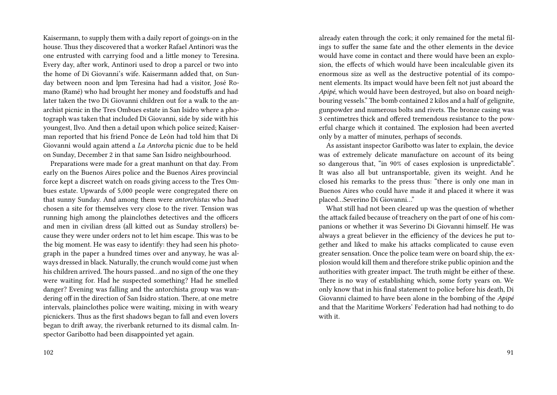Kaisermann, to supply them with a daily report of goings-on in the house. Thus they discovered that a worker Rafael Antinori was the one entrusted with carrying food and a little money to Teresina. Every day, after work, Antinori used to drop a parcel or two into the home of Di Giovanni's wife. Kaisermann added that, on Sunday between noon and lpm Teresina had had a visitor, José Romano (Ramé) who had brought her money and foodstuffs and had later taken the two Di Giovanni children out for a walk to the anarchist picnic in the Tres Ombues estate in San Isidro where a photograph was taken that included Di Giovanni, side by side with his youngest, Ilvo. And then a detail upon which police seized; Kaiserman reported that his friend Ponce de León had told him that Di Giovanni would again attend a *La Antorcha* picnic due to be held on Sunday, December 2 in that same San Isidro neighbourhood.

Preparations were made for a great manhunt on that day. From early on the Buenos Aires police and the Buenos Aires provincial force kept a discreet watch on roads giving access to the Tres Ombues estate. Upwards of 5,000 people were congregated there on that sunny Sunday. And among them were *antorchistas* who had chosen a site for themselves very close to the river. Tension was running high among the plainclothes detectives and the officers and men in civilian dress (all kitted out as Sunday strollers) because they were under orders not to let him escape. This was to be the big moment. He was easy to identify: they had seen his photograph in the paper a hundred times over and anyway, he was always dressed in black. Naturally, the crunch would come just when his children arrived. The hours passed…and no sign of the one they were waiting for. Had he suspected something? Had he smelled danger? Evening was falling and the antorchista group was wandering off in the direction of San Isidro station. There, at one metre intervals, plainclothes police were waiting, mixing in with weary picnickers. Thus as the first shadows began to fall and even lovers began to drift away, the riverbank returned to its dismal calm. Inspector Garibotto had been disappointed yet again.

already eaten through the cork; it only remained for the metal filings to suffer the same fate and the other elements in the device would have come in contact and there would have been an explosion, the effects of which would have been incalculable given its enormous size as well as the destructive potential of its component elements. Its impact would have been felt not just aboard the *Apipé*, which would have been destroyed, but also on board neighbouring vessels." The bomb contained 2 kilos and a half of gelignite, gunpowder and numerous bolts and rivets. The bronze casing was 3 centimetres thick and offered tremendous resistance to the powerful charge which it contained. The explosion had been averted only by a matter of minutes, perhaps of seconds.

As assistant inspector Garibotto was later to explain, the device was of extremely delicate manufacture on account of its being so dangerous that, "in 90% of cases explosion is unpredictable". It was also all but untransportable, given its weight. And he closed his remarks to the press thus: "there is only one man in Buenos Aires who could have made it and placed it where it was placed…Severino Di Giovanni…"

What still had not been cleared up was the question of whether the attack failed because of treachery on the part of one of his companions or whether it was Severino Di Giovanni himself. He was always a great believer in the efficiency of the devices he put together and liked to make his attacks complicated to cause even greater sensation. Once the police team were on board ship, the explosion would kill them and therefore strike public opinion and the authorities with greater impact. The truth might be either of these. There is no way of establishing which, some forty years on. We only know that in his final statement to police before his death, Di Giovanni claimed to have been alone in the bombing of the *Apipé* and that the Maritime Workers' Federation had had nothing to do with it.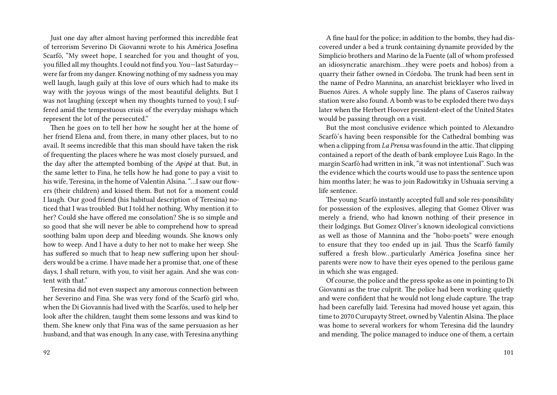Just one day after almost having performed this incredible feat of terrorism Severino Di Giovanni wrote to his América Josefina Scarfó, "My sweet hope, I searched for you and thought of you, you filled all my thoughts. I could not find you. You—last Saturday were far from my danger. Knowing nothing of my sadness you may well laugh, laugh gaily at this love of ours which had to make its way with the joyous wings of the most beautiful delights. But I was not laughing (except when my thoughts turned to you); I suffered amid the tempestuous crisis of the everyday mishaps which represent the lot of the persecuted."

Then he goes on to tell her how he sought her at the home of her friend Elena and, from there, in many other places, but to no avail. It seems incredible that this man should have taken the risk of frequenting the places where he was most closely pursued, and the day after the attempted bombing of the *Apipé* at that. But, in the same letter to Fina, he tells how he had gone to pay a visit to his wife, Teresina, in the home of Valentin Alsina. "…I saw our flowers (their children) and kissed them. But not for a moment could I laugh. Our good friend (his habitual description of Teresina) noticed that I was troubled: But I told her nothing. Why mention it to her? Could she have offered me consolation? She is so simple and so good that she will never be able to comprehend how to spread soothing balm upon deep and bleeding wounds. She knows only how to weep. And I have a duty to her not to make her weep. She has suffered so much that to heap new suffering upon her shoulders would be a crime. I have made her a promise that, one of these days, I shall return, with you, to visit her again. And she was content with that."

Teresina did not even suspect any amorous connection between her Severino and Fina. She was very fond of the Scarfó girl who, when the Di Giovannis had lived with the Scarfós, used to help her look after the children, taught them some lessons and was kind to them. She knew only that Fina was of the same persuasion as her husband, and that was enough. In any case, with Teresina anything

A fine haul for the police; in addition to the bombs, they had discovered under a bed a trunk containing dynamite provided by the Simplicio brothers and Marino de la Fuente (all of whom professed an idiosyncratic anarchism…they were poets and hobos) from a quarry their father owned in Córdoba. The trunk had been sent in the name of Pedro Mannina, an anarchist bricklayer who lived in Buenos Aires. A whole supply line. The plans of Caseros railway station were also found. A bomb was to be exploded there two days later when the Herbert Hoover president-elect of the United States would be passing through on a visit.

But the most conclusive evidence which pointed to Alexandro Scarfó's having been responsible for the Cathedral bombing was when a clipping from *La Prensa* was found in the attic. That clipping contained a report of the death of bank employee Luis Rago. In the margin Scarfó had written in ink, "it was not intentional". Such was the evidence which the courts would use to pass the sentence upon him months later; he was to join Radowitzky in Ushuaia serving a life sentence.

The young Scarfó instantly accepted full and sole res-ponsibility for possession of the explosives, alleging that Gomez Oliver was merely a friend, who had known nothing of their presence in their lodgings. But Gomez Oliver's known ideological convictions as well as those of Mannina and the "hobo-poets" were enough to ensure that they too ended up in jail. Thus the Scarfó family suffered a fresh blow…particularly América Josefina since her parents were now to have their eyes opened to the perilous game in which she was engaged.

Of course, the police and the press spoke as one in pointing to Di Giovanni as the true culprit. The police had been working quietly and were confident that he would not long elude capture. The trap had been carefully laid. Teresina had moved house yet again, this time to 2070 Curupayty Street, owned by Valentín Alsina. The place was home to several workers for whom Teresina did the laundry and mending. The police managed to induce one of them, a certain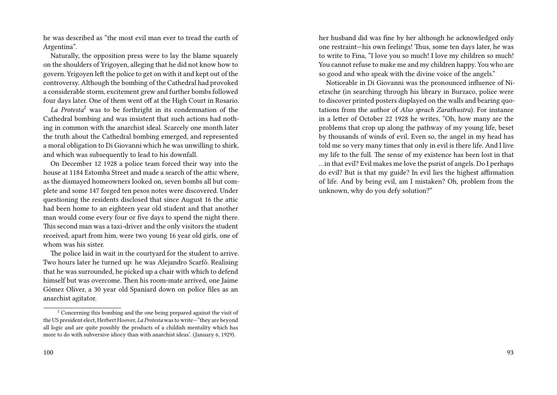he was described as "the most evil man ever to tread the earth of Argentina".

Naturally, the opposition press were to lay the blame squarely on the shoulders of Yrigoyen, alleging that he did not know how to govern. Yrigoyen left the police to get on with it and kept out of the controversy. Although the bombing of the Cathedral had provoked a considerable storm, excitement grew and further bombs followed four days later. One of them went off at the High Court in Rosario.

*La Protesta*<sup>2</sup> was to be forthright in its condemnation of the Cathedral bombing and was insistent that such actions had nothing in common with the anarchist ideal. Scarcely one month later the truth about the Cathedral bombing emerged, and represented a moral obligation to Di Giovanni which he was unwilling to shirk, and which was subsequently to lead to his downfall.

On December 12 1928 a police team forced their way into the house at 1184 Estomba Street and made a search of the attic where, as the dismayed homeowners looked on, seven bombs all but complete and some 147 forged ten pesos notes were discovered. Under questioning the residents disclosed that since August 16 the attic had been home to an eighteen year old student and that another man would come every four or five days to spend the night there. This second man was a taxi-driver and the only visitors the student received, apart from him, were two young 16 year old girls, one of whom was his sister.

The police laid in wait in the courtyard for the student to arrive. Two hours later he turned up: he was Alejandro Scarfó. Realising that he was surrounded, he picked up a chair with which to defend himself but was overcome. Then his room-mate arrived, one Jaime Gómez Oliver, a 30 year old Spaniard down on police files as an anarchist agitator.

her husband did was fine by her although he acknowledged only one restraint—his own feelings! Thus, some ten days later, he was to write to Fina, "I love you so much! I love my children so much! You cannot refuse to make me and my children happy. You who are so good and who speak with the divine voice of the angels."

Noticeable in Di Giovanni was the pronounced influence of Nietzsche (in searching through his library in Burzaco, police were to discover printed posters displayed on the walls and bearing quotations from the author of *Also sprach Zarathustra*). For instance in a letter of October 22 1928 he writes, "Oh, how many are the problems that crop up along the pathway of my young life, beset by thousands of winds of evil. Even so, the angel in my head has told me so very many times that only in evil is there life. And I live my life to the full. The sense of my existence has been lost in that …in that evil? Evil makes me love the purist of angels. Do I perhaps do evil? But is that my guide? In evil lies the highest affirmation of life. And by being evil, am I mistaken? Oh, problem from the unknown, why do you defy solution?"

 $2^2$  Concerning this bombing and the one being prepared against the visit of the US president elect, Herbert Hoover, *La Protesta* was to write—"they are beyond all logic and are quite possibly the products of a childish mentality which has more to do with subversive idiocy than with anarchist ideas'. (January 6, 1929).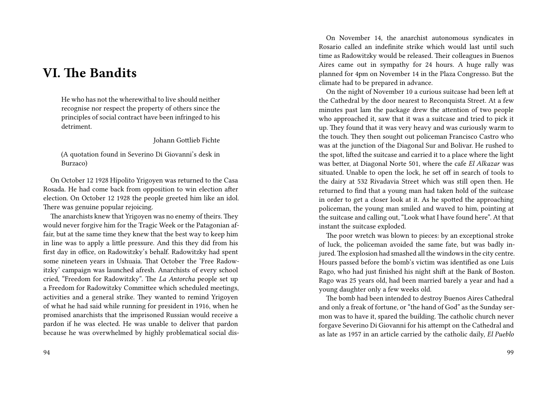### **VI. The Bandits**

He who has not the wherewithal to live should neither recognise nor respect the property of others since the principles of social contract have been infringed to his detriment.

Johann Gottlieb Fichte

(A quotation found in Severino Di Giovanni's desk in Burzaco)

On October 12 1928 Hípolito Yrigoyen was returned to the Casa Rosada. He had come back from opposition to win election after election. On October 12 1928 the people greeted him like an idol. There was genuine popular rejoicing.

The anarchists knew that Yrigoyen was no enemy of theirs. They would never forgive him for the Tragic Week or the Patagonian affair, but at the same time they knew that the best way to keep him in line was to apply a little pressure. And this they did from his first day in office, on Radowitzky's behalf. Radowitzky had spent some nineteen years in Ushuaia. That October the 'Free Radowitzky' campaign was launched afresh. Anarchists of every school cried, "Freedom for Radowitzky". The *La Antorcha* people set up a Freedom for Radowitzky Committee which scheduled meetings, activities and a general strike. They wanted to remind Yrigoyen of what he had said while running for president in 1916, when he promised anarchists that the imprisoned Russian would receive a pardon if he was elected. He was unable to deliver that pardon because he was overwhelmed by highly problematical social dis-

On November 14, the anarchist autonomous syndicates in Rosario called an indefinite strike which would last until such time as Radowitzky would be released. Their colleagues in Buenos Aires came out in sympathy for 24 hours. A huge rally was planned for 4pm on November 14 in the Plaza Congresso. But the climate had to be prepared in advance.

On the night of November 10 a curious suitcase had been left at the Cathedral by the door nearest to Reconquista Street. At a few minutes past lam the package drew the attention of two people who approached it, saw that it was a suitcase and tried to pick it up. They found that it was very heavy and was curiously warm to the touch. They then sought out policeman Francisco Castro who was at the junction of the Diagonal Sur and Bolivar. He rushed to the spot, lifted the suitcase and carried it to a place where the light was better, at Diagonal Norte 501, where the cafe *El Alkazar* was situated. Unable to open the lock, he set off in search of tools to the dairy at 532 Rivadavia Street which was still open then. He returned to find that a young man had taken hold of the suitcase in order to get a closer look at it. As he spotted the approaching policeman, the young man smiled and waved to him, pointing at the suitcase and calling out, "Look what I have found here". At that instant the suitcase exploded.

The poor wretch was blown to pieces: by an exceptional stroke of luck, the policeman avoided the same fate, but was badly injured. The explosion had smashed all the windows in the city centre. Hours passed before the bomb's victim was identified as one Luis Rago, who had just finished his night shift at the Bank of Boston. Rago was 25 years old, had been married barely a year and had a young daughter only a few weeks old.

The bomb had been intended to destroy Buenos Aires Cathedral and only a freak of fortune, or "the hand of God" as the Sunday sermon was to have it, spared the building. The catholic church never forgave Severino Di Giovanni for his attempt on the Cathedral and as late as 1957 in an article carried by the catholic daily, *El Pueblo*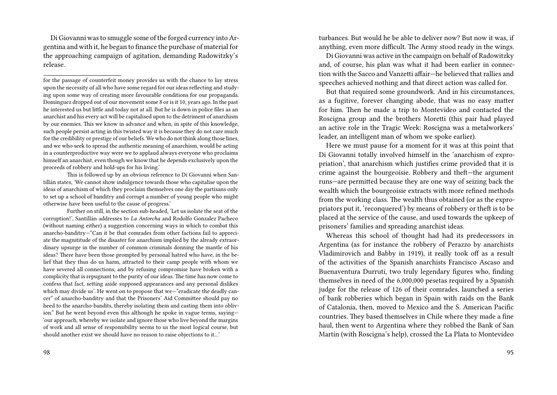Di Giovanni was to smuggle some of the forged currency into Argentina and with it, he began to finance the purchase of material for the approaching campaign of agitation, demanding Radowitzky's release.

for the passage of counterfeit money provides us with the chance to lay stress upon the necessity of all who have some regard for our ideas reflecting and studying upon some way of creating more favourable conditions for our propaganda. Dominguez dropped out of our movement some 8 or is it 10, years ago. In the past he interested us but little and today not at all. But he is down in police files as an anarchist and his every act will be capitalised upon to the detriment of anarchism by our enemies. This we know in advance and when, in spite of this knowledge, such people persist acting in this twisted way it is because they do not care much for the credibility or prestige of our beliefs. We who do not think along those lines, and we who seek to spread the authentic meaning of anarchism, would be acting in a counterproductive way were we to applaud always everyone who proclaims himself an anarchist, even though we know that he depends exclusively upon the proceeds of robbery and hold-ups for his living.'

This is followed up by an obvious reference to Di Giovanni when Santillán states, 'We cannot show indulgence towards those who capitalise upon the ideas of anarchism of which they proclaim themselves one day the partisans only to set up a school of banditry and corrupt a number of young people who might otherwise have been useful to the cause of progress.'

Further on still, in the section sub-headed, 'Let us isolate the seat of the corruption!', Santillán addresses to *La Antorcha* and Rodolfo Gonzalez Pacheco (without naming either) a suggestion concerning ways in which to combat this anarcho-banditry—"Can it be that comrades from other factions fail to appreciate the magnititude of the disaster for anarchism implied by the already extraordinary upsurge in the number of common criminals donning the mantle of his ideas? There have been those prompted by personal hatred who have, in the belief that they thus do us harm, attracted to their camp people with whom we have severed all connections, and by refusing compromise have broken with a complicity that is repugnant to the purity of our ideas. The time has now come to confess that fact, setting aside supposed appearances and any personal dislikes which may divide us'. He went on to propose that we—"eradicate the deadly cancer" of anarcho-banditry and that the Prisoners' Aid Committee should pay no heed to the anarcho-bandits, thereby isolating them and casting them into oblivion." But he went beyond even this although he spoke in vague terms, saying— 'our approach, whereby we isolate and ignore those who live beyond the margins of work and all sense of responsibility seems to us the most logical course, but should another exist we should have no reason to raise objections to it…'

turbances. But would he be able to deliver now? But now it was, if anything, even more difficult. The Army stood ready in the wings.

Di Giovanni was active in the campaign on behalf of Radowitzky and, of course, his plan was what it had been earlier in connection with the Sacco and Vanzetti affair—he believed that rallies and speeches achieved nothing and that direct action was called for.

But that required some groundwork. And in his circumstances, as a fugitive, forever changing abode, that was no easy matter for him. Then he made a trip to Montevideo and contacted the Roscigna group and the brothers Moretti (this pair had played an active role in the Tragic Week: Roscigna was a metalworkers' leader, an intelligent man of whom we spoke earlier).

Here we must pause for a moment for it was at this point that Di Giovanni totally involved himself in the 'anarchism of expropriation', that anarchism which justifies crime provided that it is crime against the bourgeoisie. Robbery and theft—the argument runs—are permitted because they are one way of seizing back the wealth which the bourgeoisie extracts with more refined methods from the working class. The wealth thus obtained (or as the expropriators put it, 'reconquered') by means of robbery or theft is to be placed at the service of the cause, and used towards the upkeep of prisoners' families and spreading anarchist ideas.

Whereas this school of thought had had its predecessors in Argentina (as for instance the robbery of Perazzo by anarchists Vladimirovich and Babby in 1919), it really took off as a result of the activities of the Spanish anarchists Francisco Ascaso and Buenaventura Durruti, two truly legendary figures who, finding themselves in need of the 6,000,000 pesetas required by a Spanish judge for the release of 126 of their comrades, launched a series of bank robberies which began in Spain with raids on the Bank of Catalonia, then, moved to Mexico and the S. American Pacific countries. They based themselves in Chile where they made a fine haul, then went to Argentina where they robbed the Bank of San Martin (with Roscigna's help), crossed the La Plata to Montevideo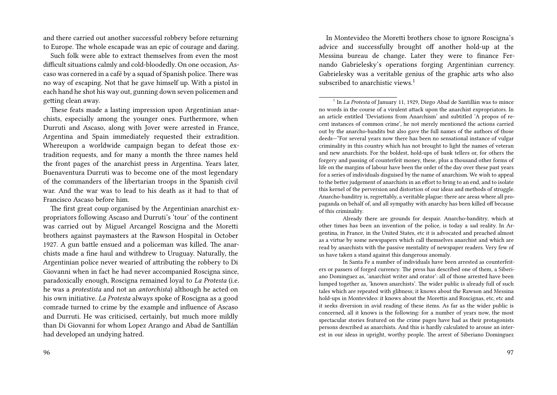and there carried out another successful robbery before returning to Europe. The whole escapade was an epic of courage and daring.

Such folk were able to extract themselves from even the most difficult situations calmly and cold-bloodedly. On one occasion, Ascaso was cornered in a café by a squad of Spanish police. There was no way of escaping. Not that he gave himself up. With a pistol in each hand he shot his way out, gunning down seven policemen and getting clean away.

These feats made a lasting impression upon Argentinian anarchists, especially among the younger ones. Furthermore, when Durruti and Ascaso, along with Jover were arrested in France, Argentina and Spain immediately requested their extradition. Whereupon a worldwide campaign began to defeat those extradition requests, and for many a month the three names held the front pages of the anarchist press in Argentina. Years later, Buenaventura Durruti was to become one of the most legendary of the commanders of the libertarian troops in the Spanish civil war. And the war was to lead to his death as it had to that of Francisco Ascaso before him.

The first great coup organised by the Argentinian anarchist expropriators following Ascaso and Durruti's 'tour' of the continent was carried out by Miguel Arcangel Roscigna and the Moretti brothers against paymasters at the Rawson Hospital in October 1927. A gun battle ensued and a policeman was killed. The anarchists made a fine haul and withdrew to Uruguay. Naturally, the Argentinian police never wearied of attributing the robbery to Di Giovanni when in fact he had never accompanied Roscigna since, paradoxically enough, Roscigna remained loyal to *La Protesta* (i.e. he was a *protestista* and not an *antorchista*) although he acted on his own initiative. *La Protesta* always spoke of Roscigna as a good comrade turned to crime by the example and influence of Ascaso and Durruti. He was criticised, certainly, but much more mildly than Di Giovanni for whom Lopez Arango and Abad de Santillán had developed an undying hatred.

In Montevideo the Moretti brothers chose to ignore Roscigna's advice and successfully brought off another hold-up at the Messina bureau de change. Later they were to finance Fernando Gabrielesky's operations forging Argentinian currency. Gabrielesky was a veritable genius of the graphic arts who also subscribed to anarchistic views.<sup>1</sup>

<sup>1</sup> In *La Protesta* of January 11, 1929, Diego Abad de Santillán was to mince no words in the course of a virulent attack upon the anarchist expropriators. In an article entitled 'Deviations from Anarchism' and subtitled 'A propos of recent instances of common crime', he not merely mentioned the actions carried out by the anarcho-bandits but also gave the full names of the authors of those deeds—"For several years now there has been no sensational instance of vulgar criminality in this country which has not brought to light the names of veteran and new anarchists. For the boldest, hold-ups of bank tellers or, for others the forgery and passing of counterfeit money, these, plus a thousand other forms of life on the margins of labour have been the order of the day over these past years for a series of individuals disguised by the name of anarchism. We wish to appeal to the better judgement of anarchists in an effort to bring to an end, and to isolate this kernel of the perversion and distortion of our ideas and methods of struggle. Anarcho-banditry is, regrettably, a veritable plague: there are areas where all propaganda on behalf of, and all sympathy with anarchy has been killed off because of this criminality.

Already there are grounds for despair. Anarcho-banditry, which at other times has been an invention of the police, is today a sad reality. In Argentina, in France, in the United States, etc it is advocated and preached almost as a virtue by some newspapers which call themselves anarchist and which are read by anarchists with the passive mentality of newspaper readers. Very few of us have taken a stand against this dangerous anomaly.

In Santa Fe a number of individuals have been arrested as counterfeiters or passers of forged currency. The press has described one of them, a Siberiano Dominguez as, 'anarchist writer and orator': all of those arrested have been lumped together as, 'known anarchists'. The wider public is already full of such tales which are repeated with glibness; it knows about the Rawson and Messina hold-ups in Montevideo: it knows about the Morettis and Roscignas, etc, etc and it seeks diversion in avid reading of these items. As far as the wider public is concerned, all it knows is the following: for a number of years now, the most spectacular stories featured on the crime pages have had as their protagonists persons described as anarchists. And this is hardly calculated to arouse an interest in our ideas in upright, worthy people. The arrest of Siberiano Dominguez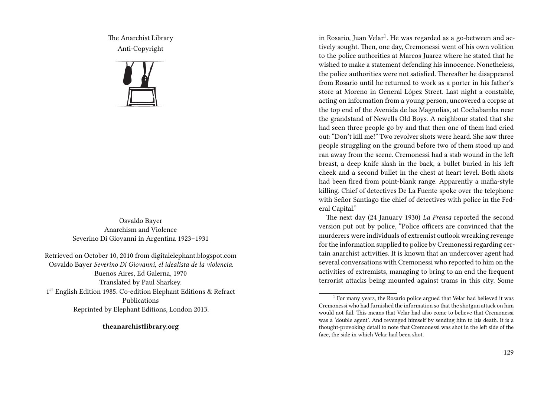The Anarchist Library Anti-Copyright



Osvaldo Bayer Anarchism and Violence Severino Di Giovanni in Argentina 1923–1931

Retrieved on October 10, 2010 from digitalelephant.blogspot.com Osvaldo Bayer *Severino Di Giovanni, el idealista de la violencia.* Buenos Aires, Ed Galerna, 1970 Translated by Paul Sharkey. 1 st English Edition 1985. Co-edition Elephant Editions & Refract Publications Reprinted by Elephant Editions, London 2013.

**theanarchistlibrary.org**

in Rosario, Juan Velar<sup>1</sup>. He was regarded as a go-between and actively sought. Then, one day, Cremonessi went of his own volition to the police authorities at Marcos Juarez where he stated that he wished to make a statement defending his innocence. Nonetheless, the police authorities were not satisfied. Thereafter he disappeared from Rosario until he returned to work as a porter in his father's store at Moreno in General López Street. Last night a constable, acting on information from a young person, uncovered a corpse at the top end of the Avenida de las Magnolias, at Cochabamba near the grandstand of Newells Old Boys. A neighbour stated that she had seen three people go by and that then one of them had cried out: "Don't kill me!" Two revolver shots were heard. She saw three people struggling on the ground before two of them stood up and ran away from the scene. Cremonessi had a stab wound in the left breast, a deep knife slash in the back, a bullet buried in his left cheek and a second bullet in the chest at heart level. Both shots had been fired from point-blank range. Apparently a mafia-style killing. Chief of detectives De La Fuente spoke over the telephone with Señor Santiago the chief of detectives with police in the Federal Capital."

The next day (24 January 1930) *La Prensa* reported the second version put out by police, "Police officers are convinced that the murderers were individuals of extremist outlook wreaking revenge for the information supplied to police by Cremonessi regarding certain anarchist activities. It is known that an undercover agent had several conversations with Cremonessi who reported to him on the activities of extremists, managing to bring to an end the frequent terrorist attacks being mounted against trams in this city. Some

<sup>&</sup>lt;sup>1</sup> For many years, the Rosario police argued that Velar had believed it was Cremonessi who had furnished the information so that the shotgun attack on him would not fail. This means that Velar had also come to believe that Cremonessi was a 'double agent'. And revenged himself by sending him to his death. It is a thought-provoking detail to note that Cremonessi was shot in the left side of the face, the side in which Velar had been shot.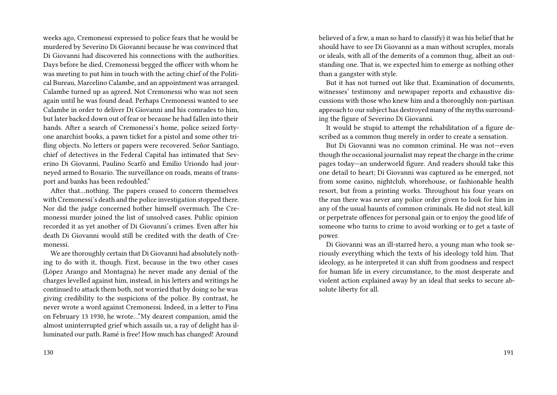weeks ago, Cremonessi expressed to police fears that he would be murdered by Severino Di Giovanni because he was convinced that Di Giovanni had discovered his connections with the authorities. Days before he died, Cremonessi begged the officer with whom he was meeting to put him in touch with the acting chief of the Political Bureau, Marcelino Calambe, and an appointment was arranged. Calambe turned up as agreed. Not Cremonessi who was not seen again until he was found dead. Perhaps Cremonessi wanted to see Calambe in order to deliver Di Giovanni and his comrades to him, but later backed down out of fear or because he had fallen into their hands. After a search of Cremonessi's home, police seized fortyone anarchist books, a pawn ticket for a pistol and some other trifling objects. No letters or papers were recovered. Señor Santiago, chief of detectives in the Federal Capital has intimated that Severino Di Giovanni, Paulino Scarfó and Emilio Uriondo had journeyed armed to Rosario. The surveillance on roads, means of transport and banks has been redoubled."

After that…nothing. The papers ceased to concern themselves with Cremonessi's death and the police investigation stopped there. Nor did the judge concerned bother himself overmuch. The Cremonessi murder joined the list of unsolved cases. Public opinion recorded it as yet another of Di Giovanni's crimes. Even after his death Di Giovanni would still be credited with the death of Cremonessi.

We are thoroughly certain that Di Giovanni had absolutely nothing to do with it, though. First, because in the two other cases (López Arango and Montagna) he never made any denial of the charges levelled against him, instead, in his letters and writings he continued to attack them both, not worried that by doing so he was giving credibility to the suspicions of the police. By contrast, he never wrote a word against Cremonessi. Indeed, in a letter to Fina on February 13 1930, he wrote…"My dearest companion, amid the almost uninterrupted grief which assails us, a ray of delight has illuminated our path. Ramé is free! How much has changed! Around

believed of a few, a man so hard to classify) it was his belief that he should have to see Di Giovanni as a man without scruples, morals or ideals, with all of the demerits of a common thug, albeit an outstanding one. That is, we expected him to emerge as nothing other than a gangster with style.

But it has not turned out like that. Examination of documents, witnesses' testimony and newspaper reports and exhaustive discussions with those who knew him and a thoroughly non-partisan approach to our subject has destroyed many of the myths surrounding the figure of Severino Di Giovanni.

It would be stupid to attempt the rehabilitation of a figure described as a common thug merely in order to create a sensation.

But Di Giovanni was no common criminal. He was not—even though the occasional journalist may repeat the charge in the crime pages today—an underworld figure. And readers should take this one detail to heart; Di Giovanni was captured as he emerged, not from some casino, nightclub, whorehouse, or fashionable health resort, but from a printing works. Throughout his four years on the run there was never any police order given to look for him in any of the usual haunts of common criminals. He did not steal, kill or perpetrate offences for personal gain or to enjoy the good life of someone who turns to crime to avoid working or to get a taste of power.

Di Giovanni was an ill-starred hero, a young man who took seriously everything which the texts of his ideology told him. That ideology, as he interpreted it can shift from goodness and respect for human life in every circumstance, to the most desperate and violent action explained away by an ideal that seeks to secure absolute liberty for all.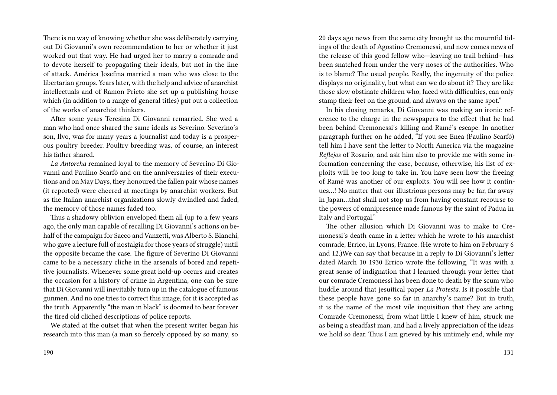There is no way of knowing whether she was deliberately carrying out Di Giovanni's own recommendation to her or whether it just worked out that way. He had urged her to marry a comrade and to devote herself to propagating their ideals, but not in the line of attack. América Josefina married a man who was close to the libertarian groups. Years later, with the help and advice of anarchist intellectuals and of Ramon Prieto she set up a publishing house which (in addition to a range of general titles) put out a collection of the works of anarchist thinkers.

After some years Teresina Di Giovanni remarried. She wed a man who had once shared the same ideals as Severino. Severino's son, Ilvo, was for many years a journalist and today is a prosperous poultry breeder. Poultry breeding was, of course, an interest his father shared.

*La Antorcha* remained loyal to the memory of Severino Di Giovanni and Paulino Scarfó and on the anniversaries of their executions and on May Days, they honoured the fallen pair whose names (it reported) were cheered at meetings by anarchist workers. But as the Italian anarchist organizations slowly dwindled and faded, the memory of those names faded too.

Thus a shadowy oblivion enveloped them all (up to a few years ago, the only man capable of recalling Di Giovanni's actions on behalf of the campaign for Sacco and Vanzetti, was Alberto S. Bianchi, who gave a lecture full of nostalgia for those years of struggle) until the opposite became the case. The figure of Severino Di Giovanni came to be a necessary cliche in the arsenals of bored and repetitive journalists. Whenever some great hold-up occurs and creates the occasion for a history of crime in Argentina, one can be sure that Di Giovanni will inevitably turn up in the catalogue of famous gunmen. And no one tries to correct this image, for it is accepted as the truth. Apparently "the man in black" is doomed to bear forever the tired old cliched descriptions of police reports.

We stated at the outset that when the present writer began his research into this man (a man so fiercely opposed by so many, so

20 days ago news from the same city brought us the mournful tidings of the death of Agostino Cremonessi, and now comes news of the release of this good fellow who—leaving no trail behind—has been snatched from under the very noses of the authorities. Who is to blame? The usual people. Really, the ingenuity of the police displays no originality, but what can we do about it? They are like those slow obstinate children who, faced with difficulties, can only stamp their feet on the ground, and always on the same spot."

In his closing remarks, Di Giovanni was making an ironic reference to the charge in the newspapers to the effect that he had been behind Cremonessi's killing and Ramé's escape. In another paragraph further on he added, "If you see Enea (Paulino Scarfó) tell him I have sent the letter to North America via the magazine *Reflejos* of Rosario, and ask him also to provide me with some information concerning the case, because, otherwise, his list of exploits will be too long to take in. You have seen how the freeing of Ramé was another of our exploits. You will see how it continues…! No matter that our illustrious persons may be far, far away in Japan…that shall not stop us from having constant recourse to the powers of omnipresence made famous by the saint of Padua in Italy and Portugal."

The other allusion which Di Giovanni was to make to Cremonessi's death came in a letter which he wrote to his anarchist comrade, Errico, in Lyons, France. (He wrote to him on February 6 and 12.)We can say that because in a reply to Di Giovanni's letter dated March 10 1930 Errico wrote the following, "It was with a great sense of indignation that I learned through your letter that our comrade Cremonessi has been done to death by the scum who huddle around that jesuitical paper *La Protesta*. Is it possible that these people have gone so far in anarchy's name? But in truth, it is the name of the most vile inquisition that they are acting. Comrade Cremonessi, from what little I knew of him, struck me as being a steadfast man, and had a lively appreciation of the ideas we hold so dear. Thus I am grieved by his untimely end, while my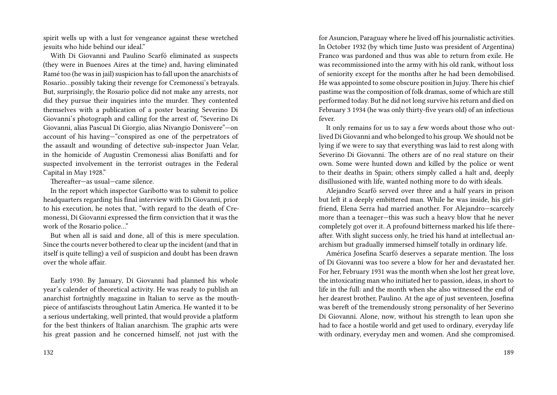spirit wells up with a lust for vengeance against these wretched jesuits who hide behind our ideal."

With Di Giovanni and Paulino Scarfó eliminated as suspects (they were in Buenoes Aires at the time) and, having eliminated Ramé too (he was in jail) suspicion has to fall upon the anarchists of Rosario…possibly taking their revenge for Cremonessi's betrayals. But, surprisingly, the Rosario police did not make any arrests, nor did they pursue their inquiries into the murder. They contented themselves with a publication of a poster bearing Severino Di Giovanni's photograph and calling for the arrest of, "Severino Di Giovanni, alias Pascual Di Giorgio, alias Nivangio Donisvere"—on account of his having—"conspired as one of the perpetrators of the assault and wounding of detective sub-inspector Juan Velar, in the homicide of Augustin Cremonessi alias Bonifatti and for suspected involvement in the terrorist outrages in the Federal Capital in May 1928."

Thereafter—as usual—came silence.

In the report which inspector Garibotto was to submit to police headquarters regarding his final interview with Di Giovanni, prior to his execution, he notes that, "with regard to the death of Cremonessi, Di Giovanni expressed the firm conviction that it was the work of the Rosario police…"

But when all is said and done, all of this is mere speculation. Since the courts never bothered to clear up the incident (and that in itself is quite telling) a veil of suspicion and doubt has been drawn over the whole affair.

Early 1930. By January, Di Giovanni had planned his whole year's calender of theoretical activity. He was ready to publish an anarchist fortnightly magazine in Italian to serve as the mouthpiece of antifascists throughout Latin America. He wanted it to be a serious undertaking, well printed, that would provide a platform for the best thinkers of Italian anarchism. The graphic arts were his great passion and he concerned himself, not just with the for Asuncion, Paraguay where he lived off his journalistic activities. In October 1932 (by which time Justo was president of Argentina) Franco was pardoned and thus was able to return from exile. He was recommissioned into the army with his old rank, without loss of seniority except for the months after he had been demobilised. He was appointed to some obscure position in Jujuy. There his chief pastime was the composition of folk dramas, some of which are still performed today. But he did not long survive his return and died on February 3 1934 (he was only thirty-five years old) of an infectious fever.

It only remains for us to say a few words about those who outlived Di Giovanni and who belonged to his group. We should not be lying if we were to say that everything was laid to rest along with Severino Di Giovanni. The others are of no real stature on their own. Some were hunted down and killed by the police or went to their deaths in Spain; others simply called a halt and, deeply disillusioned with life, wanted nothing more to do with ideals.

Alejandro Scarfó served over three and a half years in prison but left it a deeply embittered man. While he was inside, his girlfriend, Elena Serra had married another. For Alejandro—scarcely more than a teenager—this was such a heavy blow that he never completely got over it. A profound bitterness marked his life thereafter. With slight success only, he tried his hand at intellectual anarchism but gradually immersed himself totally in ordinary life.

América Josefina Scarfó deserves a separate mention. The loss of Di Giovanni was too severe a blow for her and devastated her. For her, February 1931 was the month when she lost her great love, the intoxicating man who initiated her to passion, ideas, in short to life in the full: and the month when she also witnessed the end of her dearest brother, Paulino. At the age of just seventeen, Josefina was bereft of the tremendously strong personality of her Severino Di Giovanni. Alone, now, without his strength to lean upon she had to face a hostile world and get used to ordinary, everyday life with ordinary, everyday men and women. And she compromised.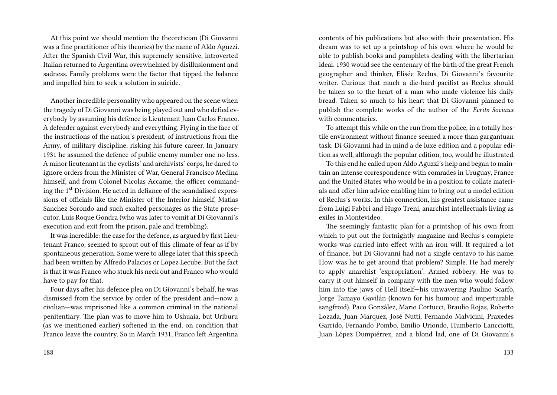At this point we should mention the theoretician (Di Giovanni was a fine practitioner of his theories) by the name of Aldo Aguzzi. After the Spanish Civil War, this supremely sensitive, introverted Italian returned to Argentina overwhelmed by disillusionment and sadness. Family problems were the factor that tipped the balance and impelled him to seek a solution in suicide.

Another incredible personality who appeared on the scene when the tragedy of Di Giovanni was being played out and who defied everybody by assuming his defence is Lieutenant Juan Carlos Franco. A defender against everybody and everything. Flying in the face of the instructions of the nation's president, of instructions from the Army, of military discipline, risking his future career. In January 1931 he assumed the defence of public enemy number one no less. A minor lieutenant in the cyclists' and archivists' corps, he dared to ignore orders from the Minister of War, General Francisco Medina himself, and from Colonel Nicolas Accame, the officer commanding the 1st Division. He acted in defiance of the scandalised expressions of officials like the Minister of the Interior himself, Matias Sanchez Sorondo and such exalted personages as the State prosecutor, Luis Roque Gondra (who was later to vomit at Di Giovanni's execution and exit from the prison, pale and trembling).

It was incredible: the case for the defence, as argued by first Lieutenant Franco, seemed to sprout out of this climate of fear as if by spontaneous generation. Some were to allege later that this speech had been written by Alfredo Palacios or Lopez Lecube. But the fact is that it was Franco who stuck his neck out and Franco who would have to pay for that.

Four days after his defence plea on Di Giovanni's behalf, he was dismissed from the service by order of the president and—now a civilian—was imprisoned like a common criminal in the national penitentiary. The plan was to move him to Ushuaia, but Uriburu (as we mentioned earlier) softened in the end, on condition that Franco leave the country. So in March 1931, Franco left Argentina

188

contents of his publications but also with their presentation. His dream was to set up a printshop of his own where he would be able to publish books and pamphlets dealing with the libertarian ideal. 1930 would see the centenary of the birth of the great French geographer and thinker, Elisée Reclus, Di Giovanni's favourite writer. Curious that much a die-hard pacifist as Reclus should be taken so to the heart of a man who made violence his daily bread. Taken so much to his heart that Di Giovanni planned to publish the complete works of the author of the *Ecrits Sociaux* with commentaries.

To attempt this while on the run from the police, in a totally hostile environment without finance seemed a more than gargantuan task. Di Giovanni had in mind a de luxe edition and a popular edition as well, although the popular edition, too, would be illustrated.

To this end he called upon Aldo Aguzzi's help and began to maintain an intense correspondence with comrades in Uruguay, France and the United States who would be in a position to collate materials and offer him advice enabling him to bring out a model edition of Reclus's works. In this connection, his greatest assistance came from Luigi Fabbri and Hugo Treni, anarchist intellectuals living as exiles in Montevideo.

The seemingly fantastic plan for a printshop of his own from which to put out the fortnightly magazine and Reclus's complete works was carried into effect with an iron will. It required a lot of finance, but Di Giovanni had not a single centavo to his name. How was he to get around that problem? Simple. He had merely to apply anarchist 'expropriation'. Armed robbery. He was to carry it out himself in company with the men who would follow him into the jaws of Hell itself—his unwavering Paulino Scarfó, Jorge Tamayo Gavilán (known for his humour and imperturable sangfroid), Paco González, Mario Cortucci, Braulio Rojas, Roberto Lozada, Juan Marquez, José Nutti, Fernando Malvicini, Praxedes Garrido, Fernando Pombo, Emilio Uriondo, Humberto Lancciotti, Juan López Dumpiérrez, and a blond lad, one of Di Giovanni's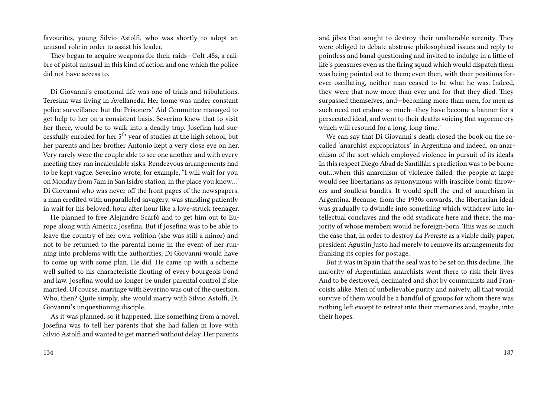favourites, young Silvio Astolfi, who was shortly to adopt an unusual role in order to assist his leader.

They began to acquire weapons for their raids—Colt .45s, a calibre of pistol unusual in this kind of action and one which the police did not have access to.

Di Giovanni's emotional life was one of trials and tribulations. Teresina was living in Avellaneda. Her home was under constant police surveillance but the Prisoners' Aid Committee managed to get help to her on a consistent basis. Severino knew that to visit her there, would be to walk into a deadly trap. Josefina had successfully enrolled for her 5th year of studies at the high school, but her parents and her brother Antonio kept a very close eye on her. Very rarely were the couple able to see one another and with every meeting they ran incalculable risks. Rendezvous arrangements had to be kept vague. Severino wrote, for example, "I will wait for you on Monday from 7am in San Isidro station, in the place you know…" Di Giovanni who was never off the front pages of the newspapers, a man credited with unparalleled savagery, was standing patiently in wait for his beloved, hour after hour like a love-struck teenager.

He planned to free Alejandro Scarfó and to get him out to Europe along with América Josefina. But if Josefina was to be able to leave the country of her own volition (she was still a minor) and not to be returned to the parental home in the event of her running into problems with the authorities, Di Giovanni would have to come up with some plan. He did. He came up with a scheme well suited to his characteristic flouting of every bourgeois bond and law. Josefina would no longer be under parental control if she married. Of course, marriage with Severino was out of the question. Who, then? Quite simply, she would marry with Silvio Astolfi, Di Giovanni's unquestioning disciple.

As it was planned, so it happened, like something from a novel. Josefina was to tell her parents that she had fallen in love with Silvio Astolfi and wanted to get married without delay. Her parents

and jibes that sought to destroy their unalterable serenity. They were obliged to debate abstruse philosophical issues and reply to pointless and banal questioning and invited to indulge in a little of life's pleasures even as the firing squad which would dispatch them was being pointed out to them; even then, with their positions forever oscillating, neither man ceased to be what he was. Indeed, they were that now more than ever and for that they died. They surpassed themselves, and—becoming more than men, for men as such need not endure so much—they have become a banner for a persecuted ideal, and went to their deaths voicing that supreme cry which will resound for a long, long time."

We can say that Di Giovanni's death closed the book on the socalled 'anarchist expropriators' in Argentina and indeed, on anarchism of the sort which employed violence in pursuit of its ideals. In this respect Diego Abad de Santillán's prediction was to be borne out…when this anarchism of violence failed, the people at large would see libertarians as synonymous with irascible bomb throwers and soulless bandits. It would spell the end of anarchism in Argentina. Because, from the 1930s onwards, the libertarian ideal was gradually to dwindle into something which withdrew into intellectual conclaves and the odd syndicate here and there, the majority of whose members would be foreign-born. This was so much the case that, in order to destroy *La Protesta* as a viable daily paper, president Agustin Justo had merely to remove its arrangements for franking its copies for postage.

But it was in Spain that the seal was to be set on this decline. The majority of Argentinian anarchists went there to risk their lives. And to be destroyed, decimated and shot by communists and Francoists alike. Men of unbelievable purity and naivety, all that would survive of them would be a handful of groups for whom there was nothing left except to retreat into their memories and, maybe, into their hopes.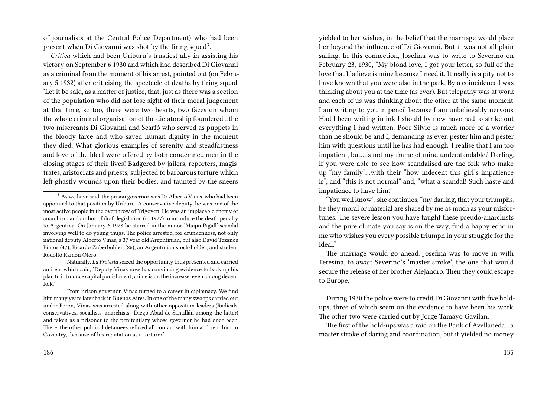of journalists at the Central Police Department) who had been present when Di Giovanni was shot by the firing squad $^3.$ 

*Crítica* which had been Uriburu's trustiest ally in assisting his victory on September 6 1930 and which had described Di Giovanni as a criminal from the moment of his arrest, pointed out (on February 5 1932) after criticising the spectacle of deaths by firing squad, "Let it be said, as a matter of justice, that, just as there was a section of the population who did not lose sight of their moral judgement at that time, so too, there were two hearts, two faces on whom the whole criminal organisation of the dictatorship foundered…the two miscreants Di Giovanni and Scarfó who served as puppets in the bloody farce and who saved human dignity in the moment they died. What glorious examples of serenity and steadfastness and love of the Ideal were offered by both condemned men in the closing stages of their lives! Badgered by jailers, reporters, magistrates, aristocrats and priests, subjected to barbarous torture which left ghastly wounds upon their bodies, and taunted by the sneers

yielded to her wishes, in the belief that the marriage would place her beyond the influence of Di Giovanni. But it was not all plain sailing. In this connection, Josefina was to write to Severino on February 23, 1930, "My blond love, I got your letter, so full of the love that I believe is mine because I need it. It really is a pity not to have known that you were also in the park. By a coincidence I was thinking about you at the time (as ever). But telepathy was at work and each of us was thinking about the other at the same moment. I am writing to you in pencil because I am unbelievably nervous. Had I been writing in ink I should by now have had to strike out everything I had written. Poor Silvio is much more of a worrier than he should be and I, demanding as ever, pester him and pester him with questions until he has had enough. I realise that I am too impatient, but…is not my frame of mind understandable? Darling, if you were able to see how scandalised are the folk who make up "my family"…with their "how indecent this girl's impatience is", and "this is not normal" and, "what a scandal! Such haste and impatience to have him."

"You well know", she continues, "my darling, that your triumphs, be they moral or material are shared by me as much as your misfortunes. The severe lesson you have taught these pseudo-anarchists and the pure climate you say is on the way, find a happy echo in me who wishes you every possible triumph in your struggle for the ideal."

The marriage would go ahead. Josefina was to move in with Teresina, to await Severino's 'master stroke', the one that would secure the release of her brother Alejandro. Then they could escape to Europe.

The first of the hold-ups was a raid on the Bank of Avellaneda…a master stroke of daring and coordination, but it yielded no money.

 $3<sup>3</sup>$  As we have said, the prison governor was Dr Alberto Vinas, who had been appointed to that position by Uriburu. A conservative deputy, he was one of the most active people in the overthrow of Yrigoyen. He was an implacable enemy of anarchism and author of draft legislation (in 1927) to introduce the death penalty to Argentina. On January 6 1928 he starred in the minor 'Maipu Pigall' scandal involving well to do young thugs. The police arrested, for drunkenness, not only national deputy Alberto Vinas, a 37 year old Argentinian, but also David Tezanos Pintos (47); Ricardo Zuberbuhler, (26), an Argentinian stock-holder; and student Rodolfo Ramon Otero.

Naturally, *La Protesta* seized the opportunity thus presented and carried an item which said, 'Deputy Vinas now has convincing evidence to back up his plan to introduce capital punishment; crime is on the increase, even among decent folk.'

From prison governor, Vinas turned to a career in diplomacy. We find him many years later back in Buenos Aires. In one of the many swoops carried out under Peron, Vinas was arrested along with other opposition leaders (Radicals, conservatives, socialists, anarchists—Diego Abad de Santillán among the latter) and taken as a prisoner to the penitentiary whose governor he had once been. There, the other political detainees refused all contact with him and sent him to Coventry, 'because of his reputation as a torturer.'

During 1930 the police were to credit Di Giovanni with five holdups, three of which seem on the evidence to have been his work. The other two were carried out by Jorge Tamayo Gavilan.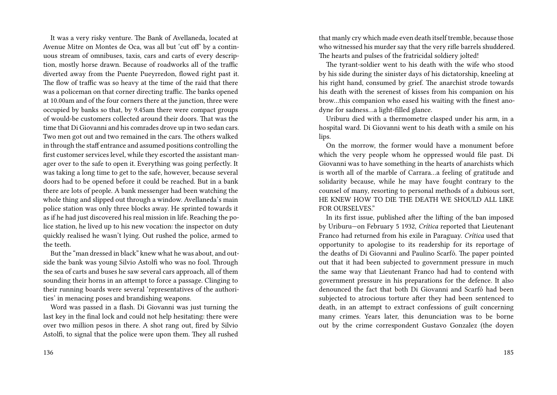It was a very risky venture. The Bank of Avellaneda, located at Avenue Mitre on Montes de Oca, was all but 'cut off' by a continuous stream of omnibuses, taxis, cars and carts of every description, mostly horse drawn. Because of roadworks all of the traffic diverted away from the Puente Pueyrredon, flowed right past it. The flow of traffic was so heavy at the time of the raid that there was a policeman on that corner directing traffic. The banks opened at 10.00am and of the four corners there at the junction, three were occupied by banks so that, by 9.45am there were compact groups of would-be customers collected around their doors. That was the time that Di Giovanni and his comrades drove up in two sedan cars. Two men got out and two remained in the cars. The others walked in through the staff entrance and assumed positions controlling the first customer services level, while they escorted the assistant manager over to the safe to open it. Everything was going perfectly. It was taking a long time to get to the safe, however, because several doors had to be opened before it could be reached. But in a bank there are lots of people. A bank messenger had been watching the whole thing and slipped out through a window. Avellaneda's main police station was only three blocks away. He sprinted towards it as if he had just discovered his real mission in life. Reaching the police station, he lived up to his new vocation: the inspector on duty quickly realised he wasn't lying. Out rushed the police, armed to the teeth.

But the "man dressed in black" knew what he was about, and outside the bank was young Silvio Astolfi who was no fool. Through the sea of carts and buses he saw several cars approach, all of them sounding their horns in an attempt to force a passage. Clinging to their running boards were several 'representatives of the authorities' in menacing poses and brandishing weapons.

Word was passed in a flash. Di Giovanni was just turning the last key in the final lock and could not help hesitating: there were over two million pesos in there. A shot rang out, fired by Silvio Astolfi, to signal that the police were upon them. They all rushed

that manly cry which made even death itself tremble, because those who witnessed his murder say that the very rifle barrels shuddered. The hearts and pulses of the fratricidal soldiery jolted!

The tyrant-soldier went to his death with the wife who stood by his side during the sinister days of his dictatorship, kneeling at his right hand, consumed by grief. The anarchist strode towards his death with the serenest of kisses from his companion on his brow…this companion who eased his waiting with the finest anodyne for sadness…a light-filled glance.

Uriburu died with a thermometre clasped under his arm, in a hospital ward. Di Giovanni went to his death with a smile on his lips.

On the morrow, the former would have a monument before which the very people whom he oppressed would file past. Di Giovanni was to have something in the hearts of anarchists which is worth all of the marble of Carrara…a feeling of gratitude and solidarity because, while he may have fought contrary to the counsel of many, resorting to personal methods of a dubious sort, HE KNEW HOW TO DIE THE DEATH WE SHOULD ALL LIKE FOR OURSELVES."

In its first issue, published after the lifting of the ban imposed by Uriburu—on February 5 1932, *Crítica* reported that Lieutenant Franco had returned from his exile in Paraguay. *Crítica* used that opportunity to apologise to its readership for its reportage of the deaths of Di Giovanni and Paulino Scarfó. The paper pointed out that it had been subjected to government pressure in much the same way that Lieutenant Franco had had to contend with government pressure in his preparations for the defence. It also denounced the fact that both Di Giovanni and Scarfó had been subjected to atrocious torture after they had been sentenced to death, in an attempt to extract confessions of guilt concerning many crimes. Years later, this denunciation was to be borne out by the crime correspondent Gustavo Gonzalez (the doyen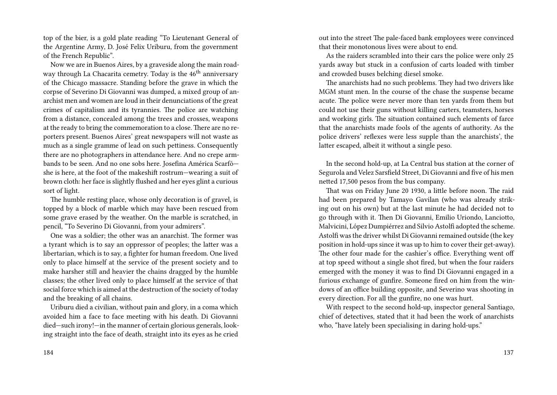top of the bier, is a gold plate reading "To Lieutenant General of the Argentine Army, D. José Felix Uriburu, from the government of the French Republic".

Now we are in Buenos Aires, by a graveside along the main roadway through La Chacarita cemetry. Today is the 46<sup>th</sup> anniversary of the Chicago massacre. Standing before the grave in which the corpse of Severino Di Giovanni was dumped, a mixed group of anarchist men and women are loud in their denunciations of the great crimes of capitalism and its tyrannies. The police are watching from a distance, concealed among the trees and crosses, weapons at the ready to bring the commemoration to a close. There are no reporters present. Buenos Aires' great newspapers will not waste as much as a single gramme of lead on such pettiness. Consequently there are no photographers in attendance here. And no crepe armbands to be seen. And no one sobs here. Josefina América Scarfó she is here, at the foot of the makeshift rostrum—wearing a suit of brown cloth: her face is slightly flushed and her eyes glint a curious sort of light.

The humble resting place, whose only decoration is of gravel, is topped by a block of marble which may have been rescued from some grave erased by the weather. On the marble is scratched, in pencil, "To Severino Di Giovanni, from your admirers".

One was a soldier; the other was an anarchist. The former was a tyrant which is to say an oppressor of peoples; the latter was a libertarian, which is to say, a fighter for human freedom. One lived only to place himself at the service of the present society and to make harsher still and heavier the chains dragged by the humble classes; the other lived only to place himself at the service of that social force which is aimed at the destruction of the society of today and the breaking of all chains.

Uriburu died a civilian, without pain and glory, in a coma which avoided him a face to face meeting with his death. Di Giovanni died—such irony!—in the manner of certain glorious generals, looking straight into the face of death, straight into its eyes as he cried

184

out into the street The pale-faced bank employees were convinced that their monotonous lives were about to end.

As the raiders scrambled into their cars the police were only 25 yards away but stuck in a confusion of carts loaded with timber and crowded buses belching diesel smoke.

The anarchists had no such problems. They had two drivers like MGM stunt men. In the course of the chase the suspense became acute. The police were never more than ten yards from them but could not use their guns without killing carters, teamsters, horses and working girls. The situation contained such elements of farce that the anarchists made fools of the agents of authority. As the police drivers' reflexes were less supple than the anarchists', the latter escaped, albeit it without a single peso.

In the second hold-up, at La Central bus station at the corner of Segurola and Velez Sarsfield Street, Di Giovanni and five of his men netted 17,500 pesos from the bus company.

That was on Friday June 20 1930, a little before noon. The raid had been prepared by Tamayo Gavilan (who was already striking out on his own) but at the last minute he had decided not to go through with it. Then Di Giovanni, Emilio Uriondo, Lanciotto, Malvicini, López Dumpiérrez and Silvio Astolfi adopted the scheme. Astolfi was the driver whilst Di Giovanni remained outside (the key position in hold-ups since it was up to him to cover their get-away). The other four made for the cashier's office. Everything went off at top speed without a single shot fired, but when the four raiders emerged with the money it was to find Di Giovanni engaged in a furious exchange of gunfire. Someone fired on him from the windows of an office building opposite, and Severino was shooting in every direction. For all the gunfire, no one was hurt.

With respect to the second hold-up, inspector general Santiago, chief of detectives, stated that it had been the work of anarchists who, "have lately been specialising in daring hold-ups."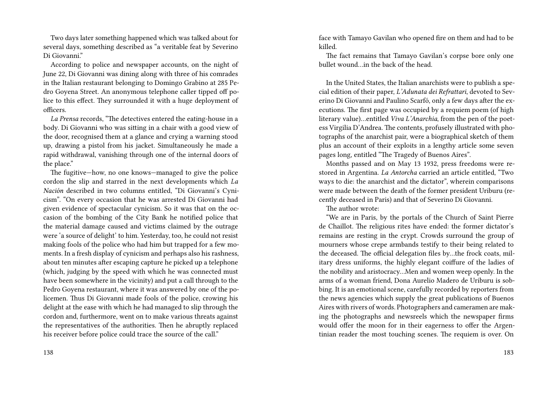Two days later something happened which was talked about for several days, something described as "a veritable feat by Severino Di Giovanni."

According to police and newspaper accounts, on the night of June 22, Di Giovanni was dining along with three of his comrades in the Italian restaurant belonging to Domingo Grabino at 285 Pedro Goyena Street. An anonymous telephone caller tipped off police to this effect. They surrounded it with a huge deployment of officers.

*La Prensa* records, "The detectives entered the eating-house in a body. Di Giovanni who was sitting in a chair with a good view of the door, recognised them at a glance and crying a warning stood up, drawing a pistol from his jacket. Simultaneously he made a rapid withdrawal, vanishing through one of the internal doors of the place."

The fugitive—how, no one knows—managed to give the police cordon the slip and starred in the next developments which *La Nación* described in two columns entitled, "Di Giovanni's Cynicism". "On every occasion that he was arrested Di Giovanni had given evidence of spectacular cynicism. So it was that on the occasion of the bombing of the City Bank he notified police that the material damage caused and victims claimed by the outrage were 'a source of delight' to him. Yesterday, too, he could not resist making fools of the police who had him but trapped for a few moments. In a fresh display of cynicism and perhaps also his rashness, about ten minutes after escaping capture he picked up a telephone (which, judging by the speed with which he was connected must have been somewhere in the vicinity) and put a call through to the Pedro Goyena restaurant, where it was answered by one of the policemen. Thus Di Giovanni made fools of the police, crowing his delight at the ease with which he had managed to slip through the cordon and, furthermore, went on to make various threats against the representatives of the authorities. Then he abruptly replaced his receiver before police could trace the source of the call."

face with Tamayo Gavilan who opened fire on them and had to be killed.

The fact remains that Tamayo Gavilan's corpse bore only one bullet wound…in the back of the head.

In the United States, the Italian anarchists were to publish a special edition of their paper, *L'Adunata dei Refrattari*, devoted to Severino Di Giovanni and Paulino Scarfó, only a few days after the executions. The first page was occupied by a requiem poem (of high literary value)…entitled *Viva L'Anarchia*, from the pen of the poetess Virgilia D'Andrea. The contents, profusely illustrated with photographs of the anarchist pair, were a biographical sketch of them plus an account of their exploits in a lengthy article some seven pages long, entitled "The Tragedy of Buenos Aires".

Months passed and on May 13 1932, press freedoms were restored in Argentina. *La Antorcha* carried an article entitled, "Two ways to die: the anarchist and the dictator", wherein comparisons were made between the death of the former president Uriburu (recently deceased in Paris) and that of Severino Di Giovanni.

The author wrote:

"We are in Paris, by the portals of the Church of Saint Pierre de Chaillot. The religious rites have ended: the former dictator's remains are resting in the crypt. Crowds surround the group of mourners whose crepe armbands testify to their being related to the deceased. The official delegation files by…the frock coats, military dress uniforms, the highly elegant coiffure of the ladies of the nobility and aristocracy…Men and women weep openly. In the arms of a woman friend, Dona Aurelio Madero de Uriburu is sobbing. It is an emotional scene, carefully recorded by reporters from the news agencies which supply the great publications of Buenos Aires with rivers of words. Photographers and cameramen are making the photographs and newsreels which the newspaper firms would offer the moon for in their eagerness to offer the Argentinian reader the most touching scenes. The requiem is over. On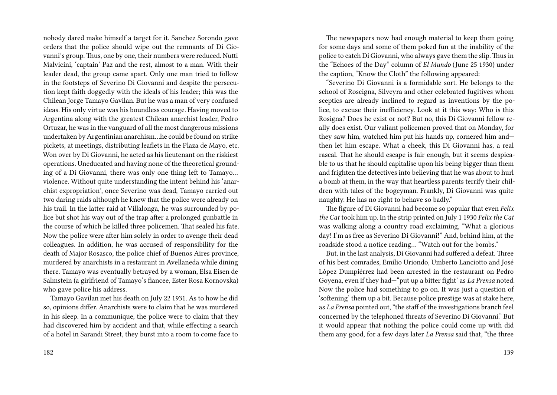nobody dared make himself a target for it. Sanchez Sorondo gave orders that the police should wipe out the remnants of Di Giovanni's group. Thus, one by one, their numbers were reduced. Nutti Malvicini, 'captain' Paz and the rest, almost to a man. With their leader dead, the group came apart. Only one man tried to follow in the footsteps of Severino Di Giovanni and despite the persecution kept faith doggedly with the ideals of his leader; this was the Chilean Jorge Tamayo Gavilan. But he was a man of very confused ideas. His only virtue was his boundless courage. Having moved to Argentina along with the greatest Chilean anarchist leader, Pedro Ortuzar, he was in the vanguard of all the most dangerous missions undertaken by Argentinian anarchism…he could be found on strike pickets, at meetings, distributing leaflets in the Plaza de Mayo, etc. Won over by Di Giovanni, he acted as his lieutenant on the riskiest operations. Uneducated and having none of the theoretical grounding of a Di Giovanni, there was only one thing left to Tamayo… violence. Without quite understanding the intent behind his 'anarchist expropriation', once Severino was dead, Tamayo carried out two daring raids although he knew that the police were already on his trail. In the latter raid at Villalonga, he was surrounded by police but shot his way out of the trap after a prolonged gunbattle in the course of which he killed three policemen. That sealed his fate. Now the police were after him solely in order to avenge their dead colleagues. In addition, he was accused of responsibility for the death of Major Rosasco, the police chief of Buenos Aires province, murdered by anarchists in a restaurant in Avellaneda while dining there. Tamayo was eventually betrayed by a woman, Elsa Eisen de Salmstein (a girlfriend of Tamayo's fiancee, Ester Rosa Kornovska) who gave police his address.

Tamayo Gavilan met his death on July 22 1931. As to how he did so, opinions differ. Anarchists were to claim that he was murdered in his sleep. In a communique, the police were to claim that they had discovered him by accident and that, while effecting a search of a hotel in Sarandi Street, they burst into a room to come face to

The newspapers now had enough material to keep them going for some days and some of them poked fun at the inability of the police to catch Di Giovanni, who always gave them the slip. Thus in the "Echoes of the Day" column of *El Mundo* (June 25 1930) under the caption, "Know the Cloth" the following appeared:

"Severino Di Giovanni is a formidable sort. He belongs to the school of Roscigna, Silveyra and other celebrated fugitives whom sceptics are already inclined to regard as inventions by the police, to excuse their inefficiency. Look at it this way: Who is this Rosigna? Does he exist or not? But no, this Di Giovanni fellow really does exist. Our valiant policemen proved that on Monday, for they saw him, watched him put his hands up, cornered him and then let him escape. What a cheek, this Di Giovanni has, a real rascal. That he should escape is fair enough, but it seems despicable to us that he should capitalise upon his being bigger than them and frighten the detectives into believing that he was about to hurl a bomb at them, in the way that heartless parents terrify their children with tales of the bogeyman. Frankly, Di Giovanni was quite naughty. He has no right to behave so badly."

The figure of Di Giovanni had become so popular that even *Felix the Cat* took him up. In the strip printed on July 1 1930 *Felix the Cat* was walking along a country road exclaiming, "What a glorious day! I'm as free as Severino Di Giovanni!" And, behind him, at the roadside stood a notice reading… "Watch out for the bombs."

But, in the last analysis, Di Giovanni had suffered a defeat. Three of his best comrades, Emilio Uriondo, Umberto Lanciotto and José López Dumpiérrez had been arrested in the restaurant on Pedro Goyena, even if they had—"put up a bitter fight' as *La Prensa* noted. Now the police had something to go on. It was just a question of 'softening' them up a bit. Because police prestige was at stake here, as *La Prensa* pointed out, "the staff of the investigations branch feel concerned by the telephoned threats of Severino Di Giovanni." But it would appear that nothing the police could come up with did them any good, for a few days later *La Prensa* said that, "the three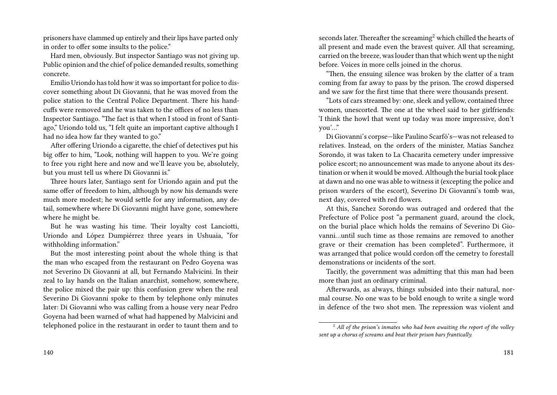prisoners have clammed up entirely and their lips have parted only in order to offer some insults to the police."

Hard men, obviously. But inspector Santiago was not giving up. Public opinion and the chief of police demanded results, something concrete.

Emilio Uriondo has told how it was so important for police to discover something about Di Giovanni, that he was moved from the police station to the Central Police Department. There his handcuffs were removed and he was taken to the offices of no less than Inspector Santiago. "The fact is that when I stood in front of Santiago," Uriondo told us, "I felt quite an important captive although I had no idea how far they wanted to go."

After offering Uriondo a cigarette, the chief of detectives put his big offer to him, "Look, nothing will happen to you. We're going to free you right here and now and we'll leave you be, absolutely, but you must tell us where Di Giovanni is."

Three hours later, Santiago sent for Uriondo again and put the same offer of freedom to him, although by now his demands were much more modest; he would settle for any information, any detail, somewhere where Di Giovanni might have gone, somewhere where he might be.

But he was wasting his time. Their loyalty cost Lanciotti, Uriondo and López Dumpiérrez three years in Ushuaia, "for withholding information."

But the most interesting point about the whole thing is that the man who escaped from the restaurant on Pedro Goyena was not Severino Di Giovanni at all, but Fernando Malvicini. In their zeal to lay hands on the Italian anarchist, somehow, somewhere, the police mixed the pair up: this confusion grew when the real Severino Di Giovanni spoke to them by telephone only minutes later: Di Giovanni who was calling from a house very near Pedro Goyena had been warned of what had happened by Malvicini and telephoned police in the restaurant in order to taunt them and to

seconds later. Thereafter the screaming<sup>2</sup> which chilled the hearts of all present and made even the bravest quiver. All that screaming, carried on the breeze, was louder than that which went up the night before. Voices in more cells joined in the chorus.

"Then, the ensuing silence was broken by the clatter of a tram coming from far away to pass by the prison. The crowd dispersed and we saw for the first time that there were thousands present.

"Lots of cars streamed by: one, sleek and yellow, contained three women, unescorted. The one at the wheel said to her girlfriends: 'I think the howl that went up today was more impressive, don't you'…"

Di Giovanni's corpse—like Paulino Scarfó's—was not released to relatives. Instead, on the orders of the minister, Matias Sanchez Sorondo, it was taken to La Chacarita cemetery under impressive police escort; no announcement was made to anyone about its destination or when it would be moved. Although the burial took place at dawn and no one was able to witness it (excepting the police and prison warders of the escort), Severino Di Giovanni's tomb was, next day, covered with red flowers.

At this, Sanchez Sorondo was outraged and ordered that the Prefecture of Police post "a permanent guard, around the clock, on the burial place which holds the remains of Severino Di Giovanni…until such time as those remains are removed to another grave or their cremation has been completed". Furthermore, it was arranged that police would cordon off the cemetry to forestall demonstrations or incidents of the sort.

Tacitly, the government was admitting that this man had been more than just an ordinary criminal.

Afterwards, as always, things subsided into their natural, normal course. No one was to be bold enough to write a single word in defence of the two shot men. The repression was violent and

<sup>2</sup> *All of the prison's inmates who had been awaiting the report of the volley sent up a chorus of screams and beat their prison bars frantically.*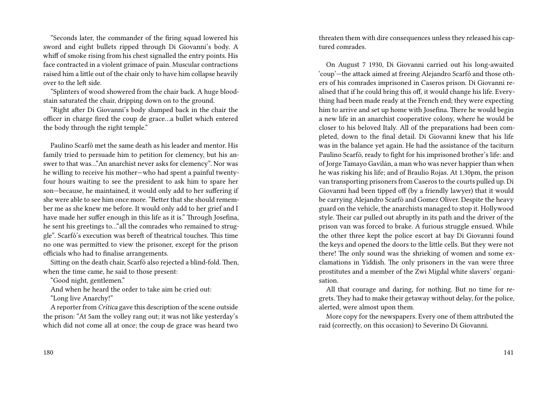"Seconds later, the commander of the firing squad lowered his sword and eight bullets ripped through Di Giovanni's body. A whiff of smoke rising from his chest signalled the entry points. His face contracted in a violent grimace of pain. Muscular contractions raised him a little out of the chair only to have him collapse heavily over to the left side.

"Splinters of wood showered from the chair back. A huge bloodstain saturated the chair, dripping down on to the ground.

"Right after Di Giovanni's body slumped back in the chair the officer in charge fired the coup de grace…a bullet which entered the body through the right temple."

Paulino Scarfó met the same death as his leader and mentor. His family tried to persuade him to petition for clemency, but his answer to that was…"An anarchist never asks for clemency". Nor was he willing to receive his mother—who had spent a painful twentyfour hours waiting to see the president to ask him to spare her son—because, he maintained, it would only add to her suffering if she were able to see him once more. "Better that she should remember me as she knew me before. It would only add to her grief and I have made her suffer enough in this life as it is." Through Josefina, he sent his greetings to…"all the comrades who remained to struggle". Scarfó's execution was bereft of theatrical touches. This time no one was permitted to view the prisoner, except for the prison officials who had to finalise arrangements.

Sitting on the death chair, Scarfó also rejected a blind-fold. Then, when the time came, he said to those present:

"Good night, gentlemen."

And when he heard the order to take aim he cried out:

"Long live Anarchy!"

A reporter from *Crítica* gave this description of the scene outside the prison: "At 5am the volley rang out; it was not like yesterday's which did not come all at once; the coup de grace was heard two

threaten them with dire consequences unless they released his captured comrades.

On August 7 1930, Di Giovanni carried out his long-awaited 'coup'—the attack aimed at freeing Alejandro Scarfó and those others of his comrades imprisoned in Caseros prison. Di Giovanni realised that if he could bring this off, it would change his life. Everything had been made ready at the French end; they were expecting him to arrive and set up home with Josefina. There he would begin a new life in an anarchist cooperative colony, where he would be closer to his beloved Italy. All of the preparations had been completed, down to the final detail. Di Giovanni knew that his life was in the balance yet again. He had the assistance of the taciturn Paulino Scarfó, ready to fight for his imprisoned brother's life: and of Jorge Tamayo Gavilán, a man who was never happier than when he was risking his life; and of Braulio Rojas. At 1.30pm, the prison van transporting prisoners from Caseros to the courts pulled up. Di Giovanni had been tipped off (by a friendly lawyer) that it would be carrying Alejandro Scarfó and Gomez Oliver. Despite the heavy guard on the vehicle, the anarchists managed to stop it. Hollywood style. Their car pulled out abruptly in its path and the driver of the prison van was forced to brake. A furious struggle ensued. While the other three kept the police escort at bay Di Giovanni found the keys and opened the doors to the little cells. But they were not there! The only sound was the shrieking of women and some exclamations in Yiddish. The only prisoners in the van were three prostitutes and a member of the Zwi Migdal white slavers' organisation.

All that courage and daring, for nothing. But no time for regrets. They had to make their getaway without delay, for the police, alerted, were almost upon them.

More copy for the newspapers. Every one of them attributed the raid (correctly, on this occasion) to Severino Di Giovanni.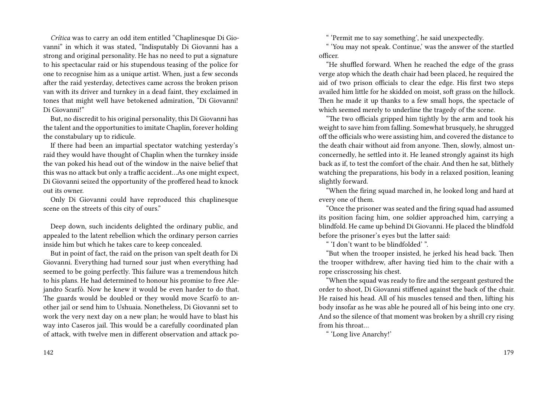*Crítica* was to carry an odd item entitled "Chaplinesque Di Giovanni" in which it was stated, "Indisputably Di Giovanni has a strong and original personality. He has no need to put a signature to his spectacular raid or his stupendous teasing of the police for one to recognise him as a unique artist. When, just a few seconds after the raid yesterday, detectives came across the broken prison van with its driver and turnkey in a dead faint, they exclaimed in tones that might well have betokened admiration, "Di Giovanni! Di Giovanni!"

But, no discredit to his original personality, this Di Giovanni has the talent and the opportunities to imitate Chaplin, forever holding the constabulary up to ridicule.

If there had been an impartial spectator watching yesterday's raid they would have thought of Chaplin when the turnkey inside the van poked his head out of the window in the naive belief that this was no attack but only a traffic accident…As one might expect, Di Giovanni seized the opportunity of the proffered head to knock out its owner.

Only Di Giovanni could have reproduced this chaplinesque scene on the streets of this city of ours."

Deep down, such incidents delighted the ordinary public, and appealed to the latent rebellion which the ordinary person carries inside him but which he takes care to keep concealed.

But in point of fact, the raid on the prison van spelt death for Di Giovanni. Everything had turned sour just when everything had seemed to be going perfectly. This failure was a tremendous hitch to his plans. He had determined to honour his promise to free Alejandro Scarfó. Now he knew it would be even harder to do that. The guards would be doubled or they would move Scarfó to another jail or send him to Ushuaia. Nonetheless, Di Giovanni set to work the very next day on a new plan; he would have to blast his way into Caseros jail. This would be a carefully coordinated plan of attack, with twelve men in different observation and attack po-

142

" 'Permit me to say something', he said unexpectedly.

" 'You may not speak. Continue,' was the answer of the startled officer.

"He shuffled forward. When he reached the edge of the grass verge atop which the death chair had been placed, he required the aid of two prison officials to clear the edge. His first two steps availed him little for he skidded on moist, soft grass on the hillock. Then he made it up thanks to a few small hops, the spectacle of which seemed merely to underline the tragedy of the scene.

"The two officials gripped him tightly by the arm and took his weight to save him from falling. Somewhat brusquely, he shrugged off the officials who were assisting him, and covered the distance to the death chair without aid from anyone. Then, slowly, almost unconcernedly, he settled into it. He leaned strongly against its high back as if, to test the comfort of the chair. And then he sat, blithely watching the preparations, his body in a relaxed position, leaning slightly forward.

"When the firing squad marched in, he looked long and hard at every one of them.

"Once the prisoner was seated and the firing squad had assumed its position facing him, one soldier approached him, carrying a blindfold. He came up behind Di Giovanni. He placed the blindfold before the prisoner's eyes but the latter said:

" 'I don't want to be blindfolded' ".

"But when the trooper insisted, he jerked his head back. Then the trooper withdrew, after having tied him to the chair with a rope crisscrossing his chest.

"When the squad was ready to fire and the sergeant gestured the order to shoot, Di Giovanni stiffened against the back of the chair. He raised his head. All of his muscles tensed and then, lifting his body insofar as he was able he poured all of his being into one cry. And so the silence of that moment was broken by a shrill cry rising from his throat…

" 'Long live Anarchy!'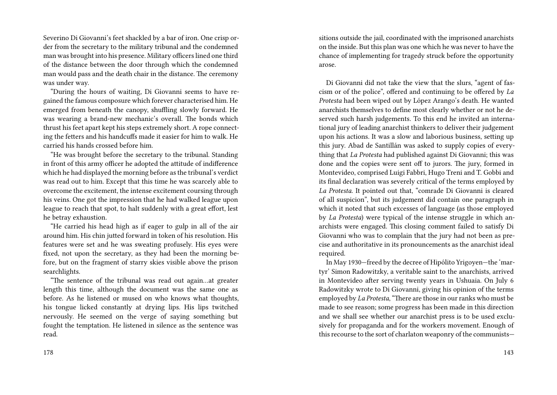Severino Di Giovanni's feet shackled by a bar of iron. One crisp order from the secretary to the military tribunal and the condemned man was brought into his presence. Military officers lined one third of the distance between the door through which the condemned man would pass and the death chair in the distance. The ceremony was under way.

"During the hours of waiting, Di Giovanni seems to have regained the famous composure which forever characterised him. He emerged from beneath the canopy, shuffling slowly forward. He was wearing a brand-new mechanic's overall. The bonds which thrust his feet apart kept his steps extremely short. A rope connecting the fetters and his handcuffs made it easier for him to walk. He carried his hands crossed before him.

"He was brought before the secretary to the tribunal. Standing in front of this army officer he adopted the attitude of indifference which he had displayed the morning before as the tribunal's verdict was read out to him. Except that this time he was scarcely able to overcome the excitement, the intense excitement coursing through his veins. One got the impression that he had walked league upon league to reach that spot, to halt suddenly with a great effort, lest he betray exhaustion.

"He carried his head high as if eager to gulp in all of the air around him. His chin jutted forward in token of his resolution. His features were set and he was sweating profusely. His eyes were fixed, not upon the secretary, as they had been the morning before, but on the fragment of starry skies visible above the prison searchlights.

"The sentence of the tribunal was read out again…at greater length this time, although the document was the same one as before. As he listened or mused on who knows what thoughts, his tongue licked constantly at drying lips. His lips twitched nervously. He seemed on the verge of saying something but fought the temptation. He listened in silence as the sentence was read.

178

sitions outside the jail, coordinated with the imprisoned anarchists on the inside. But this plan was one which he was never to have the chance of implementing for tragedy struck before the opportunity arose.

Di Giovanni did not take the view that the slurs, "agent of fascism or of the police", offered and continuing to be offered by *La Protesta* had been wiped out by López Arango's death. He wanted anarchists themselves to define most clearly whether or not he deserved such harsh judgements. To this end he invited an international jury of leading anarchist thinkers to deliver their judgement upon his actions. It was a slow and laborious business, setting up this jury. Abad de Santillán was asked to supply copies of everything that *La Protesta* had published against Di Giovanni; this was done and the copies were sent off to jurors. The jury, formed in Montevideo, comprised Luigi Fabbri, Hugo Treni and T. Gobbi and its final declaration was severely critical of the terms employed by *La Protesta*. It pointed out that, "comrade Di Giovanni is cleared of all suspicion", but its judgement did contain one paragraph in which it noted that such excesses of language (as those employed by *La Protesta*) were typical of the intense struggle in which anarchists were engaged. This closing comment failed to satisfy Di Giovanni who was to complain that the jury had not been as precise and authoritative in its pronouncements as the anarchist ideal required.

In May 1930—freed by the decree of Hipólito Yrigoyen—the 'martyr' Simon Radowitzky, a veritable saint to the anarchists, arrived in Montevideo after serving twenty years in Ushuaia. On July 6 Radowitzky wrote to Di Giovanni, giving his opinion of the terms employed by *La Protesta*, "There are those in our ranks who must be made to see reason; some progress has been made in this direction and we shall see whether our anarchist press is to be used exclusively for propaganda and for the workers movement. Enough of this recourse to the sort of charlaton weaponry of the communists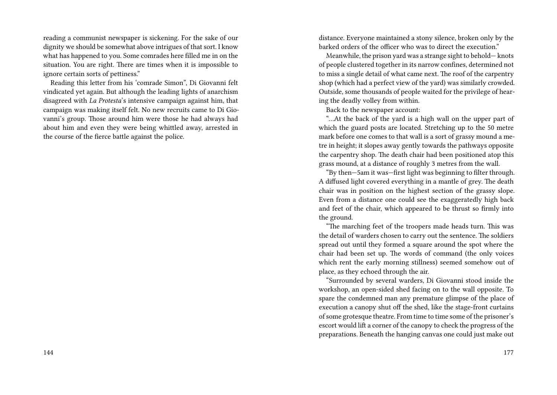reading a communist newspaper is sickening. For the sake of our dignity we should be somewhat above intrigues of that sort. I know what has happened to you. Some comrades here filled me in on the situation. You are right. There are times when it is impossible to ignore certain sorts of pettiness."

Reading this letter from his 'comrade Simon", Di Giovanni felt vindicated yet again. But although the leading lights of anarchism disagreed with *La Protesta*'s intensive campaign against him, that campaign was making itself felt. No new recruits came to Di Giovanni's group. Those around him were those he had always had about him and even they were being whittled away, arrested in the course of the fierce battle against the police.

distance. Everyone maintained a stony silence, broken only by the barked orders of the officer who was to direct the execution."

Meanwhile, the prison yard was a strange sight to behold— knots of people clustered together in its narrow confines, determined not to miss a single detail of what came next. The roof of the carpentry shop (which had a perfect view of the yard) was similarly crowded. Outside, some thousands of people waited for the privilege of hearing the deadly volley from within.

Back to the newspaper account:

"…At the back of the yard is a high wall on the upper part of which the guard posts are located. Stretching up to the 50 metre mark before one comes to that wall is a sort of grassy mound a metre in height; it slopes away gently towards the pathways opposite the carpentry shop. The death chair had been positioned atop this grass mound, at a distance of roughly 3 metres from the wall.

"By then—5am it was—first light was beginning to filter through. A diffused light covered everything in a mantle of grey. The death chair was in position on the highest section of the grassy slope. Even from a distance one could see the exaggeratedly high back and feet of the chair, which appeared to be thrust so firmly into the ground.

"The marching feet of the troopers made heads turn. This was the detail of warders chosen to carry out the sentence. The soldiers spread out until they formed a square around the spot where the chair had been set up. The words of command (the only voices which rent the early morning stillness) seemed somehow out of place, as they echoed through the air.

"Surrounded by several warders, Di Giovanni stood inside the workshop, an open-sided shed facing on to the wall opposite. To spare the condemned man any premature glimpse of the place of execution a canopy shut off the shed, like the stage-front curtains of some grotesque theatre. From time to time some of the prisoner's escort would lift a corner of the canopy to check the progress of the preparations. Beneath the hanging canvas one could just make out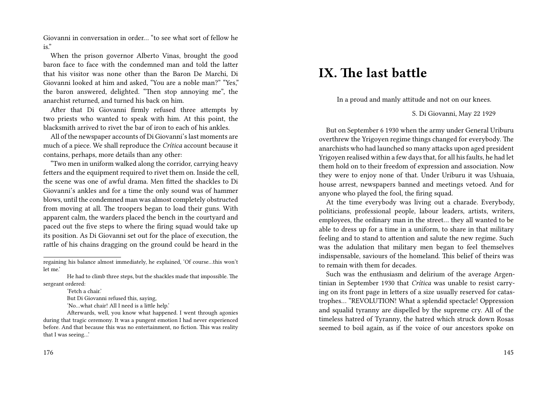Giovanni in conversation in order… "to see what sort of fellow he is"

When the prison governor Alberto Vinas, brought the good baron face to face with the condemned man and told the latter that his visitor was none other than the Baron De Marchi, Di Giovanni looked at him and asked, "You are a noble man?" "Yes," the baron answered, delighted. "Then stop annoying me", the anarchist returned, and turned his back on him.

After that Di Giovanni firmly refused three attempts by two priests who wanted to speak with him. At this point, the blacksmith arrived to rivet the bar of iron to each of his ankles.

All of the newspaper accounts of Di Giovanni's last moments are much of a piece. We shall reproduce the *Crítica* account because it contains, perhaps, more details than any other:

"Two men in uniform walked along the corridor, carrying heavy fetters and the equipment required to rivet them on. Inside the cell, the scene was one of awful drama. Men fitted the shackles to Di Giovanni's ankles and for a time the only sound was of hammer blows, until the condemned man was almost completely obstructed from moving at all. The troopers began to load their guns. With apparent calm, the warders placed the bench in the courtyard and paced out the five steps to where the firing squad would take up its position. As Di Giovanni set out for the place of execution, the rattle of his chains dragging on the ground could be heard in the

'Fetch a chair.'

But Di Giovanni refused this, saying,

'No…what chair! All I need is a little help.'

Afterwards, well, you know what happened. I went through agonies during that tragic ceremony. It was a pungent emotion I had never experienced before. And that because this was no entertainment, no fiction. This was reality that I was seeing…'

# **IX. The last battle**

In a proud and manly attitude and not on our knees.

S. Di Giovanni, May 22 1929

But on September 6 1930 when the army under General Uriburu overthrew the Yrigoyen regime things changed for everybody. The anarchists who had launched so many attacks upon aged president Yrigoyen realised within a few days that, for all his faults, he had let them hold on to their freedom of expression and association. Now they were to enjoy none of that. Under Uriburu it was Ushuaia, house arrest, newspapers banned and meetings vetoed. And for anyone who played the fool, the firing squad.

At the time everybody was living out a charade. Everybody, politicians, professional people, labour leaders, artists, writers, employees, the ordinary man in the street… they all wanted to be able to dress up for a time in a uniform, to share in that military feeling and to stand to attention and salute the new regime. Such was the adulation that military men began to feel themselves indispensable, saviours of the homeland. This belief of theirs was to remain with them for decades.

Such was the enthusiasm and delirium of the average Argentinian in September 1930 that *Crítica* was unable to resist carrying on its front page in letters of a size usually reserved for catastrophes… "REVOLUTION! What a splendid spectacle! Oppression and squalid tyranny are dispelled by the supreme cry. All of the timeless hatred of Tyranny, the hatred which struck down Rosas seemed to boil again, as if the voice of our ancestors spoke on

regaining his balance almost immediately, he explained, 'Of course…this won't let me.'

He had to climb three steps, but the shackles made that impossible. The sergeant ordered: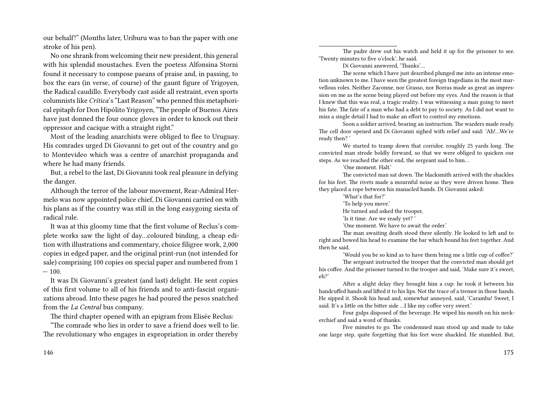our behalf!" (Months later, Uriburu was to ban the paper with one stroke of his pen).

No one shrank from welcoming their new president, this general with his splendid moustaches. Even the poetess Alfonsina Storni found it necessary to compose paeans of praise and, in passing, to box the ears (in verse, of course) of the gaunt figure of Yrigoyen, the Radical caudillo. Everybody cast aside all restraint, even sports columnists like *Crítica*'s "Last Reason" who penned this metaphorical epitaph for Don Hipólito Yrigoyen, "The people of Buenos Aires have just donned the four ounce gloves in order to knock out their oppressor and cacique with a straight right."

Most of the leading anarchists were obliged to flee to Uruguay. His comrades urged Di Giovanni to get out of the country and go to Montevideo which was a centre of anarchist propaganda and where he had many friends.

But, a rebel to the last, Di Giovanni took real pleasure in defying the danger.

Although the terror of the labour movement, Rear-Admiral Hermelo was now appointed police chief, Di Giovanni carried on with his plans as if the country was still in the long easygoing siesta of radical rule.

It was at this gloomy time that the first volume of Reclus's complete works saw the light of day…coloured binding, a cheap edition with illustrations and commentary, choice filigree work, 2,000 copies in edged paper, and the original print-run (not intended for sale) comprising 100 copies on special paper and numbered from 1  $-100.$ 

It was Di Giovanni's greatest (and last) delight. He sent copies of this first volume to all of his friends and to anti-fascist organizations abroad. Into these pages he had poured the pesos snatched from the *La Central* bus company.

The third chapter opened with an epigram from Elisée Reclus:

"The comrade who lies in order to save a friend does well to lie. The revolutionary who engages in expropriation in order thereby

The padre drew out his watch and held it up for the prisoner to see. 'Twenty minutes to five o'clock', he said.

Di Giovanni answered, 'Thanks'…

The scene which I have just described plunged me into an intense emotion unknown to me. I have seen the greatest foreign tragedians in the most marvellous roles. Neither Zaconne, nor Grasso, nor Borras made as great an impression on me as the scene being played out before my eyes. And the reason is that I knew that this was real, a tragic reality. I was witnessing a man going to meet his fate. The fate of a man who had a debt to pay to society. As I did not want to miss a single detail I had to make an effort to control my emotions.

Soon a soldier arrived, bearing an instruction. The warders made ready. The cell door opened and Di Giovanni sighed with relief and said: 'Ah!…We're ready then? '

We started to tramp down that corridor, roughly 25 yards long. The convicted man strode boldly forward, so that we were obliged to quicken our steps. As we reached the other end, the sergeant said to him…

'One moment. Halt.'

The convicted man sat down. The blacksmith arrived with the shackles for his feet. The rivets made a mournful noise as they were driven home. Then they placed a rope between his manacled hands. Di Giovanni asked:

'What's that for?'

'To help you move.'

He turned and asked the trooper,

'Is it time. Are we ready yet? '

'One moment. We have to await the order.'

The man awaiting death stood there silently. He looked to left and to right and bowed his head to examine the bar which bound his feet together. And then he said,

'Would you be so kind as to have them bring me a little cup of coffee?' The sergeant instructed the trooper that the convicted man should get his coffee. And the prisoner turned to the trooper and said, 'Make sure it's sweet, eh?'

After a slight delay they brought him a cup: he took it between his handcuffed hands and lifted it to his lips. Not the trace of a tremor in those hands. He sipped it. Shook his head and, somewhat annoyed, said, 'Caramba! Sweet, I said. It's a little on the bitter side …I like my coffee very sweet.'

Four gulps disposed of the beverage. He wiped his mouth on his neckerchief and said a word of thanks.

Five minutes to go. The condemned man stood up and made to take one large step, quite forgetting that his feet were shackled. He stumbled. But,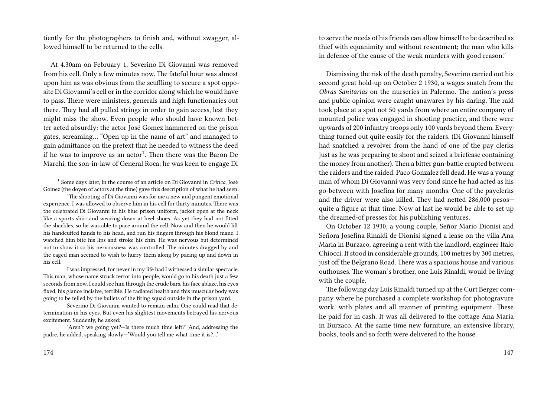tiently for the photographers to finish and, without swagger, allowed himself to be returned to the cells.

At 4.30am on February 1, Severino Di Giovanni was removed from his cell. Only a few minutes now. The fateful hour was almost upon him as was obvious from the scuffling to secure a spot opposite Di Giovanni's cell or in the corridor along which he would have to pass. There were ministers, generals and high functionaries out there. They had all pulled strings in order to gain access, lest they might miss the show. Even people who should have known better acted absurdly: the actor José Gomez hammered on the prison gates, screaming… "Open up in the name of art" and managed to gain admittance on the pretext that he needed to witness the deed if he was to improve as an actor<sup>1</sup>. Then there was the Baron De Marchi, the son-in-law of General Roca; he was keen to engage Di

to serve the needs of his friends can allow himself to be described as thief with equanimity and without resentment; the man who kills in defence of the cause of the weak murders with good reason."

Dismissing the risk of the death penalty, Severino carried out his second great hold-up on October 2 1930, a wages snatch from the *Obras Sanitarias* on the nurseries in Palermo. The nation's press and public opinion were caught unawares by his daring. The raid took place at a spot not 50 yards from where an entire company of mounted police was engaged in shooting practice, and there were upwards of 200 infantry troops only 100 yards beyond them. Everything turned out quite easily for the raiders. (Di Giovanni himself had snatched a revolver from the hand of one of the pay clerks just as he was preparing to shoot and seized a briefcase containing the money from another). Then a bitter gun-battle erupted between the raiders and the raided. Paco Gonzalez fell dead. He was a young man of whom Di Giovanni was very fond since he had acted as his go-between with Josefina for many months. One of the payclerks and the driver were also killed. They had netted 286,000 pesos quite a figure at that time. Now at last he would be able to set up the dreamed-of presses for his publishing ventures.

On October 12 1930, a young couple, Señor Mario Dionisi and Señora Josefina Rinaldi de Dionisi signed a lease on the villa Ana Maria in Burzaco, agreeing a rent with the landlord, engineer Italo Chiocci. It stood in considerable grounds, 100 metres by 300 metres, just off the Belgrano Road. There was a spacious house and various outhouses. The woman's brother, one Luis Rinaldi, would be living with the couple.

<sup>1</sup> Some days later, in the course of an article on Di Giovanni in *Crítica*, José Gomez (the doyen of actors at the time) gave this description of what he had seen:

<sup>&#</sup>x27;The shooting of Di Giovanni was for me a new and pungent emotional experience. I was allowed to observe him in his cell for thirty minutes. There was the celebrated Di Giovanni in his blue prison uniform, jacket open at the neck like a sports shirt and wearing down at heel shoes. As yet they had not fitted the shackles, so he was able to pace around the cell. Now and then he would lift his handcuffed hands to his head, and run his fingers through his blond mane. I watched him bite his lips and stroke his chin. He was nervous but determined not to show it so his nervousness was controlled. The minutes dragged by and the caged man seemed to wish to hurry them along by pacing up and down in his cell.

I was impressed, for never in my life had I witnessed a similar spectacle. This man, whose name struck terror into people, would go to his death just a few seconds from now. I could see him through the crude bars, his face ablaze, his eyes fixed, his glance incisive, terrible. He radiated health and this muscular body was going to be felled by the bullets of the firing squad outside in the prison yard.

Severino Di Giovanni wanted to remain calm. One could read that determination in his eyes. But even his slightest movements betrayed his nervous excitement. Suddenly, he asked:

<sup>&#</sup>x27;Aren't we going yet?—Is there much time left?' And, addressing the padre, he added, speaking slowly—'Would you tell me what time it is?…'

The following day Luis Rinaldi turned up at the Curt Berger company where he purchased a complete workshop for photogravure work, with plates and all manner of printing equipment. These he paid for in cash. It was all delivered to the cottage Ana Maria in Burzaco. At the same time new furniture, an extensive library, books, tools and so forth were delivered to the house.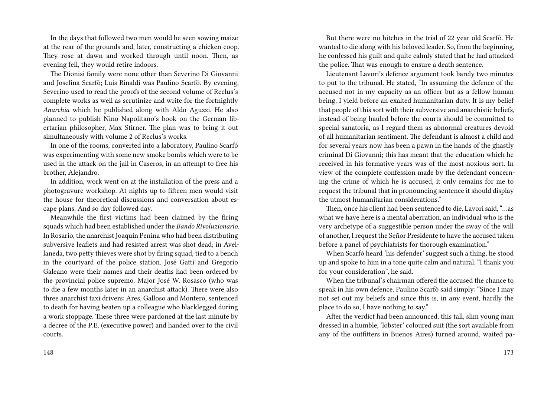In the days that followed two men would be seen sowing maize at the rear of the grounds and, later, constructing a chicken coop. They rose at dawn and worked through until noon. Then, as evening fell, they would retire indoors.

The Dionisi family were none other than Severino Di Giovanni and Josefina Scarfó; Luis Rinaldi was Paulino Scarfó. By evening, Severino used to read the proofs of the second volume of Reclus's complete works as well as scrutinize and write for the fortnightly *Anarchia* which he published along with Aldo Aguzzi. He also planned to publish Nino Napolitano's book on the German libertarian philosopher, Max Stirner. The plan was to bring it out simultaneously with volume 2 of Reclus's works.

In one of the rooms, converted into a laboratory, Paulino Scarfó was experimenting with some new smoke bombs which were to be used in the attack on the jail in Caseros, in an attempt to free his brother, Alejandro.

In addition, work went on at the installation of the press and a photogravure workshop. At nights up to fifteen men would visit the house for theoretical discussions and conversation about escape plans. And so day followed day.

Meanwhile the first victims had been claimed by the firing squads which had been established under the *Bando Rivoluzionario*. In Rosario, the anarchist Joaquin Penina who had been distributing subversive leaflets and had resisted arrest was shot dead; in Avellaneda, two petty thieves were shot by firing squad, tied to a bench in the courtyard of the police station. José Gatti and Gregorio Galeano were their names and their deaths had been ordered by the provincial police supremo, Major José W. Rosasco (who was to die a few months later in an anarchist attack). There were also three anarchist taxi drivers: Ares, Galloso and Montero, sentenced to death for having beaten up a colleague who blacklegged during a work stoppage. These three were pardoned at the last minute by a decree of the P.E. (executive power) and handed over to the civil courts.

But there were no hitches in the trial of 22 year old Scarfó. He wanted to die along with his beloved leader. So, from the beginning, he confessed his guilt and quite calmly stated that he had attacked the police. That was enough to ensure a death sentence.

Lieutenant Lavori's defence argument took barely two minutes to put to the tribunal. He stated, "In assuming the defence of the accused not in my capacity as an officer but as a fellow human being, I yield before an exalted humanitarian duty. It is my belief that people of this sort with their subversive and anarchistic beliefs, instead of being hauled before the courts should be committed to special sanatoria, as I regard them as abnormal creatures devoid of all humanitarian sentiment. The defendant is almost a child and for several years now has been a pawn in the hands of the ghastly criminal Di Giovanni; this has meant that the education which he received in his formative years was of the most noxious sort. In view of the complete confession made by the defendant concerning the crime of which he is accused, it only remains for me to request the tribunal that in pronouncing sentence it should display the utmost humanitarian considerations."

Then, once his client had been sentenced to die, Lavori said, "…as what we have here is a mental aberration, an individual who is the very archetype of a suggestible person under the sway of the will of another, I request the Señor Presidente to have the accused taken before a panel of psychiatrists for thorough examination."

When Scarfó heard 'his defender' suggest such a thing, he stood up and spoke to him in a tone quite calm and natural. "I thank you for your consideration", he said.

When the tribunal's chairman offered the accused the chance to speak in his own defence, Paulino Scarfó said simply: "Since I may not set out my beliefs and since this is, in any event, hardly the place to do so, I have nothing to say."

After the verdict had been announced, this tall, slim young man dressed in a humble, 'lobster' coloured suit (the sort available from any of the outfitters in Buenos Aires) turned around, waited pa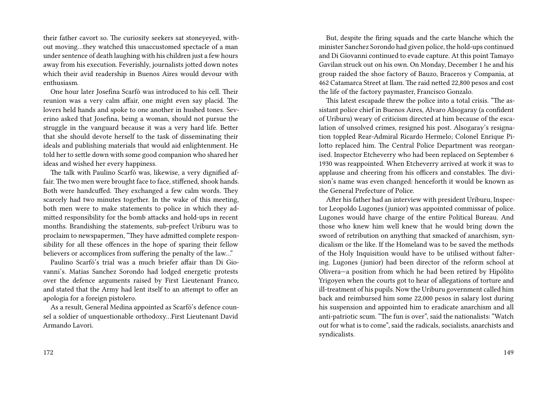their father cavort so. The curiosity seekers sat stoneyeyed, without moving…they watched this unaccustomed spectacle of a man under sentence of death laughing with his children just a few hours away from his execution. Feverishly, journalists jotted down notes which their avid readership in Buenos Aires would devour with enthusiasm.

One hour later Josefina Scarfó was introduced to his cell. Their reunion was a very calm affair, one might even say placid. The lovers held hands and spoke to one another in hushed tones. Severino asked that Josefina, being a woman, should not pursue the struggle in the vanguard because it was a very hard life. Better that she should devote herself to the task of disseminating their ideals and publishing materials that would aid enlightenment. He told her to settle down with some good companion who shared her ideas and wished her every happiness.

The talk with Paulino Scarfó was, likewise, a very dignified affair. The two men were brought face to face, stiffened, shook hands. Both were handcuffed. They exchanged a few calm words. They scarcely had two minutes together. In the wake of this meeting, both men were to make statements to police in which they admitted responsibility for the bomb attacks and hold-ups in recent months. Brandishing the statements, sub-prefect Uriburu was to proclaim to newspapermen, "They have admitted complete responsibility for all these offences in the hope of sparing their fellow believers or accomplices from suffering the penalty of the law..."

Paulino Scarfó's trial was a much briefer affair than Di Giovanni's. Matias Sanchez Sorondo had lodged energetic protests over the defence arguments raised by First Lieutenant Franco, and stated that the Army had lent itself to an attempt to offer an apologia for a foreign pistolero.

As a result, General Medina appointed as Scarfó's defence counsel a soldier of unquestionable orthodoxy…First Lieutenant David Armando Lavori.

But, despite the firing squads and the carte blanche which the minister Sanchez Sorondo had given police, the hold-ups continued and Di Giovanni continued to evade capture. At this point Tamayo Gavilan struck out on his own. On Monday, December 1 he and his group raided the shoe factory of Bauzo, Braceros y Compania, at 462 Catamarca Street at llam. The raid netted 22,800 pesos and cost the life of the factory paymaster, Francisco Gonzalo.

This latest escapade threw the police into a total crisis. "The assistant police chief in Buenos Aires, Alvaro Alsogaray (a confident of Uriburu) weary of criticism directed at him because of the escalation of unsolved crimes, resigned his post. Alsogaray's resignation toppled Rear-Admiral Ricardo Hermelo; Colonel Enrique Pilotto replaced him. The Central Police Department was reorganised. Inspector Etcheverry who had been replaced on September 6 1930 was reappointed. When Etcheverry arrived at work it was to applause and cheering from his officers and constables. The division's name was even changed: henceforth it would be known as the General Prefecture of Police.

After his father had an interview with president Uriburu, Inspector Leopoldo Lugones (junior) was appointed commissar of police. Lugones would have charge of the entire Political Bureau. And those who knew him well knew that he would bring down the sword of retribution on anything that smacked of anarchism, syndicalism or the like. If the Homeland was to be saved the methods of the Holy Inquisition would have to be utilised without faltering. Lugones (junior) had been director of the reform school at Olivera—a position from which he had been retired by Hipólito Yrigoyen when the courts got to hear of allegations of torture and ill-treatment of his pupils. Now the Uriburu government called him back and reimbursed him some 22,000 pesos in salary lost during his suspension and appointed him to eradicate anarchism and all anti-patriotic scum. "The fun is over", said the nationalists: "Watch out for what is to come", said the radicals, socialists, anarchists and syndicalists.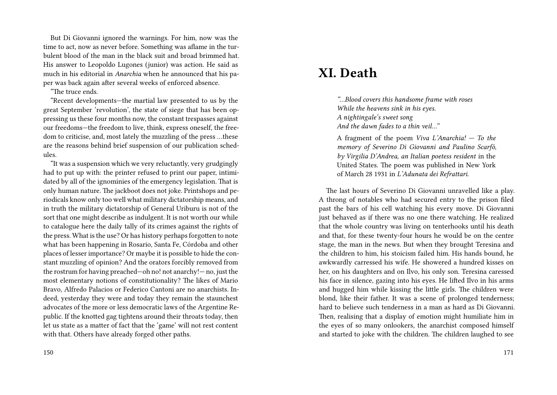But Di Giovanni ignored the warnings. For him, now was the time to act, now as never before. Something was aflame in the turbulent blood of the man in the black suit and broad brimmed hat. His answer to Leopoldo Lugones (junior) was action. He said as much in his editorial in *Anarchia* when he announced that his paper was back again after several weeks of enforced absence.

"The truce ends.

"Recent developments—the martial law presented to us by the great September 'revolution', the state of siege that has been oppressing us these four months now, the constant trespasses against our freedoms—the freedom to live, think, express oneself, the freedom to criticise, and, most lately the muzzling of the press …these are the reasons behind brief suspension of our publication schedules.

"It was a suspension which we very reluctantly, very grudgingly had to put up with: the printer refused to print our paper, intimidated by all of the ignominies of the emergency legislation. That is only human nature. The jackboot does not joke. Printshops and periodicals know only too well what military dictatorship means, and in truth the military dictatorship of General Uriburu is not of the sort that one might describe as indulgent. It is not worth our while to catalogue here the daily tally of its crimes against the rights of the press. What is the use? Or has history perhaps forgotten to note what has been happening in Rosario, Santa Fe, Córdoba and other places of lesser importance? Or maybe it is possible to hide the constant muzzling of opinion? And the orators forcibly removed from the rostrum for having preached—oh no! not anarchy!— no, just the most elementary notions of constitutionality? The likes of Mario Bravo, Alfredo Palacios or Federico Cantoni are no anarchists. Indeed, yesterday they were and today they remain the staunchest advocates of the more or less democratic laws of the Argentine Republic. If the knotted gag tightens around their throats today, then let us state as a matter of fact that the 'game' will not rest content with that. Others have already forged other paths.

## **XI. Death**

*"…Blood covers this handsome frame with roses While the heavens sink in his eyes. A nightingale's sweet song And the dawn fades to a thin veil…"*

A fragment of the poem *Viva L'Anarchia! — To the memory of Severino Di Giovanni and Paulino Scarfó, by Virgilia D'Andrea, an Italian poetess resident* in the United States. The poem was published in New York of March 28 1931 in *L'Adunata dei Refrattari.*

The last hours of Severino Di Giovanni unravelled like a play. A throng of notables who had secured entry to the prison filed past the bars of his cell watching his every move. Di Giovanni just behaved as if there was no one there watching. He realized that the whole country was living on tenterhooks until his death and that, for these twenty-four hours he would be on the centre stage, the man in the news. But when they brought Teresina and the children to him, his stoicism failed him. His hands bound, he awkwardly carressed his wife. He showered a hundred kisses on her, on his daughters and on Ilvo, his only son. Teresina caressed his face in silence, gazing into his eyes. He lifted Ilvo in his arms and hugged him while kissing the little girls. The children were blond, like their father. It was a scene of prolonged tenderness; hard to believe such tenderness in a man as hard as Di Giovanni. Then, realising that a display of emotion might humiliate him in the eyes of so many onlookers, the anarchist composed himself and started to joke with the children. The children laughed to see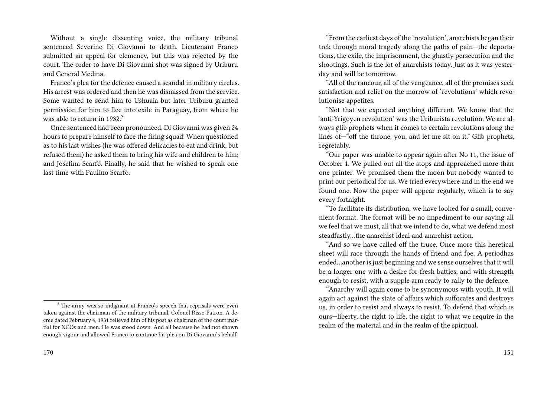Without a single dissenting voice, the military tribunal sentenced Severino Di Giovanni to death. Lieutenant Franco submitted an appeal for clemency, but this was rejected by the court. The order to have Di Giovanni shot was signed by Uriburu and General Medina.

Franco's plea for the defence caused a scandal in military circles. His arrest was ordered and then he was dismissed from the service. Some wanted to send him to Ushuaia but later Uriburu granted permission for him to flee into exile in Paraguay, from where he was able to return in 1932<sup>3</sup>

Once sentenced had been pronounced, Di Giovanni was given 24 hours to prepare himself to face the firing squad. When questioned as to his last wishes (he was offered delicacies to eat and drink, but refused them) he asked them to bring his wife and children to him; and Josefina Scarfó. Finally, he said that he wished to speak one last time with Paulino Scarfó.

"From the earliest days of the 'revolution', anarchists began their trek through moral tragedy along the paths of pain—the deportations, the exile, the imprisonment, the ghastly persecution and the shootings. Such is the lot of anarchists today. Just as it was yesterday and will be tomorrow.

"All of the rancour, all of the vengeance, all of the promises seek satisfaction and relief on the morrow of 'revolutions' which revolutionise appetites.

"Not that we expected anything different. We know that the 'anti-Yrigoyen revolution' was the Uriburista revolution. We are always glib prophets when it comes to certain revolutions along the lines of—"off the throne, you, and let me sit on it." Glib prophets, regretably.

"Our paper was unable to appear again after No 11, the issue of October 1. We pulled out all the stops and approached more than one printer. We promised them the moon but nobody wanted to print our periodical for us. We tried everywhere and in the end we found one. Now the paper will appear regularly, which is to say every fortnight.

"To facilitate its distribution, we have looked for a small, convenient format. The format will be no impediment to our saying all we feel that we must, all that we intend to do, what we defend most steadfastly…the anarchist ideal and anarchist action.

"And so we have called off the truce. Once more this heretical sheet will race through the hands of friend and foe. A periodhas ended…another is just beginning and we sense ourselves that it will be a longer one with a desire for fresh battles, and with strength enough to resist, with a supple arm ready to rally to the defence.

"Anarchy will again come to be synonymous with youth. It will again act against the state of affairs which suffocates and destroys us, in order to resist and always to resist. To defend that which is ours—liberty, the right to life, the right to what we require in the realm of the material and in the realm of the spiritual.

<sup>&</sup>lt;sup>3</sup> The army was so indignant at Franco's speech that reprisals were even taken against the chairman of the military tribunal, Colonel Risso Patron. A decree dated February 4, 1931 relieved him of his post as chairman of the court martial for NCOs and men. He was stood down. And all because he had not shown enough vigour and allowed Franco to continue his plea on Di Giovanni's behalf.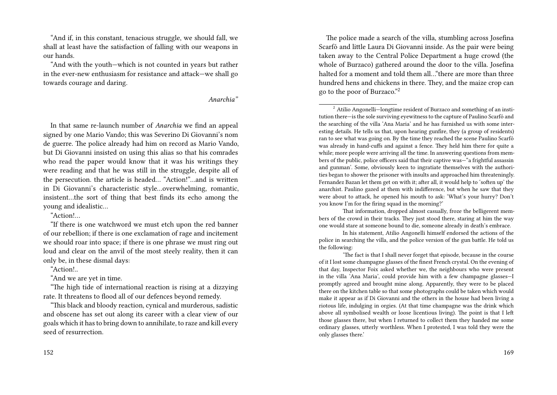"And if, in this constant, tenacious struggle, we should fall, we shall at least have the satisfaction of falling with our weapons in our hands.

"And with the youth—which is not counted in years but rather in the ever-new enthusiasm for resistance and attack—we shall go towards courage and daring.

### *Anarchia"*

In that same re-launch number of *Anarchia* we find an appeal signed by one Mario Vando; this was Severino Di Giovanni's nom de guerre. The police already had him on record as Mario Vando, but Di Giovanni insisted on using this alias so that his comrades who read the paper would know that it was his writings they were reading and that he was still in the struggle, despite all of the persecution. the article is headed… "Action!"…and is written in Di Giovanni's characteristic style…overwhelming, romantic, insistent…the sort of thing that best finds its echo among the young and idealistic…

"Action!…

"If there is one watchword we must etch upon the red banner of our rebellion; if there is one exclamation of rage and incitement we should roar into space; if there is one phrase we must ring out loud and clear on the anvil of the most steely reality, then it can only be, in these dismal days:

"Action!..

"And we are yet in time.

"The high tide of international reaction is rising at a dizzying rate. It threatens to flood all of our defences beyond remedy.

"This black and bloody reaction, cynical and murderous, sadistic and obscene has set out along its career with a clear view of our goals which it has to bring down to annihilate, to raze and kill every seed of resurrection.

The police made a search of the villa, stumbling across Josefina Scarfó and little Laura Di Giovanni inside. As the pair were being taken away to the Central Police Department a huge crowd (the whole of Burzaco) gathered around the door to the villa. Josefina halted for a moment and told them all…"there are more than three hundred hens and chickens in there. They, and the maize crop can go to the poor of Burzaco."<sup>2</sup>

<sup>2</sup> Atilio Angonelli—longtime resident of Burzaco and something of an institution there—is the sole surviving eyewitness to the capture of Paulino Scarfó and the searching of the villa 'Ana Maria' and he has furnished us with some interesting details. He tells us that, upon hearing gunfire, they (a group of residents) ran to see what was going on. By the time they reached the scene Paulino Scarfó was already in hand-cuffs and against a fence. They held him there for quite a while; more people were arriving all the time. In answering questions from members of the public, police officers said that their captive was—"a frightful assassin and gunman'. Some, obviously keen to ingratiate themselves with the authorities began to shower the prisoner with insults and approached him threateningly. Fernandez Bazan let them get on with it; after all, it would help to 'soften up' the anarchist. Paulino gazed at them with indifference, but when he saw that they were about to attack, he opened his mouth to ask: 'What's your hurry? Don't you know I'm for the firing squad in the morning?'

That information, dropped almost casually, froze the belligerent members of the crowd in their tracks. They just stood there, staring at him the way one would stare at someone bound to die, someone already in death's embrace.

In his statement, Atilio Angonelli himself endorsed the actions of the police in searching the villa, and the police version of the gun battle. He told us the following:

'The fact is that I shall never forget that episode, because in the course of it I lost some champagne glasses of the finest French crystal. On the evening of that day, Inspector Foix asked whether we, the neighbours who were present in the villa 'Ana Maria', could provide him with a few champagne glasses—I promptly agreed and brought mine along. Apparently, they were to be placed there on the kitchen table so that some photographs could be taken which would make it appear as if Di Giovanni and the others in the house had been living a riotous life, indulging in orgies. (At that time champagne was the drink which above all symbolised wealth or loose licentious living). The point is that I left those glasses there, but when I returned to collect them they handed me some ordinary glasses, utterly worthless. When I protested, I was told they were the only glasses there.'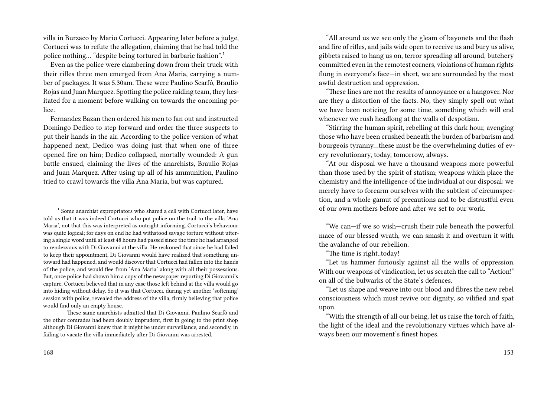villa in Burzaco by Mario Cortucci. Appearing later before a judge, Cortucci was to refute the allegation, claiming that he had told the police nothing... "despite being tortured in barbaric fashion".<sup>1</sup>

Even as the police were clambering down from their truck with their rifles three men emerged from Ana Maria, carrying a number of packages. It was 5.30am. These were Paulino Scarfó, Braulio Rojas and Juan Marquez. Spotting the police raiding team, they hesitated for a moment before walking on towards the oncoming police.

Fernandez Bazan then ordered his men to fan out and instructed Domingo Dedico to step forward and order the three suspects to put their hands in the air. According to the police version of what happened next, Dedico was doing just that when one of three opened fire on him; Dedico collapsed, mortally wounded: A gun battle ensued, claiming the lives of the anarchists, Braulio Rojas and Juan Marquez. After using up all of his ammunition, Paulino tried to crawl towards the villa Ana Maria, but was captured.

"All around us we see only the gleam of bayonets and the flash and fire of rifles, and jails wide open to receive us and bury us alive, gibbets raised to hang us on, terror spreading all around, butchery committed even in the remotest corners, violations of human rights flung in everyone's face—in short, we are surrounded by the most awful destruction and oppression.

"These lines are not the results of annoyance or a hangover. Nor are they a distortion of the facts. No, they simply spell out what we have been noticing for some time, something which will end whenever we rush headlong at the walls of despotism.

"Stirring the human spirit, rebelling at this dark hour, avenging those who have been crushed beneath the burden of barbarism and bourgeois tyranny…these must be the overwhelming duties of every revolutionary, today, tomorrow, always.

"At our disposal we have a thousand weapons more powerful than those used by the spirit of statism; weapons which place the chemistry and the intelligence of the individual at our disposal: we merely have to forearm ourselves with the subtlest of circumspection, and a whole gamut of precautions and to be distrustful even of our own mothers before and after we set to our work.

"The time is right..today!

<sup>&</sup>lt;sup>1</sup> Some anarchist expropriators who shared a cell with Cortucci later, have told us that it was indeed Cortucci who put police on the trail to the villa 'Ana Maria', not that this was interpreted as outright informing. Cortucci's behaviour was quite logical; for days on end he had withstood savage torture without uttering a single word until at least 48 hours had passed since the time he had arranged to rendezvous with Di Giovanni at the villa. He reckoned that since he had failed to keep their appointment, Di Giovanni would have realized that something untoward had happened, and would discover that Cortucci had fallen into the hands of the police, and would flee from 'Ana Maria' along with all their possessions. But, once police had shown him a copy of the newspaper reporting Di Giovanni's capture, Cortucci believed that in any case those left behind at the villa would go into hiding without delay. So it was that Cortucci, during yet another 'softening' session with police, revealed the address of the villa, firmly believing that police would find only an empty house.

These same anarchists admitted that Di Giovanni, Paulino Scarfó and the other comrades had been doubly imprudent, first in going to the print shop although Di Giovanni knew that it might be under surveillance, and secondly, in failing to vacate the villa immediately after Di Giovanni was arrested.

<sup>&</sup>quot;We can—if we so wish—crush their rule beneath the powerful mace of our blessed wrath, we can smash it and overturn it with the avalanche of our rebellion.

<sup>&</sup>quot;Let us hammer furiously against all the walls of oppression. With our weapons of vindication, let us scratch the call to "Action!" on all of the bulwarks of the State's defences.

<sup>&</sup>quot;Let us shape and weave into our blood and fibres the new rebel consciousness which must revive our dignity, so vilified and spat upon.

<sup>&</sup>quot;With the strength of all our being, let us raise the torch of faith, the light of the ideal and the revolutionary virtues which have always been our movement's finest hopes.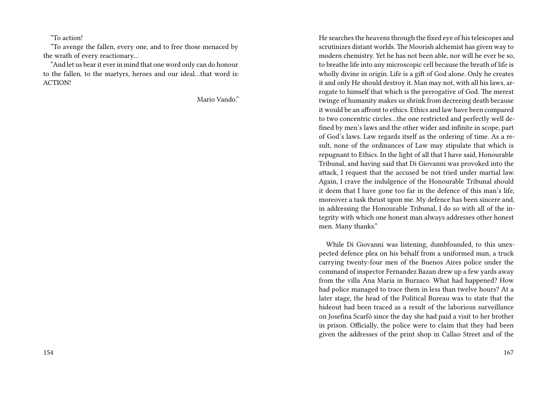"To action!

"To avenge the fallen, every one, and to free those menaced by the wrath of every reactionary…

"And let us bear it ever in mind that one word only can do honour to the fallen, to the martyrs, heroes and our ideal…that word is: ACTION!

Mario Vando."

He searches the heavens through the fixed eye of his telescopes and scrutinizes distant worlds. The Moorish alchemist has given way to modern chemistry. Yet he has not been able, nor will he ever be so, to breathe life into any microscopic cell because the breath of life is wholly divine in origin. Life is a gift of God alone. Only he creates it and only He should destroy it. Man may not, with all his laws, arrogate to himself that which is the prerogative of God. The merest twinge of humanity makes us shrink from decreeing death because it would be an affront to ethics. Ethics and law have been compared to two concentric circles…the one restricted and perfectly well defined by men's laws and the other wider and infinite in scope, part of God's laws. Law regards itself as the ordering of time. As a result, none of the ordinances of Law may stipulate that which is repugnant to Ethics. In the light of all that I have said, Honourable Tribunal, and having said that Di Giovanni was provoked into the attack, I request that the accused be not tried under martial law. Again, I crave the indulgence of the Honourable Tribunal should it deem that I have gone too far in the defence of this man's life, moreover a task thrust upon me. My defence has been sincere and, in addressing the Honourable Tribunal, I do so with all of the integrity with which one honest man always addresses other honest men. Many thanks."

While Di Giovanni was listening, dumbfounded, to this unexpected defence plea on his behalf from a uniformed man, a truck carrying twenty-four men of the Buenos Aires police under the command of inspector Fernandez Bazan drew up a few yards away from the villa Ana Maria in Burzaco. What had happened? How had police managed to trace them in less than twelve hours? At a later stage, the head of the Political Bureau was to state that the hideout had been traced as a result of the laborious surveillance on Josefina Scarfó since the day she had paid a visit to her brother in prison. Officially, the police were to claim that they had been given the addresses of the print shop in Callao Street and of the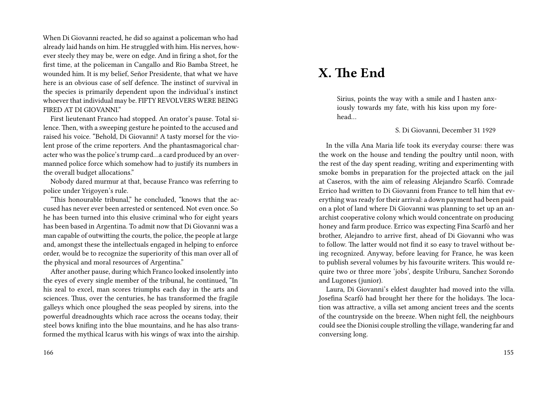When Di Giovanni reacted, he did so against a policeman who had already laid hands on him. He struggled with him. His nerves, however steely they may be, were on edge. And in firing a shot, for the first time, at the policeman in Cangallo and Rio Bamba Street, he wounded him. It is my belief, Señor Presidente, that what we have here is an obvious case of self defence. The instinct of survival in the species is primarily dependent upon the individual's instinct whoever that individual may be. FIFTY REVOLVERS WERE BEING FIRED AT DI GIOVANNI"

First lieutenant Franco had stopped. An orator's pause. Total silence. Then, with a sweeping gesture he pointed to the accused and raised his voice. "Behold, Di Giovanni! A tasty morsel for the violent prose of the crime reporters. And the phantasmagorical character who was the police's trump card…a card produced by an overmanned police force which somehow had to justify its numbers in the overall budget allocations."

Nobody dared murmur at that, because Franco was referring to police under Yrigoyen's rule.

"This honourable tribunal," he concluded, "knows that the accused has never ever been arrested or sentenced. Not even once. So he has been turned into this elusive criminal who for eight years has been based in Argentina. To admit now that Di Giovanni was a man capable of outwitting the courts, the police, the people at large and, amongst these the intellectuals engaged in helping to enforce order, would be to recognize the superiority of this man over all of the physical and moral resources of Argentina."

After another pause, during which Franco looked insolently into the eyes of every single member of the tribunal, he continued, "In his zeal to excel, man scores triumphs each day in the arts and sciences. Thus, over the centuries, he has transformed the fragile galleys which once ploughed the seas peopled by sirens, into the powerful dreadnoughts which race across the oceans today, their steel bows knifing into the blue mountains, and he has also transformed the mythical Icarus with his wings of wax into the airship.

### **X. The End**

Sirius, points the way with a smile and I hasten anxiously towards my fate, with his kiss upon my forehead…

#### S. Di Giovanni, December 31 1929

In the villa Ana Maria life took its everyday course: there was the work on the house and tending the poultry until noon, with the rest of the day spent reading, writing and experimenting with smoke bombs in preparation for the projected attack on the jail at Caseros, with the aim of releasing Alejandro Scarfó. Comrade Errico had written to Di Giovanni from France to tell him that everything was ready for their arrival: a down payment had been paid on a plot of land where Di Giovanni was planning to set up an anarchist cooperative colony which would concentrate on producing honey and farm produce. Errico was expecting Fina Scarfó and her brother, Alejandro to arrive first, ahead of Di Giovanni who was to follow. The latter would not find it so easy to travel without being recognized. Anyway, before leaving for France, he was keen to publish several volumes by his favourite writers. This would require two or three more 'jobs', despite Uriburu, Sanchez Sorondo and Lugones (junior).

Laura, Di Giovanni's eldest daughter had moved into the villa. Josefina Scarfó had brought her there for the holidays. The location was attractive, a villa set among ancient trees and the scents of the countryside on the breeze. When night fell, the neighbours could see the Dionisi couple strolling the village, wandering far and conversing long.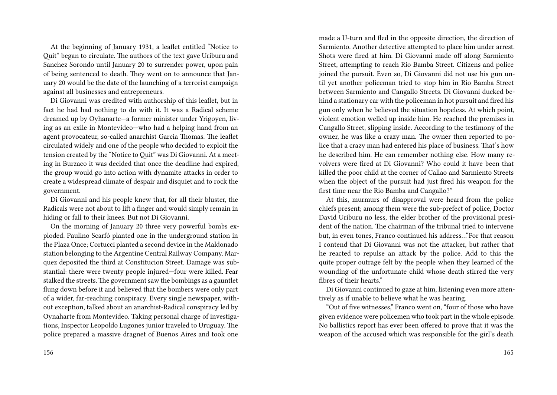At the beginning of January 1931, a leaflet entitled "Notice to Quit" began to circulate. The authors of the text gave Uriburu and Sanchez Sorondo until January 20 to surrender power, upon pain of being sentenced to death. They went on to announce that January 20 would be the date of the launching of a terrorist campaign against all businesses and entrepreneurs.

Di Giovanni was credited with authorship of this leaflet, but in fact he had had nothing to do with it. It was a Radical scheme dreamed up by Oyhanarte—a former minister under Yrigoyen, living as an exile in Montevideo—who had a helping hand from an agent provocateur, so-called anarchist Garcia Thomas. The leaflet circulated widely and one of the people who decided to exploit the tension created by the "Notice toQuit" was Di Giovanni. At a meeting in Burzaco it was decided that once the deadline had expired, the group would go into action with dynamite attacks in order to create a widespread climate of despair and disquiet and to rock the government.

Di Giovanni and his people knew that, for all their bluster, the Radicals were not about to lift a finger and would simply remain in hiding or fall to their knees. But not Di Giovanni.

On the morning of January 20 three very powerful bombs exploded. Paulino Scarfó planted one in the underground station in the Plaza Once; Cortucci planted a second device in the Maldonado station belonging to the Argentine Central Railway Company. Marquez deposited the third at Constitucion Street. Damage was substantial: there were twenty people injured—four were killed. Fear stalked the streets. The government saw the bombings as a gauntlet flung down before it and believed that the bombers were only part of a wider, far-reaching conspiracy. Every single newspaper, without exception, talked about an anarchist-Radical conspiracy led by Oynaharte from Montevideo. Taking personal charge of investigations, Inspector Leopoldo Lugones junior traveled to Uruguay. The police prepared a massive dragnet of Buenos Aires and took one

156

made a U-turn and fled in the opposite direction, the direction of Sarmiento. Another detective attempted to place him under arrest. Shots were fired at him. Di Giovanni made off along Sarmiento Street, attempting to reach Rio Bamba Street. Citizens and police joined the pursuit. Even so, Di Giovanni did not use his gun until yet another policeman tried to stop him in Rio Bamba Street between Sarmiento and Cangallo Streets. Di Giovanni ducked behind a stationary car with the policeman in hot pursuit and fired his gun only when he believed the situation hopeless. At which point, violent emotion welled up inside him. He reached the premises in Cangallo Street, slipping inside. According to the testimony of the owner, he was like a crazy man. The owner then reported to police that a crazy man had entered his place of business. That's how he described him. He can remember nothing else. How many revolvers were fired at Di Giovanni? Who could it have been that killed the poor child at the corner of Callao and Sarmiento Streets when the object of the pursuit had just fired his weapon for the first time near the Rio Bamba and Cangallo?"

At this, murmurs of disapproval were heard from the police chiefs present; among them were the sub-prefect of police, Doctor David Uriburu no less, the elder brother of the provisional president of the nation. The chairman of the tribunal tried to intervene but, in even tones, Franco continued his address…"For that reason I contend that Di Giovanni was not the attacker, but rather that he reacted to repulse an attack by the police. Add to this the quite proper outrage felt by the people when they learned of the wounding of the unfortunate child whose death stirred the very fibres of their hearts."

Di Giovanni continued to gaze at him, listening even more attentively as if unable to believe what he was hearing.

"Out of five witnesses," Franco went on, "four of those who have given evidence were policemen who took part in the whole episode. No ballistics report has ever been offered to prove that it was the weapon of the accused which was responsible for the girl's death.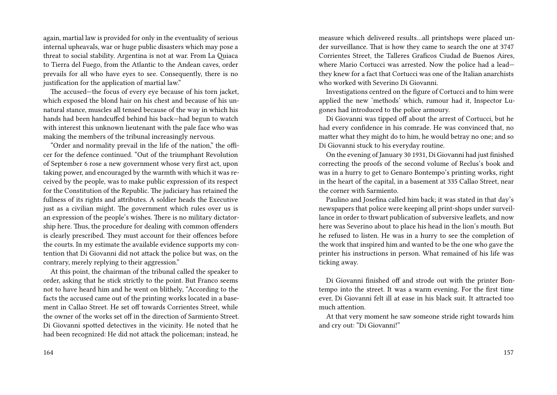again, martial law is provided for only in the eventuality of serious internal upheavals, war or huge public disasters which may pose a threat to social stability. Argentina is not at war. From La Quiaca to Tierra del Fuego, from the Atlantic to the Andean caves, order prevails for all who have eyes to see. Consequently, there is no justification for the application of martial law."

The accused—the focus of every eye because of his torn jacket, which exposed the blond hair on his chest and because of his unnatural stance, muscles all tensed because of the way in which his hands had been handcuffed behind his back—had begun to watch with interest this unknown lieutenant with the pale face who was making the members of the tribunal increasingly nervous.

"Order and normality prevail in the life of the nation," the officer for the defence continued. "Out of the triumphant Revolution of September 6 rose a new government whose very first act, upon taking power, and encouraged by the warmth with which it was received by the people, was to make public expression of its respect for the Constitution of the Republic. The judiciary has retained the fullness of its rights and attributes. A soldier heads the Executive just as a civilian might. The government which rules over us is an expression of the people's wishes. There is no military dictatorship here. Thus, the procedure for dealing with common offenders is clearly prescribed. They must account for their offences before the courts. In my estimate the available evidence supports my contention that Di Giovanni did not attack the police but was, on the contrary, merely replying to their aggression."

At this point, the chairman of the tribunal called the speaker to order, asking that he stick strictly to the point. But Franco seems not to have heard him and he went on blithely, "According to the facts the accused came out of the printing works located in a basement in Callao Street. He set off towards Corrientes Street, while the owner of the works set off in the direction of Sarmiento Street. Di Giovanni spotted detectives in the vicinity. He noted that he had been recognized: He did not attack the policeman; instead, he measure which delivered results…all printshops were placed under surveillance. That is how they came to search the one at 3747 Corrientes Street, the Talleres Graficos Ciudad de Buenos Aires, where Mario Cortucci was arrested. Now the police had a lead they knew for a fact that Cortucci was one of the Italian anarchists who worked with Severino Di Giovanni.

Investigations centred on the figure of Cortucci and to him were applied the new 'methods' which, rumour had it, Inspector Lugones had introduced to the police armoury.

Di Giovanni was tipped off about the arrest of Cortucci, but he had every confidence in his comrade. He was convinced that, no matter what they might do to him, he would betray no one; and so Di Giovanni stuck to his everyday routine.

On the evening of January 30 1931, Di Giovanni had just finished correcting the proofs of the second volume of Reclus's book and was in a hurry to get to Genaro Bontempo's printing works, right in the heart of the capital, in a basement at 335 Callao Street, near the corner with Sarmiento.

Paulino and Josefina called him back; it was stated in that day's newspapers that police were keeping all print-shops under surveillance in order to thwart publication of subversive leaflets, and now here was Severino about to place his head in the lion's mouth. But he refused to listen. He was in a hurry to see the completion of the work that inspired him and wanted to be the one who gave the printer his instructions in person. What remained of his life was ticking away.

Di Giovanni finished off and strode out with the printer Bontempo into the street. It was a warm evening. For the first time ever, Di Giovanni felt ill at ease in his black suit. It attracted too much attention.

At that very moment he saw someone stride right towards him and cry out: "Di Giovanni!"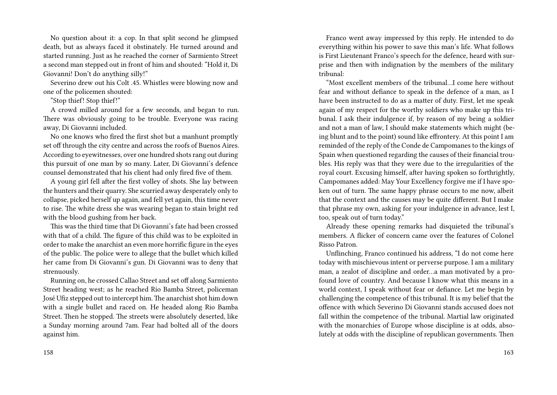No question about it: a cop. In that split second he glimpsed death, but as always faced it obstinately. He turned around and started running. Just as he reached the corner of Sarmiento Street a second man stepped out in front of him and shouted: "Hold it, Di Giovanni! Don't do anything silly!"

Severino drew out his Colt .45. Whistles were blowing now and one of the policemen shouted:

"Stop thief! Stop thief!"

A crowd milled around for a few seconds, and began to run. There was obviously going to be trouble. Everyone was racing away, Di Giovanni included.

No one knows who fired the first shot but a manhunt promptly set off through the city centre and across the roofs of Buenos Aires. According to eyewitnesses, over one hundred shots rang out during this pursuit of one man by so many. Later, Di Giovanni's defence counsel demonstrated that his client had only fired five of them.

A young girl fell after the first volley of shots. She lay between the hunters and their quarry. She scurried away desperately only to collapse, picked herself up again, and fell yet again, this time never to rise. The white dress she was wearing began to stain bright red with the blood gushing from her back.

This was the third time that Di Giovanni's fate had been crossed with that of a child. The figure of this child was to be exploited in order to make the anarchist an even more horrific figure in the eyes of the public. The police were to allege that the bullet which killed her came from Di Giovanni's gun. Di Giovanni was to deny that strenuously.

Running on, he crossed Callao Street and set off along Sarmiento Street heading west; as he reached Rio Bamba Street, policeman José Ufiz stepped out to intercept him.The anarchist shot him down with a single bullet and raced on. He headed along Rio Bamba Street. Then he stopped. The streets were absolutely deserted, like a Sunday morning around 7am. Fear had bolted all of the doors against him.

158

Franco went away impressed by this reply. He intended to do everything within his power to save this man's life. What follows is First Lieutenant Franco's speech for the defence, heard with surprise and then with indignation by the members of the military tribunal:

"Most excellent members of the tribunal…I come here without fear and without defiance to speak in the defence of a man, as I have been instructed to do as a matter of duty. First, let me speak again of my respect for the worthy soldiers who make up this tribunal. I ask their indulgence if, by reason of my being a soldier and not a man of law, I should make statements which might (being blunt and to the point) sound like effrontery. At this point I am reminded of the reply of the Conde de Campomanes to the kings of Spain when questioned regarding the causes of their financial troubles. His reply was that they were due to the irregularities of the royal court. Excusing himself, after having spoken so forthrightly, Campomanes added: May Your Excellency forgive me if I have spoken out of turn. The same happy phrase occurs to me now, albeit that the context and the causes may be quite different. But I make that phrase my own, asking for your indulgence in advance, lest I, too, speak out of turn today."

Already these opening remarks had disquieted the tribunal's members. A flicker of concern came over the features of Colonel Risso Patron.

Unflinching, Franco continued his address, "I do not come here today with mischievous intent or perverse purpose. I am a military man, a zealot of discipline and order…a man motivated by a profound love of country. And because I know what this means in a world context, I speak without fear or defiance. Let me begin by challenging the competence of this tribunal. It is my belief that the offence with which Severino Di Giovanni stands accused does not fall within the competence of the tribunal. Martial law originated with the monarchies of Europe whose discipline is at odds, absolutely at odds with the discipline of republican governments. Then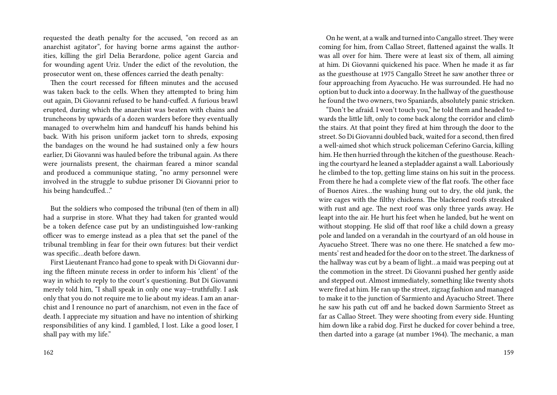requested the death penalty for the accused, "on record as an anarchist agitator", for having borne arms against the authorities, killing the girl Delia Berardone, police agent Garcia and for wounding agent Uriz. Under the edict of the revolution, the prosecutor went on, these offences carried the death penalty:

Then the court recessed for fifteen minutes and the accused was taken back to the cells. When they attempted to bring him out again, Di Giovanni refused to be hand-cuffed. A furious brawl erupted, during which the anarchist was beaten with chains and truncheons by upwards of a dozen warders before they eventually managed to overwhelm him and handcuff his hands behind his back. With his prison uniform jacket torn to shreds, exposing the bandages on the wound he had sustained only a few hours earlier, Di Giovanni was hauled before the tribunal again. As there were journalists present, the chairman feared a minor scandal and produced a communique stating, "no army personnel were involved in the struggle to subdue prisoner Di Giovanni prior to his being handcuffed…"

But the soldiers who composed the tribunal (ten of them in all) had a surprise in store. What they had taken for granted would be a token defence case put by an undistinguished low-ranking officer was to emerge instead as a plea that set the panel of the tribunal trembling in fear for their own futures: but their verdict was specific…death before dawn.

First Lieutenant Franco had gone to speak with Di Giovanni during the fifteen minute recess in order to inform his 'client' of the way in which to reply to the court's questioning. But Di Giovanni merely told him, "I shall speak in only one way—truthfully. I ask only that you do not require me to lie about my ideas. I am an anarchist and I renounce no part of anarchism, not even in the face of death. I appreciate my situation and have no intention of shirking responsibilities of any kind. I gambled, I lost. Like a good loser, I shall pay with my life."

On he went, at a walk and turned into Cangallo street. They were coming for him, from Callao Street, flattened against the walls. It was all over for him. There were at least six of them, all aiming at him. Di Giovanni quickened his pace. When he made it as far as the guesthouse at 1975 Cangallo Street he saw another three or four approaching from Ayacucho. He was surrounded. He had no option but to duck into a doorway. In the hallway of the guesthouse he found the two owners, two Spaniards, absolutely panic stricken.

"Don't be afraid. I won't touch you," he told them and headed towards the little lift, only to come back along the corridor and climb the stairs. At that point they fired at him through the door to the street. So Di Giovanni doubled back, waited for a second, then fired a well-aimed shot which struck policeman Ceferino Garcia, killing him. He then hurried through the kitchen of the guesthouse. Reaching the courtyard he leaned a stepladder against a wall. Laboriously he climbed to the top, getting lime stains on his suit in the process. From there he had a complete view of the flat roofs. The other face of Buenos Aires…the washing hung out to dry, the old junk, the wire cages with the filthy chickens. The blackened roofs streaked with rust and age. The next roof was only three yards away. He leapt into the air. He hurt his feet when he landed, but he went on without stopping. He slid off that roof like a child down a greasy pole and landed on a verandah in the courtyard of an old house in Ayacueho Street. There was no one there. He snatched a few moments' rest and headed for the door on to the street.The darkness of the hallway was cut by a beam of light…a maid was peeping out at the commotion in the street. Di Giovanni pushed her gently aside and stepped out. Almost immediately, something like twenty shots were fired at him. He ran up the street, zigzag fashion and managed to make it to the junction of Sarmiento and Ayacucho Street. There he saw his path cut off and he backed down Sarmiento Street as far as Callao Street. They were shooting from every side. Hunting him down like a rabid dog. First he ducked for cover behind a tree, then darted into a garage (at number 1964). The mechanic, a man